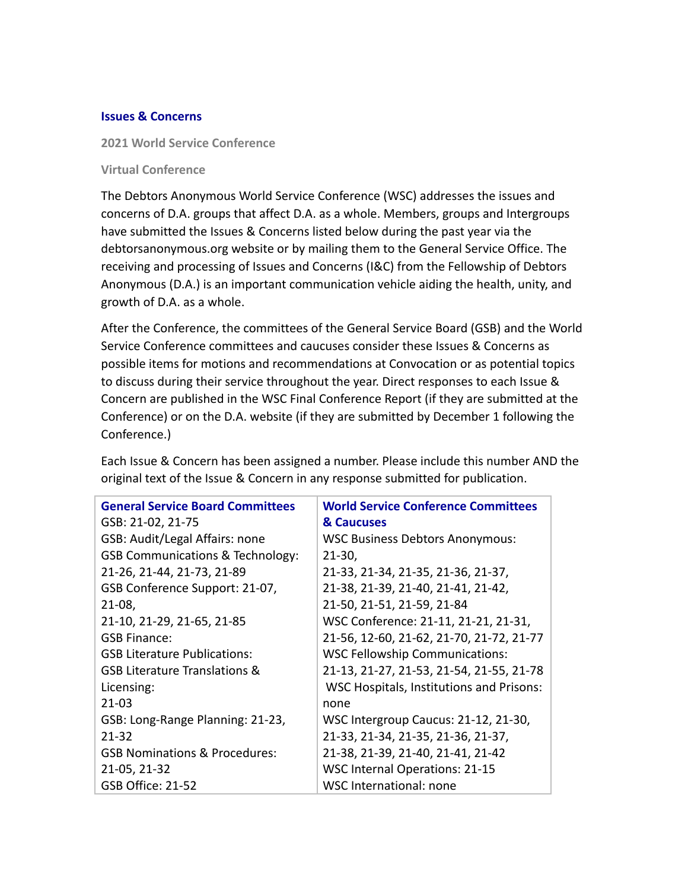#### **Issues & Concerns**

**2021 World Service Conference**

#### **Virtual Conference**

The Debtors Anonymous World Service Conference (WSC) addresses the issues and concerns of D.A. groups that affect D.A. as a whole. Members, groups and Intergroups have submitted the Issues & Concerns listed below during the past year via the debtorsanonymous.org website or by mailing them to the General Service Office. The receiving and processing of Issues and Concerns (I&C) from the Fellowship of Debtors Anonymous (D.A.) is an important communication vehicle aiding the health, unity, and growth of D.A. as a whole.

After the Conference, the committees of the General Service Board (GSB) and the World Service Conference committees and caucuses consider these Issues & Concerns as possible items for motions and recommendations at Convocation or as potential topics to discuss during their service throughout the year. Direct responses to each Issue & Concern are published in the WSC Final Conference Report (if they are submitted at the Conference) or on the D.A. website (if they are submitted by December 1 following the Conference.)

| <b>General Service Board Committees</b>     | <b>World Service Conference Committees</b>      |
|---------------------------------------------|-------------------------------------------------|
| GSB: 21-02, 21-75                           | & Caucuses                                      |
| GSB: Audit/Legal Affairs: none              | <b>WSC Business Debtors Anonymous:</b>          |
| <b>GSB Communications &amp; Technology:</b> | $21-30,$                                        |
| 21-26, 21-44, 21-73, 21-89                  | 21-33, 21-34, 21-35, 21-36, 21-37,              |
| GSB Conference Support: 21-07,              | 21-38, 21-39, 21-40, 21-41, 21-42,              |
| $21-08$ ,                                   | 21-50, 21-51, 21-59, 21-84                      |
| 21-10, 21-29, 21-65, 21-85                  | WSC Conference: 21-11, 21-21, 21-31,            |
| <b>GSB Finance:</b>                         | 21-56, 12-60, 21-62, 21-70, 21-72, 21-77        |
| <b>GSB Literature Publications:</b>         | <b>WSC Fellowship Communications:</b>           |
| <b>GSB Literature Translations &amp;</b>    | 21-13, 21-27, 21-53, 21-54, 21-55, 21-78        |
| Licensing:                                  | <b>WSC Hospitals, Institutions and Prisons:</b> |
| $21 - 03$                                   | none                                            |
| GSB: Long-Range Planning: 21-23,            | WSC Intergroup Caucus: 21-12, 21-30,            |
| $21 - 32$                                   | 21-33, 21-34, 21-35, 21-36, 21-37,              |
| <b>GSB Nominations &amp; Procedures:</b>    | 21-38, 21-39, 21-40, 21-41, 21-42               |
| 21-05, 21-32                                | <b>WSC Internal Operations: 21-15</b>           |
| <b>GSB Office: 21-52</b>                    | WSC International: none                         |

Each Issue & Concern has been assigned a number. Please include this number AND the original text of the Issue & Concern in any response submitted for publication.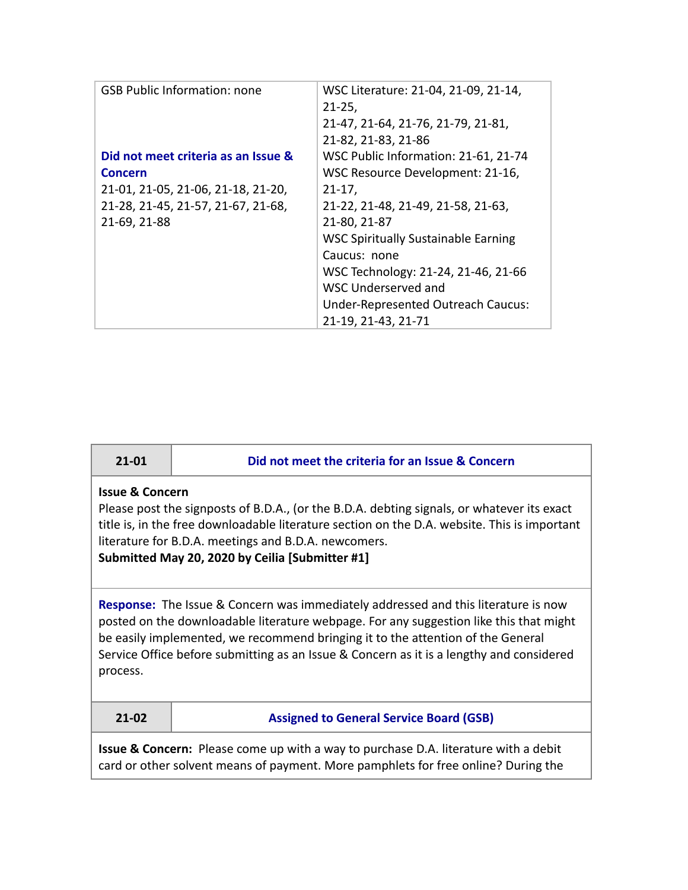| <b>GSB Public Information: none</b><br>WSC Literature: 21-04, 21-09, 21-14,<br>$21 - 25$<br>21-47, 21-64, 21-76, 21-79, 21-81,<br>21-82, 21-83, 21-86<br>WSC Public Information: 21-61, 21-74<br>Did not meet criteria as an Issue &<br>WSC Resource Development: 21-16,<br><b>Concern</b><br>21-01, 21-05, 21-06, 21-18, 21-20,<br>$21 - 17$ ,<br>21-28, 21-45, 21-57, 21-67, 21-68,<br>21-22, 21-48, 21-49, 21-58, 21-63,<br>21-69, 21-88<br>21-80, 21-87<br><b>WSC Spiritually Sustainable Earning</b><br>Caucus: none<br>WSC Technology: 21-24, 21-46, 21-66<br>WSC Underserved and<br>Under-Represented Outreach Caucus:<br>21-19, 21-43, 21-71 |  |
|------------------------------------------------------------------------------------------------------------------------------------------------------------------------------------------------------------------------------------------------------------------------------------------------------------------------------------------------------------------------------------------------------------------------------------------------------------------------------------------------------------------------------------------------------------------------------------------------------------------------------------------------------|--|
|                                                                                                                                                                                                                                                                                                                                                                                                                                                                                                                                                                                                                                                      |  |
|                                                                                                                                                                                                                                                                                                                                                                                                                                                                                                                                                                                                                                                      |  |
|                                                                                                                                                                                                                                                                                                                                                                                                                                                                                                                                                                                                                                                      |  |
|                                                                                                                                                                                                                                                                                                                                                                                                                                                                                                                                                                                                                                                      |  |
|                                                                                                                                                                                                                                                                                                                                                                                                                                                                                                                                                                                                                                                      |  |
|                                                                                                                                                                                                                                                                                                                                                                                                                                                                                                                                                                                                                                                      |  |
|                                                                                                                                                                                                                                                                                                                                                                                                                                                                                                                                                                                                                                                      |  |
|                                                                                                                                                                                                                                                                                                                                                                                                                                                                                                                                                                                                                                                      |  |
|                                                                                                                                                                                                                                                                                                                                                                                                                                                                                                                                                                                                                                                      |  |
|                                                                                                                                                                                                                                                                                                                                                                                                                                                                                                                                                                                                                                                      |  |
|                                                                                                                                                                                                                                                                                                                                                                                                                                                                                                                                                                                                                                                      |  |
|                                                                                                                                                                                                                                                                                                                                                                                                                                                                                                                                                                                                                                                      |  |
|                                                                                                                                                                                                                                                                                                                                                                                                                                                                                                                                                                                                                                                      |  |
|                                                                                                                                                                                                                                                                                                                                                                                                                                                                                                                                                                                                                                                      |  |
|                                                                                                                                                                                                                                                                                                                                                                                                                                                                                                                                                                                                                                                      |  |

| ۰. | 01 |  |
|----|----|--|

**21-01 Did not meet the criteria for an Issue & Concern**

#### **Issue & Concern**

Please post the signposts of B.D.A., (or the B.D.A. debting signals, or whatever its exact title is, in the free downloadable literature section on the D.A. website. This is important literature for B.D.A. meetings and B.D.A. newcomers.

**Submitted May 20, 2020 by Ceilia [Submitter #1]**

**Response:** The Issue & Concern was immediately addressed and this literature is now posted on the downloadable literature webpage. For any suggestion like this that might be easily implemented, we recommend bringing it to the attention of the General Service Office before submitting as an Issue & Concern as it is a lengthy and considered process.

#### **21-02 Assigned to General Service Board (GSB)**

**Issue & Concern:** Please come up with a way to purchase D.A. literature with a debit card or other solvent means of payment. More pamphlets for free online? During the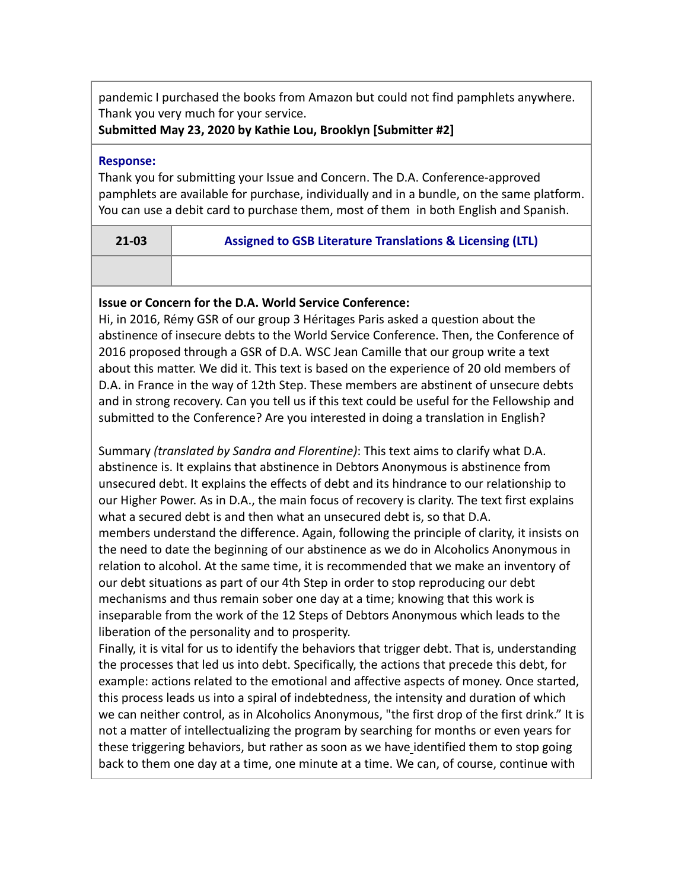pandemic I purchased the books from Amazon but could not find pamphlets anywhere. Thank you very much for your service.

**Submitted May 23, 2020 by Kathie Lou, Brooklyn [Submitter #2]**

#### **Response:**

Thank you for submitting your Issue and Concern. The D.A. Conference-approved pamphlets are available for purchase, individually and in a bundle, on the same platform. You can use a debit card to purchase them, most of them in both English and Spanish.

| $21 - 03$ | Assigned to GSB Literature Translations & Licensing (LTL) |
|-----------|-----------------------------------------------------------|
|           |                                                           |

# **Issue or Concern for the D.A. World Service Conference:**

Hi, in 2016, Rémy GSR of our group 3 Héritages Paris asked a question about the abstinence of insecure debts to the World Service Conference. Then, the Conference of 2016 proposed through a GSR of D.A. WSC Jean Camille that our group write a text about this matter. We did it. This text is based on the experience of 20 old members of D.A. in France in the way of 12th Step. These members are abstinent of unsecure debts and in strong recovery. Can you tell us if this text could be useful for the Fellowship and submitted to the Conference? Are you interested in doing a translation in English?

Summary *(translated by Sandra and Florentine)*: This text aims to clarify what D.A. abstinence is. It explains that abstinence in Debtors Anonymous is abstinence from unsecured debt. It explains the effects of debt and its hindrance to our relationship to our Higher Power. As in D.A., the main focus of recovery is clarity. The text first explains what a secured debt is and then what an unsecured debt is, so that D.A. members understand the difference. Again, following the principle of clarity, it insists on the need to date the beginning of our abstinence as we do in Alcoholics Anonymous in relation to alcohol. At the same time, it is recommended that we make an inventory of our debt situations as part of our 4th Step in order to stop reproducing our debt mechanisms and thus remain sober one day at a time; knowing that this work is inseparable from the work of the 12 Steps of Debtors Anonymous which leads to the liberation of the personality and to prosperity.

Finally, it is vital for us to identify the behaviors that trigger debt. That is, understanding the processes that led us into debt. Specifically, the actions that precede this debt, for example: actions related to the emotional and affective aspects of money. Once started, this process leads us into a spiral of indebtedness, the intensity and duration of which we can neither control, as in Alcoholics Anonymous, "the first drop of the first drink." It is not a matter of intellectualizing the program by searching for months or even years for these triggering behaviors, but rather as soon as we have identified them to stop going back to them one day at a time, one minute at a time. We can, of course, continue with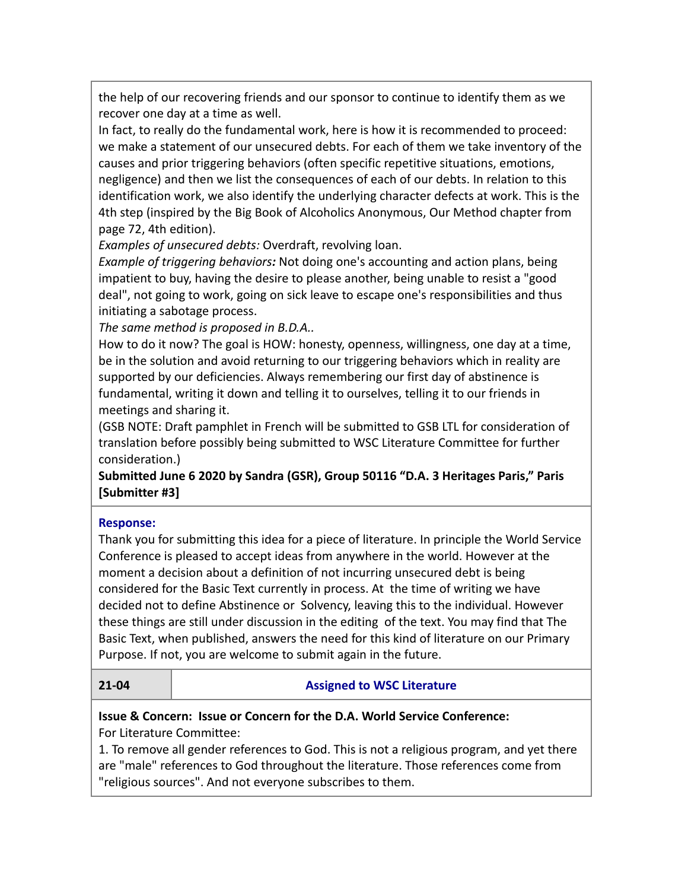the help of our recovering friends and our sponsor to continue to identify them as we recover one day at a time as well.

In fact, to really do the fundamental work, here is how it is recommended to proceed: we make a statement of our unsecured debts. For each of them we take inventory of the causes and prior triggering behaviors (often specific repetitive situations, emotions, negligence) and then we list the consequences of each of our debts. In relation to this identification work, we also identify the underlying character defects at work. This is the 4th step (inspired by the Big Book of Alcoholics Anonymous, Our Method chapter from page 72, 4th edition).

*Examples of unsecured debts:* Overdraft, revolving loan.

*Example of triggering behaviors:* Not doing one's accounting and action plans, being impatient to buy, having the desire to please another, being unable to resist a "good deal", not going to work, going on sick leave to escape one's responsibilities and thus initiating a sabotage process.

*The same method is proposed in B.D.A..*

How to do it now? The goal is HOW: honesty, openness, willingness, one day at a time, be in the solution and avoid returning to our triggering behaviors which in reality are supported by our deficiencies. Always remembering our first day of abstinence is fundamental, writing it down and telling it to ourselves, telling it to our friends in meetings and sharing it.

(GSB NOTE: Draft pamphlet in French will be submitted to GSB LTL for consideration of translation before possibly being submitted to WSC Literature Committee for further consideration.)

**Submitted June 6 2020 by Sandra (GSR), Group 50116 "D.A. 3 Heritages Paris," Paris [Submitter #3]**

### **Response:**

Thank you for submitting this idea for a piece of literature. In principle the World Service Conference is pleased to accept ideas from anywhere in the world. However at the moment a decision about a definition of not incurring unsecured debt is being considered for the Basic Text currently in process. At the time of writing we have decided not to define Abstinence or Solvency, leaving this to the individual. However these things are still under discussion in the editing of the text. You may find that The Basic Text, when published, answers the need for this kind of literature on our Primary Purpose. If not, you are welcome to submit again in the future.

### **21-04 Assigned to WSC Literature**

#### **Issue & Concern: Issue or Concern for the D.A. World Service Conference:** For Literature Committee:

1. To remove all gender references to God. This is not a religious program, and yet there are "male" references to God throughout the literature. Those references come from "religious sources". And not everyone subscribes to them.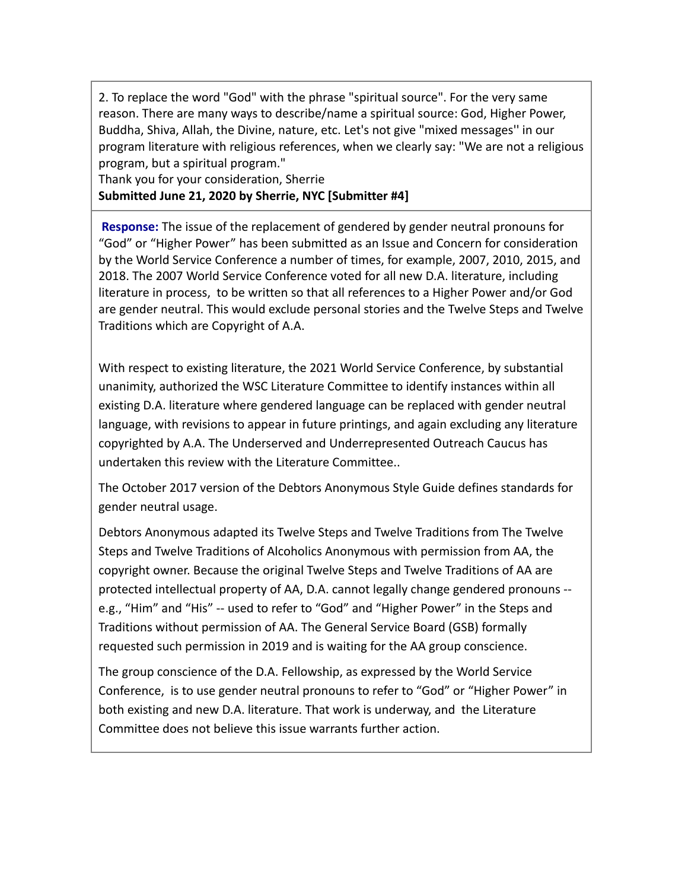2. To replace the word "God" with the phrase "spiritual source". For the very same reason. There are many ways to describe/name a spiritual source: God, Higher Power, Buddha, Shiva, Allah, the Divine, nature, etc. Let's not give "mixed messages'' in our program literature with religious references, when we clearly say: "We are not a religious program, but a spiritual program."

Thank you for your consideration, Sherrie **Submitted June 21, 2020 by Sherrie, NYC [Submitter #4]**

**Response:** The issue of the replacement of gendered by gender neutral pronouns for "God" or "Higher Power" has been submitted as an Issue and Concern for consideration by the World Service Conference a number of times, for example, 2007, 2010, 2015, and 2018. The 2007 World Service Conference voted for all new D.A. literature, including literature in process, to be written so that all references to a Higher Power and/or God are gender neutral. This would exclude personal stories and the Twelve Steps and Twelve Traditions which are Copyright of A.A.

With respect to existing literature, the 2021 World Service Conference, by substantial unanimity, authorized the WSC Literature Committee to identify instances within all existing D.A. literature where gendered language can be replaced with gender neutral language, with revisions to appear in future printings, and again excluding any literature copyrighted by A.A. The Underserved and Underrepresented Outreach Caucus has undertaken this review with the Literature Committee..

The October 2017 version of the Debtors Anonymous Style Guide defines standards for gender neutral usage.

Debtors Anonymous adapted its Twelve Steps and Twelve Traditions from The Twelve Steps and Twelve Traditions of Alcoholics Anonymous with permission from AA, the copyright owner. Because the original Twelve Steps and Twelve Traditions of AA are protected intellectual property of AA, D.A. cannot legally change gendered pronouns - e.g., "Him" and "His" -- used to refer to "God" and "Higher Power" in the Steps and Traditions without permission of AA. The General Service Board (GSB) formally requested such permission in 2019 and is waiting for the AA group conscience.

The group conscience of the D.A. Fellowship, as expressed by the World Service Conference, is to use gender neutral pronouns to refer to "God" or "Higher Power" in both existing and new D.A. literature. That work is underway, and the Literature Committee does not believe this issue warrants further action.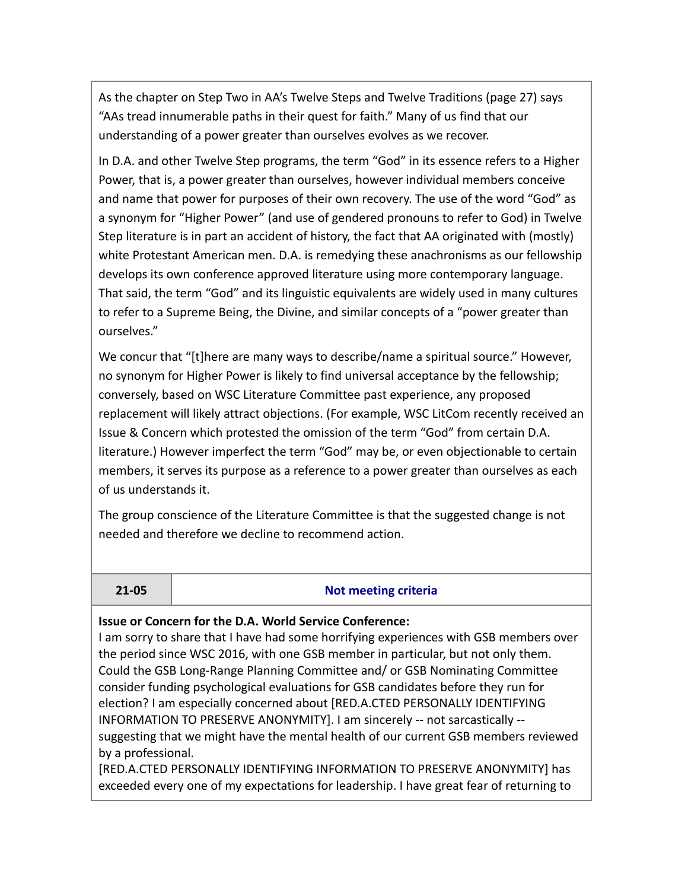As the chapter on Step Two in AA's Twelve Steps and Twelve Traditions (page 27) says "AAs tread innumerable paths in their quest for faith." Many of us find that our understanding of a power greater than ourselves evolves as we recover.

In D.A. and other Twelve Step programs, the term "God" in its essence refers to a Higher Power, that is, a power greater than ourselves, however individual members conceive and name that power for purposes of their own recovery. The use of the word "God" as a synonym for "Higher Power" (and use of gendered pronouns to refer to God) in Twelve Step literature is in part an accident of history, the fact that AA originated with (mostly) white Protestant American men. D.A. is remedying these anachronisms as our fellowship develops its own conference approved literature using more contemporary language. That said, the term "God" and its linguistic equivalents are widely used in many cultures to refer to a Supreme Being, the Divine, and similar concepts of a "power greater than ourselves."

We concur that "[t]here are many ways to describe/name a spiritual source." However, no synonym for Higher Power is likely to find universal acceptance by the fellowship; conversely, based on WSC Literature Committee past experience, any proposed replacement will likely attract objections. (For example, WSC LitCom recently received an Issue & Concern which protested the omission of the term "God" from certain D.A. literature.) However imperfect the term "God" may be, or even objectionable to certain members, it serves its purpose as a reference to a power greater than ourselves as each of us understands it.

The group conscience of the Literature Committee is that the suggested change is not needed and therefore we decline to recommend action.

#### **21-05 Not meeting criteria**

#### **Issue or Concern for the D.A. World Service Conference:**

I am sorry to share that I have had some horrifying experiences with GSB members over the period since WSC 2016, with one GSB member in particular, but not only them. Could the GSB Long-Range Planning Committee and/ or GSB Nominating Committee consider funding psychological evaluations for GSB candidates before they run for election? I am especially concerned about [RED.A.CTED PERSONALLY IDENTIFYING INFORMATION TO PRESERVE ANONYMITY]. I am sincerely -- not sarcastically - suggesting that we might have the mental health of our current GSB members reviewed by a professional.

[RED.A.CTED PERSONALLY IDENTIFYING INFORMATION TO PRESERVE ANONYMITY] has exceeded every one of my expectations for leadership. I have great fear of returning to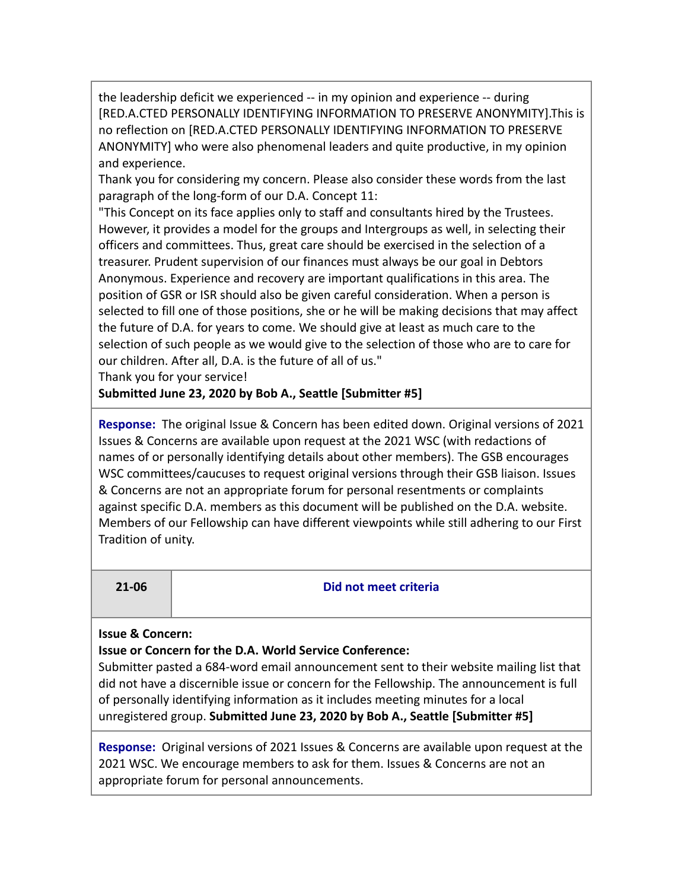the leadership deficit we experienced -- in my opinion and experience -- during [RED.A.CTED PERSONALLY IDENTIFYING INFORMATION TO PRESERVE ANONYMITY].This is no reflection on [RED.A.CTED PERSONALLY IDENTIFYING INFORMATION TO PRESERVE ANONYMITY] who were also phenomenal leaders and quite productive, in my opinion and experience.

Thank you for considering my concern. Please also consider these words from the last paragraph of the long-form of our D.A. Concept 11:

"This Concept on its face applies only to staff and consultants hired by the Trustees. However, it provides a model for the groups and Intergroups as well, in selecting their officers and committees. Thus, great care should be exercised in the selection of a treasurer. Prudent supervision of our finances must always be our goal in Debtors Anonymous. Experience and recovery are important qualifications in this area. The position of GSR or ISR should also be given careful consideration. When a person is selected to fill one of those positions, she or he will be making decisions that may affect the future of D.A. for years to come. We should give at least as much care to the selection of such people as we would give to the selection of those who are to care for our children. After all, D.A. is the future of all of us."

Thank you for your service!

### **Submitted June 23, 2020 by Bob A., Seattle [Submitter #5]**

**Response:** The original Issue & Concern has been edited down. Original versions of 2021 Issues & Concerns are available upon request at the 2021 WSC (with redactions of names of or personally identifying details about other members). The GSB encourages WSC committees/caucuses to request original versions through their GSB liaison. Issues & Concerns are not an appropriate forum for personal resentments or complaints against specific D.A. members as this document will be published on the D.A. website. Members of our Fellowship can have different viewpoints while still adhering to our First Tradition of unity.

#### **21-06 Did not meet criteria**

#### **Issue & Concern:**

**Issue or Concern for the D.A. World Service Conference:**

Submitter pasted a 684-word email announcement sent to their website mailing list that did not have a discernible issue or concern for the Fellowship. The announcement is full of personally identifying information as it includes meeting minutes for a local unregistered group. **Submitted June 23, 2020 by Bob A., Seattle [Submitter #5]**

**Response:** Original versions of 2021 Issues & Concerns are available upon request at the 2021 WSC. We encourage members to ask for them. Issues & Concerns are not an appropriate forum for personal announcements.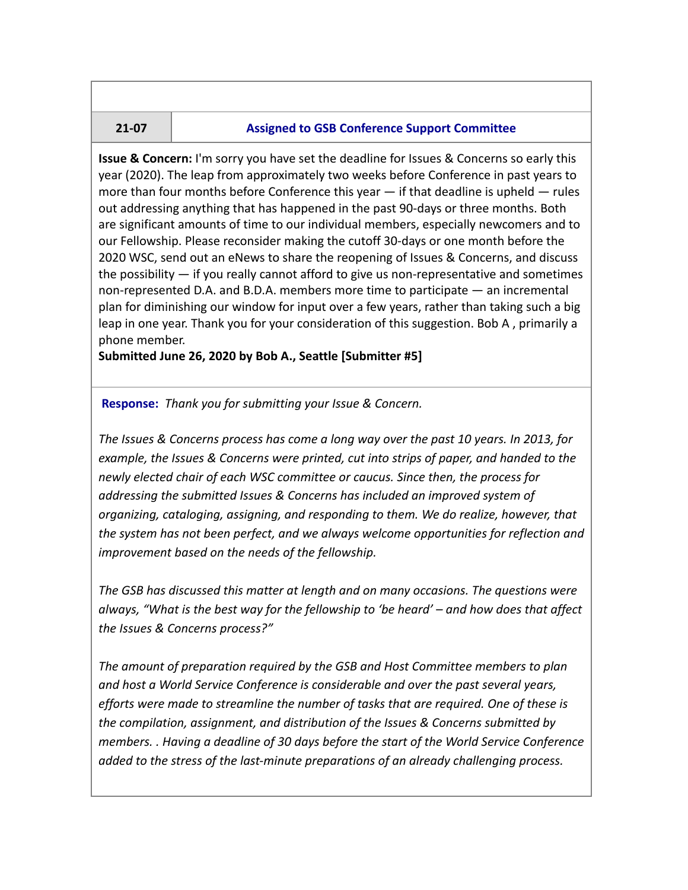#### **21-07 Assigned to GSB Conference Support Committee**

**Issue & Concern:** I'm sorry you have set the deadline for Issues & Concerns so early this year (2020). The leap from approximately two weeks before Conference in past years to more than four months before Conference this year  $-$  if that deadline is upheld  $-$  rules out addressing anything that has happened in the past 90-days or three months. Both are significant amounts of time to our individual members, especially newcomers and to our Fellowship. Please reconsider making the cutoff 30-days or one month before the 2020 WSC, send out an eNews to share the reopening of Issues & Concerns, and discuss the possibility — if you really cannot afford to give us non-representative and sometimes non-represented D.A. and B.D.A. members more time to participate — an incremental plan for diminishing our window for input over a few years, rather than taking such a big leap in one year. Thank you for your consideration of this suggestion. Bob A , primarily a phone member.

**Submitted June 26, 2020 by Bob A., Seattle [Submitter #5]**

**Response:** *Thank you for submitting your Issue & Concern.*

*The Issues & Concerns process has come a long way over the past 10 years. In 2013, for example, the Issues & Concerns were printed, cut into strips of paper, and handed to the newly elected chair of each WSC committee or caucus. Since then, the process for addressing the submitted Issues & Concerns has included an improved system of organizing, cataloging, assigning, and responding to them. We do realize, however, that the system has not been perfect, and we always welcome opportunities for reflection and improvement based on the needs of the fellowship.*

*The GSB has discussed this matter at length and on many occasions. The questions were always, "What is the best way for the fellowship to 'be heard' – and how does that affect the Issues & Concerns process?"*

*The amount of preparation required by the GSB and Host Committee members to plan and host a World Service Conference is considerable and over the past several years, efforts were made to streamline the number of tasks that are required. One of these is the compilation, assignment, and distribution of the Issues & Concerns submitted by members. . Having a deadline of 30 days before the start of the World Service Conference added to the stress of the last-minute preparations of an already challenging process.*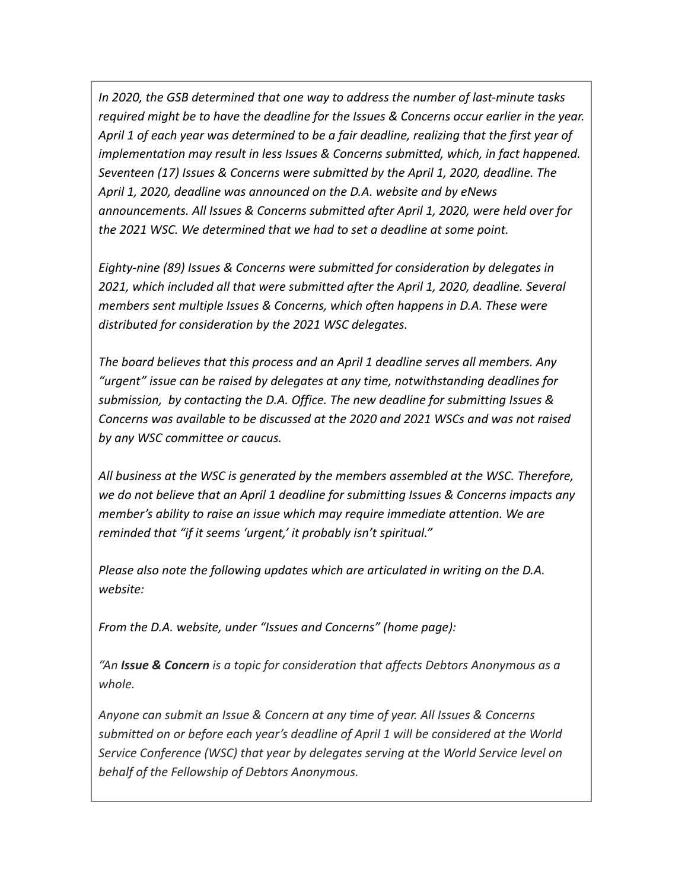*In 2020, the GSB determined that one way to address the number of last-minute tasks required might be to have the deadline for the Issues & Concerns occur earlier in the year. April 1 of each year was determined to be a fair deadline, realizing that the first year of implementation may result in less Issues & Concerns submitted, which, in fact happened. Seventeen (17) Issues & Concerns were submitted by the April 1, 2020, deadline. The April 1, 2020, deadline was announced on the D.A. website and by eNews announcements. All Issues & Concerns submitted after April 1, 2020, were held over for the 2021 WSC. We determined that we had to set a deadline at some point.*

*Eighty-nine (89) Issues & Concerns were submitted for consideration by delegates in 2021, which included all that were submitted after the April 1, 2020, deadline. Several members sent multiple Issues & Concerns, which often happens in D.A. These were distributed for consideration by the 2021 WSC delegates.*

*The board believes that this process and an April 1 deadline serves all members. Any "urgent" issue can be raised by delegates at any time, notwithstanding deadlines for submission, by contacting the D.A. Office. The new deadline for submitting Issues & Concerns was available to be discussed at the 2020 and 2021 WSCs and was not raised by any WSC committee or caucus.*

*All business at the WSC is generated by the members assembled at the WSC. Therefore, we do not believe that an April 1 deadline for submitting Issues & Concerns impacts any member's ability to raise an issue which may require immediate attention. We are reminded that "if it seems 'urgent,' it probably isn't spiritual."*

*Please also note the following updates which are articulated in writing on the D.A. website:*

*From the D.A. website, under "Issues and Concerns" (home page):*

*"An Issue & Concern is a topic for consideration that affects Debtors Anonymous as a whole.*

*Anyone can submit an Issue & Concern at any time of year. All Issues & Concerns submitted on or before each year's deadline of April 1 will be considered at the World Service Conference (WSC) that year by delegates serving at the World Service level on behalf of the Fellowship of Debtors Anonymous.*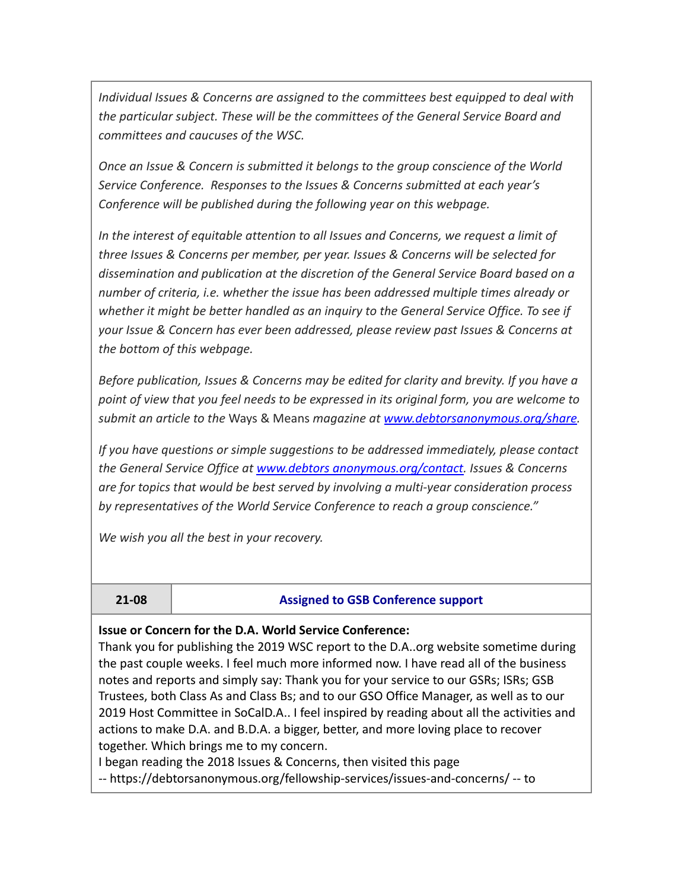*Individual Issues & Concerns are assigned to the committees best equipped to deal with the particular subject. These will be the committees of the General Service Board and committees and caucuses of the WSC.*

*Once an Issue & Concern is submitted it belongs to the group conscience of the World Service Conference. Responses to the Issues & Concerns submitted at each year's Conference will be published during the following year on this webpage.*

*In the interest of equitable attention to all Issues and Concerns, we request a limit of three Issues & Concerns per member, per year. Issues & Concerns will be selected for dissemination and publication at the discretion of the General Service Board based on a number of criteria, i.e. whether the issue has been addressed multiple times already or whether it might be better handled as an inquiry to the General Service Office. To see if your Issue & Concern has ever been addressed, please review past Issues & Concerns at the bottom of this webpage.*

*Before publication, Issues & Concerns may be edited for clarity and brevity. If you have a point of view that you feel needs to be expressed in its original form, you are welcome to submit an article to the* Ways & Means *magazine at [www.debtorsanonymous.org/share.](https://debtorsanonymous.org/share)*

*If you have questions or simple suggestions to be addressed immediately, please contact the General Service Office at [www.debtors anonymous.org/contact.](https://debtorsanonymous.org/contact-us/) Issues & Concerns are for topics that would be best served by involving a multi-year consideration process by representatives of the World Service Conference to reach a group conscience."*

*We wish you all the best in your recovery.*

#### **21-08 Assigned to GSB Conference support**

#### **Issue or Concern for the D.A. World Service Conference:**

Thank you for publishing the 2019 WSC report to the D.A..org website sometime during the past couple weeks. I feel much more informed now. I have read all of the business notes and reports and simply say: Thank you for your service to our GSRs; ISRs; GSB Trustees, both Class As and Class Bs; and to our GSO Office Manager, as well as to our 2019 Host Committee in SoCalD.A.. I feel inspired by reading about all the activities and actions to make D.A. and B.D.A. a bigger, better, and more loving place to recover together. Which brings me to my concern.

I began reading the 2018 Issues & Concerns, then visited this page -- https://debtorsanonymous.org/fellowship-services/issues-and-concerns/ -- to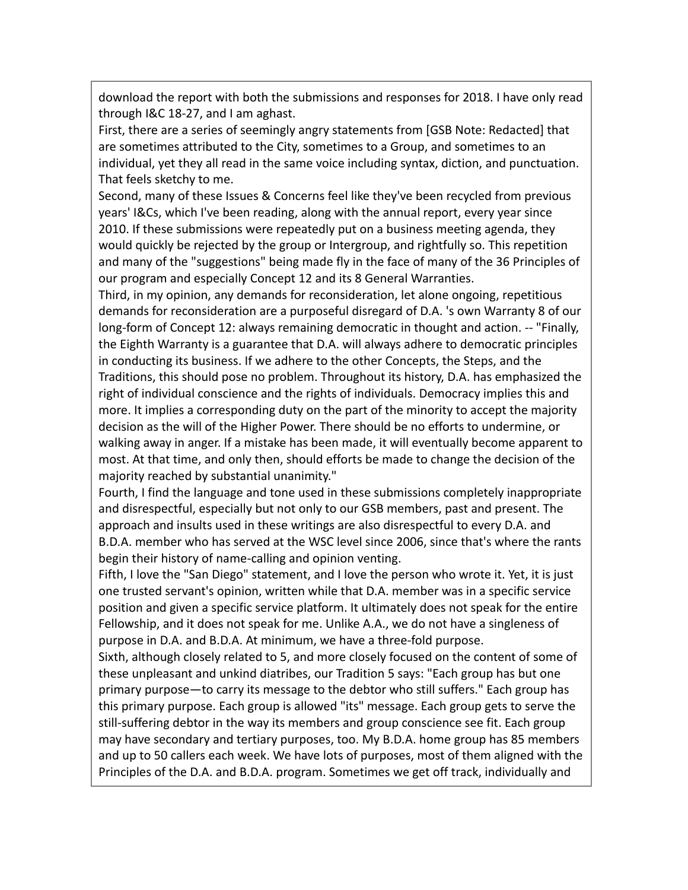download the report with both the submissions and responses for 2018. I have only read through I&C 18-27, and I am aghast.

First, there are a series of seemingly angry statements from [GSB Note: Redacted] that are sometimes attributed to the City, sometimes to a Group, and sometimes to an individual, yet they all read in the same voice including syntax, diction, and punctuation. That feels sketchy to me.

Second, many of these Issues & Concerns feel like they've been recycled from previous years' I&Cs, which I've been reading, along with the annual report, every year since 2010. If these submissions were repeatedly put on a business meeting agenda, they would quickly be rejected by the group or Intergroup, and rightfully so. This repetition and many of the "suggestions" being made fly in the face of many of the 36 Principles of our program and especially Concept 12 and its 8 General Warranties.

Third, in my opinion, any demands for reconsideration, let alone ongoing, repetitious demands for reconsideration are a purposeful disregard of D.A. 's own Warranty 8 of our long-form of Concept 12: always remaining democratic in thought and action. -- "Finally, the Eighth Warranty is a guarantee that D.A. will always adhere to democratic principles in conducting its business. If we adhere to the other Concepts, the Steps, and the Traditions, this should pose no problem. Throughout its history, D.A. has emphasized the right of individual conscience and the rights of individuals. Democracy implies this and more. It implies a corresponding duty on the part of the minority to accept the majority decision as the will of the Higher Power. There should be no efforts to undermine, or walking away in anger. If a mistake has been made, it will eventually become apparent to most. At that time, and only then, should efforts be made to change the decision of the majority reached by substantial unanimity."

Fourth, I find the language and tone used in these submissions completely inappropriate and disrespectful, especially but not only to our GSB members, past and present. The approach and insults used in these writings are also disrespectful to every D.A. and B.D.A. member who has served at the WSC level since 2006, since that's where the rants begin their history of name-calling and opinion venting.

Fifth, I love the "San Diego" statement, and I love the person who wrote it. Yet, it is just one trusted servant's opinion, written while that D.A. member was in a specific service position and given a specific service platform. It ultimately does not speak for the entire Fellowship, and it does not speak for me. Unlike A.A., we do not have a singleness of purpose in D.A. and B.D.A. At minimum, we have a three-fold purpose.

Sixth, although closely related to 5, and more closely focused on the content of some of these unpleasant and unkind diatribes, our Tradition 5 says: "Each group has but one primary purpose—to carry its message to the debtor who still suffers." Each group has this primary purpose. Each group is allowed "its" message. Each group gets to serve the still-suffering debtor in the way its members and group conscience see fit. Each group may have secondary and tertiary purposes, too. My B.D.A. home group has 85 members and up to 50 callers each week. We have lots of purposes, most of them aligned with the Principles of the D.A. and B.D.A. program. Sometimes we get off track, individually and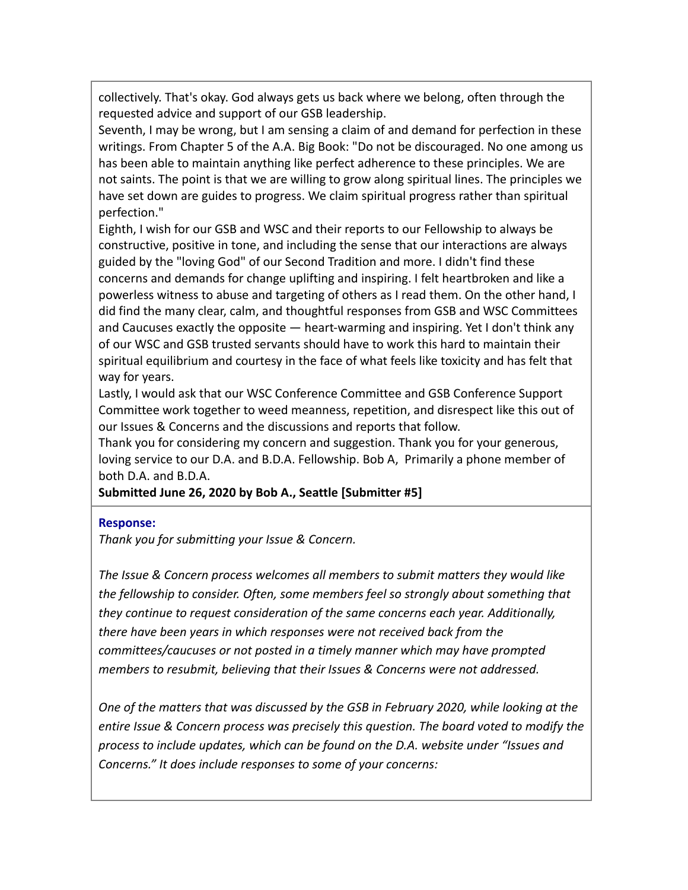collectively. That's okay. God always gets us back where we belong, often through the requested advice and support of our GSB leadership.

Seventh, I may be wrong, but I am sensing a claim of and demand for perfection in these writings. From Chapter 5 of the A.A. Big Book: "Do not be discouraged. No one among us has been able to maintain anything like perfect adherence to these principles. We are not saints. The point is that we are willing to grow along spiritual lines. The principles we have set down are guides to progress. We claim spiritual progress rather than spiritual perfection."

Eighth, I wish for our GSB and WSC and their reports to our Fellowship to always be constructive, positive in tone, and including the sense that our interactions are always guided by the "loving God" of our Second Tradition and more. I didn't find these concerns and demands for change uplifting and inspiring. I felt heartbroken and like a powerless witness to abuse and targeting of others as I read them. On the other hand, I did find the many clear, calm, and thoughtful responses from GSB and WSC Committees and Caucuses exactly the opposite — heart-warming and inspiring. Yet I don't think any of our WSC and GSB trusted servants should have to work this hard to maintain their spiritual equilibrium and courtesy in the face of what feels like toxicity and has felt that way for years.

Lastly, I would ask that our WSC Conference Committee and GSB Conference Support Committee work together to weed meanness, repetition, and disrespect like this out of our Issues & Concerns and the discussions and reports that follow.

Thank you for considering my concern and suggestion. Thank you for your generous, loving service to our D.A. and B.D.A. Fellowship. Bob A, Primarily a phone member of both D.A. and B.D.A.

**Submitted June 26, 2020 by Bob A., Seattle [Submitter #5]**

#### **Response:**

*Thank you for submitting your Issue & Concern.*

*The Issue & Concern process welcomes all members to submit matters they would like the fellowship to consider. Often, some members feel so strongly about something that they continue to request consideration of the same concerns each year. Additionally, there have been years in which responses were not received back from the committees/caucuses or not posted in a timely manner which may have prompted members to resubmit, believing that their Issues & Concerns were not addressed.*

*One of the matters that was discussed by the GSB in February 2020, while looking at the entire Issue & Concern process was precisely this question. The board voted to modify the process to include updates, which can be found on the D.A. website under "Issues and Concerns." It does include responses to some of your concerns:*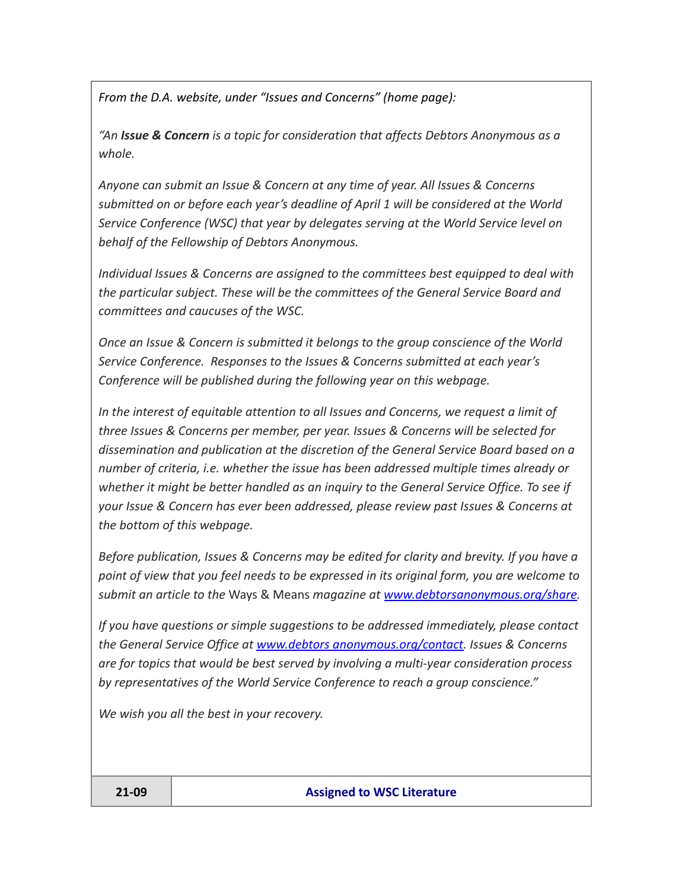*From the D.A. website, under "Issues and Concerns" (home page):*

*"An Issue & Concern is a topic for consideration that affects Debtors Anonymous as a whole.*

*Anyone can submit an Issue & Concern at any time of year. All Issues & Concerns submitted on or before each year's deadline of April 1 will be considered at the World Service Conference (WSC) that year by delegates serving at the World Service level on behalf of the Fellowship of Debtors Anonymous.*

*Individual Issues & Concerns are assigned to the committees best equipped to deal with the particular subject. These will be the committees of the General Service Board and committees and caucuses of the WSC.*

*Once an Issue & Concern is submitted it belongs to the group conscience of the World Service Conference. Responses to the Issues & Concerns submitted at each year's Conference will be published during the following year on this webpage.*

*In the interest of equitable attention to all Issues and Concerns, we request a limit of three Issues & Concerns per member, per year. Issues & Concerns will be selected for dissemination and publication at the discretion of the General Service Board based on a number of criteria, i.e. whether the issue has been addressed multiple times already or whether it might be better handled as an inquiry to the General Service Office. To see if your Issue & Concern has ever been addressed, please review past Issues & Concerns at the bottom of this webpage.*

*Before publication, Issues & Concerns may be edited for clarity and brevity. If you have a point of view that you feel needs to be expressed in its original form, you are welcome to submit an article to the* Ways & Means *magazine at [www.debtorsanonymous.org/share.](https://debtorsanonymous.org/share)*

*If you have questions or simple suggestions to be addressed immediately, please contact the General Service Office at [www.debtors anonymous.org/contact.](https://debtorsanonymous.org/contact-us/) Issues & Concerns are for topics that would be best served by involving a multi-year consideration process by representatives of the World Service Conference to reach a group conscience."*

*We wish you all the best in your recovery.*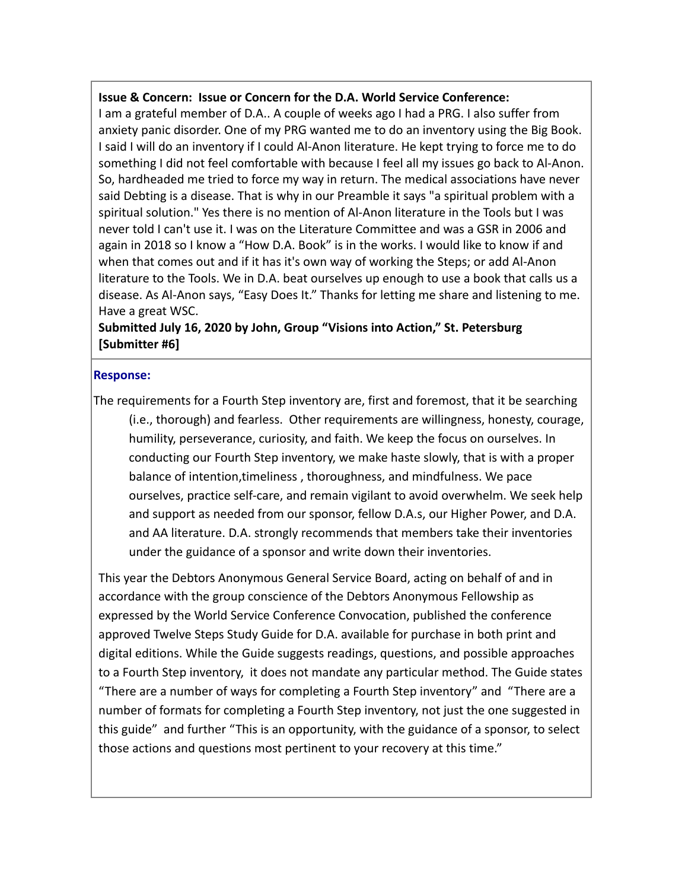#### **Issue & Concern: Issue or Concern for the D.A. World Service Conference:**

I am a grateful member of D.A.. A couple of weeks ago I had a PRG. I also suffer from anxiety panic disorder. One of my PRG wanted me to do an inventory using the Big Book. I said I will do an inventory if I could Al-Anon literature. He kept trying to force me to do something I did not feel comfortable with because I feel all my issues go back to Al-Anon. So, hardheaded me tried to force my way in return. The medical associations have never said Debting is a disease. That is why in our Preamble it says "a spiritual problem with a spiritual solution." Yes there is no mention of Al-Anon literature in the Tools but I was never told I can't use it. I was on the Literature Committee and was a GSR in 2006 and again in 2018 so I know a "How D.A. Book" is in the works. I would like to know if and when that comes out and if it has it's own way of working the Steps; or add Al-Anon literature to the Tools. We in D.A. beat ourselves up enough to use a book that calls us a disease. As Al-Anon says, "Easy Does It." Thanks for letting me share and listening to me. Have a great WSC.

**Submitted July 16, 2020 by John, Group "Visions into Action," St. Petersburg [Submitter #6]**

#### **Response:**

The requirements for a Fourth Step inventory are, first and foremost, that it be searching (i.e., thorough) and fearless. Other requirements are willingness, honesty, courage, humility, perseverance, curiosity, and faith. We keep the focus on ourselves. In conducting our Fourth Step inventory, we make haste slowly, that is with a proper balance of intention,timeliness , thoroughness, and mindfulness. We pace ourselves, practice self-care, and remain vigilant to avoid overwhelm. We seek help and support as needed from our sponsor, fellow D.A.s, our Higher Power, and D.A. and AA literature. D.A. strongly recommends that members take their inventories under the guidance of a sponsor and write down their inventories.

This year the Debtors Anonymous General Service Board, acting on behalf of and in accordance with the group conscience of the Debtors Anonymous Fellowship as expressed by the World Service Conference Convocation, published the conference approved Twelve Steps Study Guide for D.A. available for purchase in both print and digital editions. While the Guide suggests readings, questions, and possible approaches to a Fourth Step inventory, it does not mandate any particular method. The Guide states "There are a number of ways for completing a Fourth Step inventory" and "There are a number of formats for completing a Fourth Step inventory, not just the one suggested in this guide" and further "This is an opportunity, with the guidance of a sponsor, to select those actions and questions most pertinent to your recovery at this time."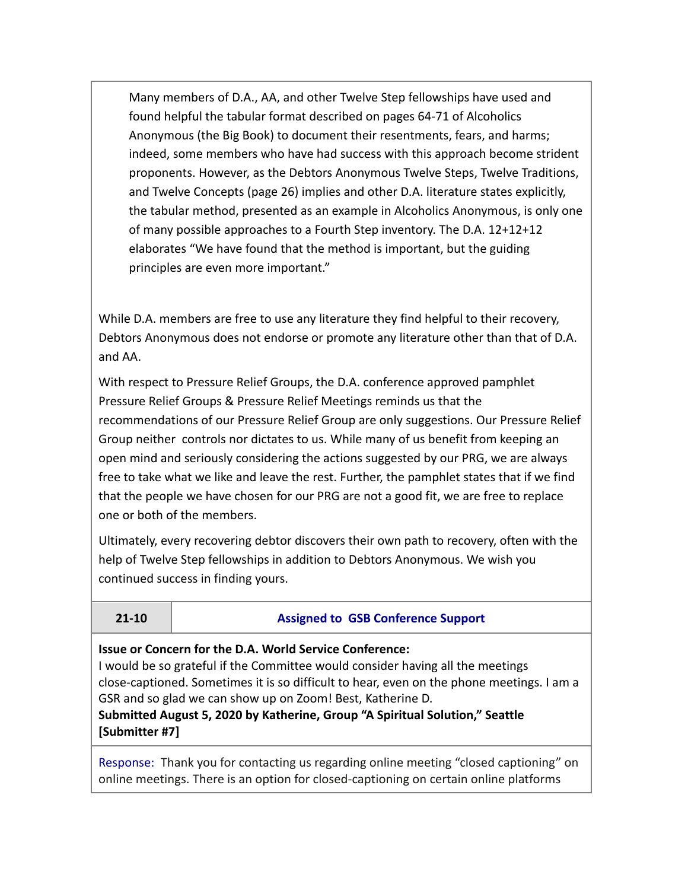Many members of D.A., AA, and other Twelve Step fellowships have used and found helpful the tabular format described on pages 64-71 of Alcoholics Anonymous (the Big Book) to document their resentments, fears, and harms; indeed, some members who have had success with this approach become strident proponents. However, as the Debtors Anonymous Twelve Steps, Twelve Traditions, and Twelve Concepts (page 26) implies and other D.A. literature states explicitly, the tabular method, presented as an example in Alcoholics Anonymous, is only one of many possible approaches to a Fourth Step inventory. The D.A. 12+12+12 elaborates "We have found that the method is important, but the guiding principles are even more important."

While D.A. members are free to use any literature they find helpful to their recovery, Debtors Anonymous does not endorse or promote any literature other than that of D.A. and AA.

With respect to Pressure Relief Groups, the D.A. conference approved pamphlet Pressure Relief Groups & Pressure Relief Meetings reminds us that the recommendations of our Pressure Relief Group are only suggestions. Our Pressure Relief Group neither controls nor dictates to us. While many of us benefit from keeping an open mind and seriously considering the actions suggested by our PRG, we are always free to take what we like and leave the rest. Further, the pamphlet states that if we find that the people we have chosen for our PRG are not a good fit, we are free to replace one or both of the members.

Ultimately, every recovering debtor discovers their own path to recovery, often with the help of Twelve Step fellowships in addition to Debtors Anonymous. We wish you continued success in finding yours.

### **21-10 Assigned to GSB Conference Support**

**Issue or Concern for the D.A. World Service Conference:**

I would be so grateful if the Committee would consider having all the meetings close-captioned. Sometimes it is so difficult to hear, even on the phone meetings. I am a GSR and so glad we can show up on Zoom! Best, Katherine D.

**Submitted August 5, 2020 by Katherine, Group "A Spiritual Solution," Seattle [Submitter #7]**

Response: Thank you for contacting us regarding online meeting "closed captioning" on online meetings. There is an option for closed-captioning on certain online platforms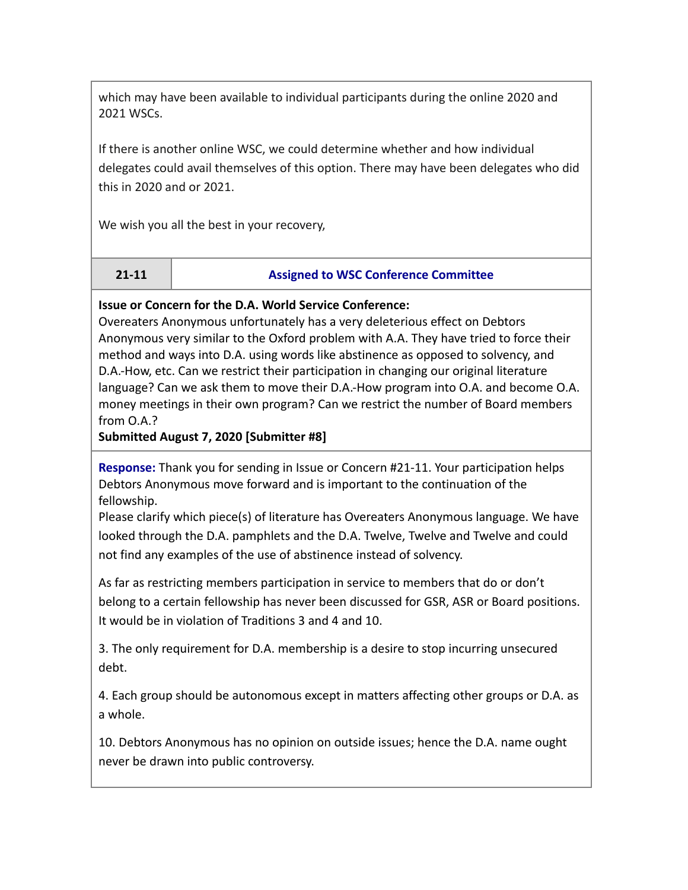which may have been available to individual participants during the online 2020 and 2021 WSCs.

If there is another online WSC, we could determine whether and how individual delegates could avail themselves of this option. There may have been delegates who did this in 2020 and or 2021.

We wish you all the best in your recovery,

#### **21-11 Assigned to WSC Conference Committee**

#### **Issue or Concern for the D.A. World Service Conference:**

Overeaters Anonymous unfortunately has a very deleterious effect on Debtors Anonymous very similar to the Oxford problem with A.A. They have tried to force their method and ways into D.A. using words like abstinence as opposed to solvency, and D.A.-How, etc. Can we restrict their participation in changing our original literature language? Can we ask them to move their D.A.-How program into O.A. and become O.A. money meetings in their own program? Can we restrict the number of Board members from O.A.?

**Submitted August 7, 2020 [Submitter #8]**

**Response:** Thank you for sending in Issue or Concern #21-11. Your participation helps Debtors Anonymous move forward and is important to the continuation of the fellowship.

Please clarify which piece(s) of literature has Overeaters Anonymous language. We have looked through the D.A. pamphlets and the D.A. Twelve, Twelve and Twelve and could not find any examples of the use of abstinence instead of solvency.

As far as restricting members participation in service to members that do or don't belong to a certain fellowship has never been discussed for GSR, ASR or Board positions. It would be in violation of Traditions 3 and 4 and 10.

3. The only requirement for D.A. membership is a desire to stop incurring unsecured debt.

4. Each group should be autonomous except in matters affecting other groups or D.A. as a whole.

10. Debtors Anonymous has no opinion on outside issues; hence the D.A. name ought never be drawn into public controversy.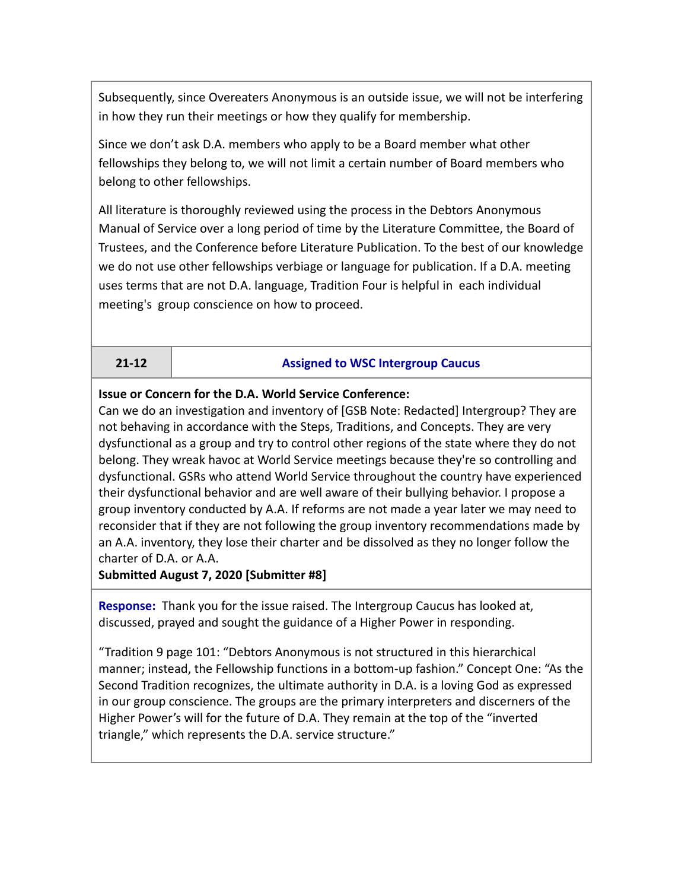Subsequently, since Overeaters Anonymous is an outside issue, we will not be interfering in how they run their meetings or how they qualify for membership.

Since we don't ask D.A. members who apply to be a Board member what other fellowships they belong to, we will not limit a certain number of Board members who belong to other fellowships.

All literature is thoroughly reviewed using the process in the Debtors Anonymous Manual of Service over a long period of time by the Literature Committee, the Board of Trustees, and the Conference before Literature Publication. To the best of our knowledge we do not use other fellowships verbiage or language for publication. If a D.A. meeting uses terms that are not D.A. language, Tradition Four is helpful in each individual meeting's group conscience on how to proceed.

#### **21-12 Assigned to WSC Intergroup Caucus**

#### **Issue or Concern for the D.A. World Service Conference:**

Can we do an investigation and inventory of [GSB Note: Redacted] Intergroup? They are not behaving in accordance with the Steps, Traditions, and Concepts. They are very dysfunctional as a group and try to control other regions of the state where they do not belong. They wreak havoc at World Service meetings because they're so controlling and dysfunctional. GSRs who attend World Service throughout the country have experienced their dysfunctional behavior and are well aware of their bullying behavior. I propose a group inventory conducted by A.A. If reforms are not made a year later we may need to reconsider that if they are not following the group inventory recommendations made by an A.A. inventory, they lose their charter and be dissolved as they no longer follow the charter of D.A. or A.A.

**Submitted August 7, 2020 [Submitter #8]**

**Response:** Thank you for the issue raised. The Intergroup Caucus has looked at, discussed, prayed and sought the guidance of a Higher Power in responding.

"Tradition 9 page 101: "Debtors Anonymous is not structured in this hierarchical manner; instead, the Fellowship functions in a bottom-up fashion." Concept One: "As the Second Tradition recognizes, the ultimate authority in D.A. is a loving God as expressed in our group conscience. The groups are the primary interpreters and discerners of the Higher Power's will for the future of D.A. They remain at the top of the "inverted triangle," which represents the D.A. service structure."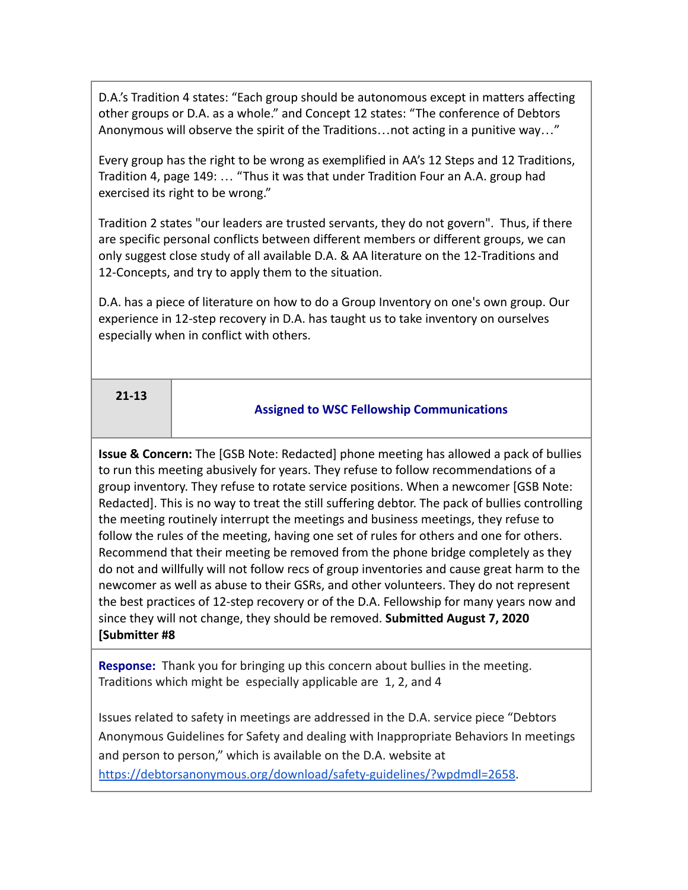D.A.'s Tradition 4 states: "Each group should be autonomous except in matters affecting other groups or D.A. as a whole." and Concept 12 states: "The conference of Debtors Anonymous will observe the spirit of the Traditions…not acting in a punitive way…"

Every group has the right to be wrong as exemplified in AA's 12 Steps and 12 Traditions, Tradition 4, page 149: … "Thus it was that under Tradition Four an A.A. group had exercised its right to be wrong."

Tradition 2 states "our leaders are trusted servants, they do not govern". Thus, if there are specific personal conflicts between different members or different groups, we can only suggest close study of all available D.A. & AA literature on the 12-Traditions and 12-Concepts, and try to apply them to the situation.

D.A. has a piece of literature on how to do a Group Inventory on one's own group. Our experience in 12-step recovery in D.A. has taught us to take inventory on ourselves especially when in conflict with others.

# **21-13**

# **Assigned to WSC Fellowship Communications**

**Issue & Concern:** The [GSB Note: Redacted] phone meeting has allowed a pack of bullies to run this meeting abusively for years. They refuse to follow recommendations of a group inventory. They refuse to rotate service positions. When a newcomer [GSB Note: Redacted]. This is no way to treat the still suffering debtor. The pack of bullies controlling the meeting routinely interrupt the meetings and business meetings, they refuse to follow the rules of the meeting, having one set of rules for others and one for others. Recommend that their meeting be removed from the phone bridge completely as they do not and willfully will not follow recs of group inventories and cause great harm to the newcomer as well as abuse to their GSRs, and other volunteers. They do not represent the best practices of 12-step recovery or of the D.A. Fellowship for many years now and since they will not change, they should be removed. **Submitted August 7, 2020 [Submitter #8**

**Response:** Thank you for bringing up this concern about bullies in the meeting. Traditions which might be especially applicable are 1, 2, and 4

Issues related to safety in meetings are addressed in the D.A. service piece "Debtors Anonymous Guidelines for Safety and dealing with Inappropriate Behaviors In meetings and person to person," which is available on the D.A. website at [https://debtorsanonymous.org/download/safety-guidelines/?wpdmdl=2658.](https://debtorsanonymous.org/download/safety-guidelines/?wpdmdl=2658)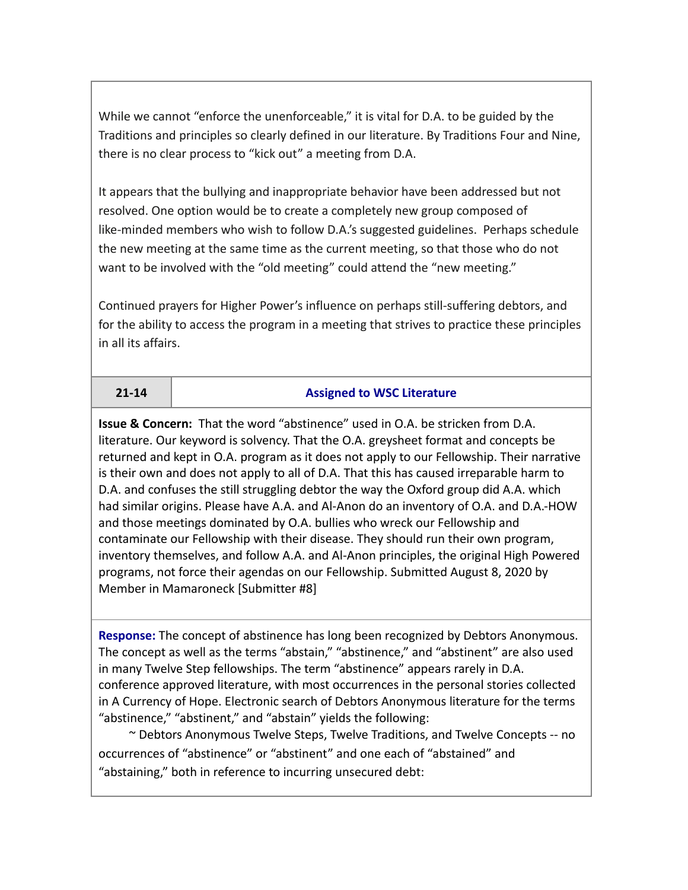While we cannot "enforce the unenforceable," it is vital for D.A. to be guided by the Traditions and principles so clearly defined in our literature. By Traditions Four and Nine, there is no clear process to "kick out" a meeting from D.A.

It appears that the bullying and inappropriate behavior have been addressed but not resolved. One option would be to create a completely new group composed of like-minded members who wish to follow D.A.'s suggested guidelines. Perhaps schedule the new meeting at the same time as the current meeting, so that those who do not want to be involved with the "old meeting" could attend the "new meeting."

Continued prayers for Higher Power's influence on perhaps still-suffering debtors, and for the ability to access the program in a meeting that strives to practice these principles in all its affairs.

#### **21-14 Assigned to WSC Literature**

**Issue & Concern:** That the word "abstinence" used in O.A. be stricken from D.A. literature. Our keyword is solvency. That the O.A. greysheet format and concepts be returned and kept in O.A. program as it does not apply to our Fellowship. Their narrative is their own and does not apply to all of D.A. That this has caused irreparable harm to D.A. and confuses the still struggling debtor the way the Oxford group did A.A. which had similar origins. Please have A.A. and Al-Anon do an inventory of O.A. and D.A.-HOW and those meetings dominated by O.A. bullies who wreck our Fellowship and contaminate our Fellowship with their disease. They should run their own program, inventory themselves, and follow A.A. and Al-Anon principles, the original High Powered programs, not force their agendas on our Fellowship. Submitted August 8, 2020 by Member in Mamaroneck [Submitter #8]

**Response:** The concept of abstinence has long been recognized by Debtors Anonymous. The concept as well as the terms "abstain," "abstinence," and "abstinent" are also used in many Twelve Step fellowships. The term "abstinence" appears rarely in D.A. conference approved literature, with most occurrences in the personal stories collected in A Currency of Hope. Electronic search of Debtors Anonymous literature for the terms "abstinence," "abstinent," and "abstain" yields the following:

~ Debtors Anonymous Twelve Steps, Twelve Traditions, and Twelve Concepts -- no occurrences of "abstinence" or "abstinent" and one each of "abstained" and "abstaining," both in reference to incurring unsecured debt: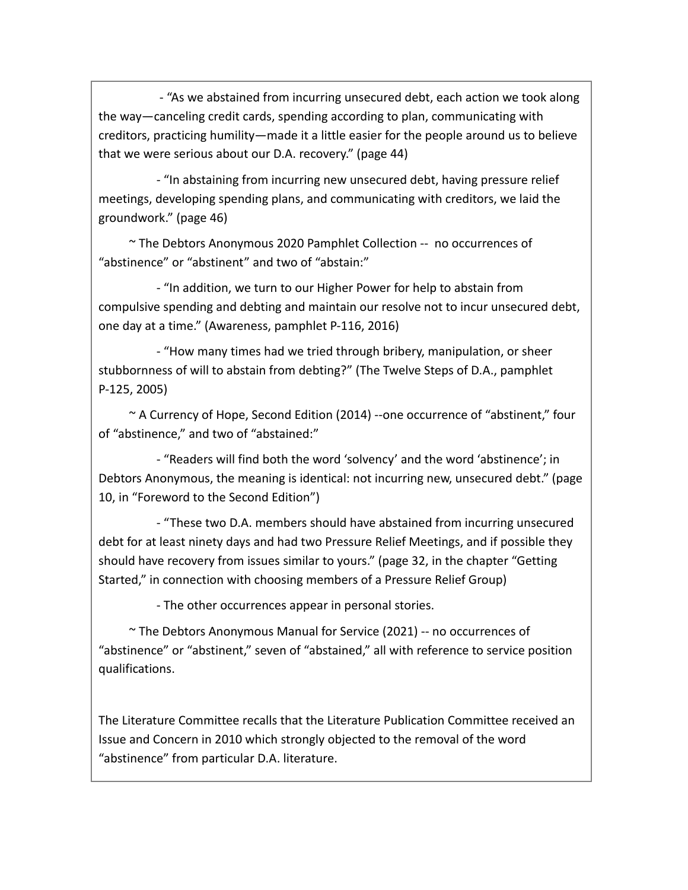- "As we abstained from incurring unsecured debt, each action we took along the way—canceling credit cards, spending according to plan, communicating with creditors, practicing humility—made it a little easier for the people around us to believe that we were serious about our D.A. recovery." (page 44)

- "In abstaining from incurring new unsecured debt, having pressure relief meetings, developing spending plans, and communicating with creditors, we laid the groundwork." (page 46)

~ The Debtors Anonymous 2020 Pamphlet Collection -- no occurrences of "abstinence" or "abstinent" and two of "abstain:"

- "In addition, we turn to our Higher Power for help to abstain from compulsive spending and debting and maintain our resolve not to incur unsecured debt, one day at a time." (Awareness, pamphlet P-116, 2016)

- "How many times had we tried through bribery, manipulation, or sheer stubbornness of will to abstain from debting?" (The Twelve Steps of D.A., pamphlet P-125, 2005)

~ A Currency of Hope, Second Edition (2014) --one occurrence of "abstinent," four of "abstinence," and two of "abstained:"

- "Readers will find both the word 'solvency' and the word 'abstinence'; in Debtors Anonymous, the meaning is identical: not incurring new, unsecured debt." (page 10, in "Foreword to the Second Edition")

- "These two D.A. members should have abstained from incurring unsecured debt for at least ninety days and had two Pressure Relief Meetings, and if possible they should have recovery from issues similar to yours." (page 32, in the chapter "Getting Started," in connection with choosing members of a Pressure Relief Group)

- The other occurrences appear in personal stories.

 $\sim$  The Debtors Anonymous Manual for Service (2021) -- no occurrences of "abstinence" or "abstinent," seven of "abstained," all with reference to service position qualifications.

The Literature Committee recalls that the Literature Publication Committee received an Issue and Concern in 2010 which strongly objected to the removal of the word "abstinence" from particular D.A. literature.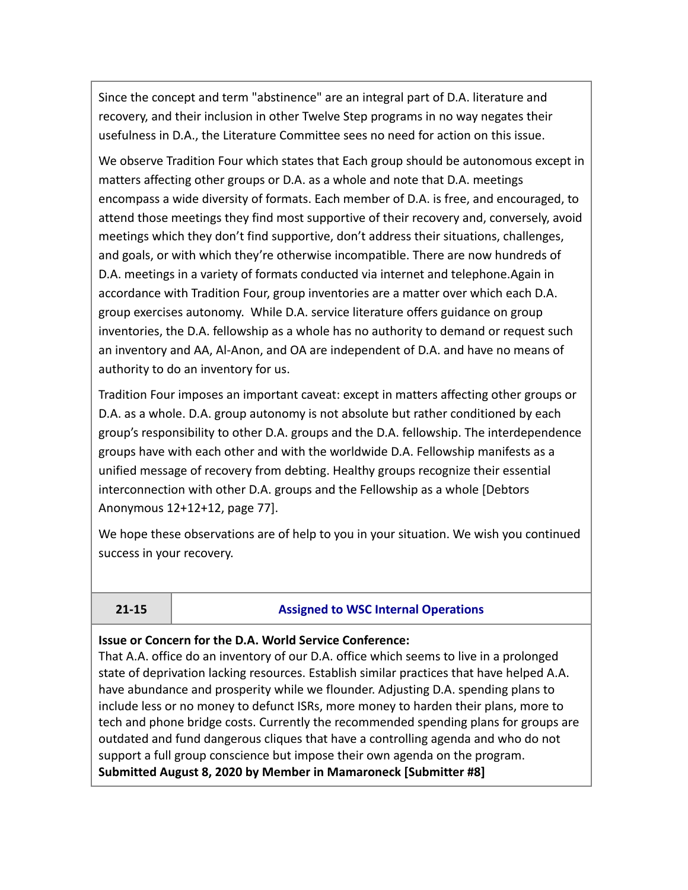Since the concept and term "abstinence" are an integral part of D.A. literature and recovery, and their inclusion in other Twelve Step programs in no way negates their usefulness in D.A., the Literature Committee sees no need for action on this issue.

We observe Tradition Four which states that Each group should be autonomous except in matters affecting other groups or D.A. as a whole and note that D.A. meetings encompass a wide diversity of formats. Each member of D.A. is free, and encouraged, to attend those meetings they find most supportive of their recovery and, conversely, avoid meetings which they don't find supportive, don't address their situations, challenges, and goals, or with which they're otherwise incompatible. There are now hundreds of D.A. meetings in a variety of formats conducted via internet and telephone.Again in accordance with Tradition Four, group inventories are a matter over which each D.A. group exercises autonomy. While D.A. service literature offers guidance on group inventories, the D.A. fellowship as a whole has no authority to demand or request such an inventory and AA, Al-Anon, and OA are independent of D.A. and have no means of authority to do an inventory for us.

Tradition Four imposes an important caveat: except in matters affecting other groups or D.A. as a whole. D.A. group autonomy is not absolute but rather conditioned by each group's responsibility to other D.A. groups and the D.A. fellowship. The interdependence groups have with each other and with the worldwide D.A. Fellowship manifests as a unified message of recovery from debting. Healthy groups recognize their essential interconnection with other D.A. groups and the Fellowship as a whole [Debtors Anonymous 12+12+12, page 77].

We hope these observations are of help to you in your situation. We wish you continued success in your recovery.

### **21-15 Assigned to WSC Internal Operations**

### **Issue or Concern for the D.A. World Service Conference:**

That A.A. office do an inventory of our D.A. office which seems to live in a prolonged state of deprivation lacking resources. Establish similar practices that have helped A.A. have abundance and prosperity while we flounder. Adjusting D.A. spending plans to include less or no money to defunct ISRs, more money to harden their plans, more to tech and phone bridge costs. Currently the recommended spending plans for groups are outdated and fund dangerous cliques that have a controlling agenda and who do not support a full group conscience but impose their own agenda on the program. **Submitted August 8, 2020 by Member in Mamaroneck [Submitter #8]**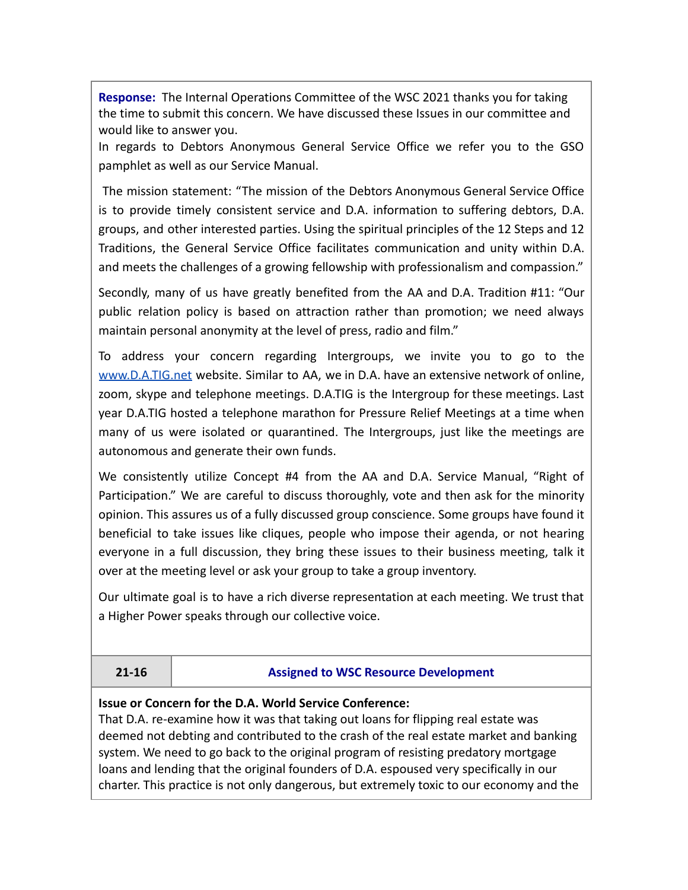**Response:** The Internal Operations Committee of the WSC 2021 thanks you for taking the time to submit this concern. We have discussed these Issues in our committee and would like to answer you.

In regards to Debtors Anonymous General Service Office we refer you to the GSO pamphlet as well as our Service Manual.

The mission statement: "The mission of the Debtors Anonymous General Service Office is to provide timely consistent service and D.A. information to suffering debtors, D.A. groups, and other interested parties. Using the spiritual principles of the 12 Steps and 12 Traditions, the General Service Office facilitates communication and unity within D.A. and meets the challenges of a growing fellowship with professionalism and compassion."

Secondly, many of us have greatly benefited from the AA and D.A. Tradition #11: "Our public relation policy is based on attraction rather than promotion; we need always maintain personal anonymity at the level of press, radio and film."

To address your concern regarding Intergroups, we invite you to go to th[e](http://www.datig.net) [www.D.A.TIG.net](http://www.datig.net) website. Similar to AA, we in D.A. have an extensive network of online, zoom, skype and telephone meetings. D.A.TIG is the Intergroup for these meetings. Last year D.A.TIG hosted a telephone marathon for Pressure Relief Meetings at a time when many of us were isolated or quarantined. The Intergroups, just like the meetings are autonomous and generate their own funds.

We consistently utilize Concept #4 from the AA and D.A. Service Manual, "Right of Participation." We are careful to discuss thoroughly, vote and then ask for the minority opinion. This assures us of a fully discussed group conscience. Some groups have found it beneficial to take issues like cliques, people who impose their agenda, or not hearing everyone in a full discussion, they bring these issues to their business meeting, talk it over at the meeting level or ask your group to take a group inventory.

Our ultimate goal is to have a rich diverse representation at each meeting. We trust that a Higher Power speaks through our collective voice.

#### **21-16 Assigned to WSC Resource Development**

**Issue or Concern for the D.A. World Service Conference:**

That D.A. re-examine how it was that taking out loans for flipping real estate was deemed not debting and contributed to the crash of the real estate market and banking system. We need to go back to the original program of resisting predatory mortgage loans and lending that the original founders of D.A. espoused very specifically in our charter. This practice is not only dangerous, but extremely toxic to our economy and the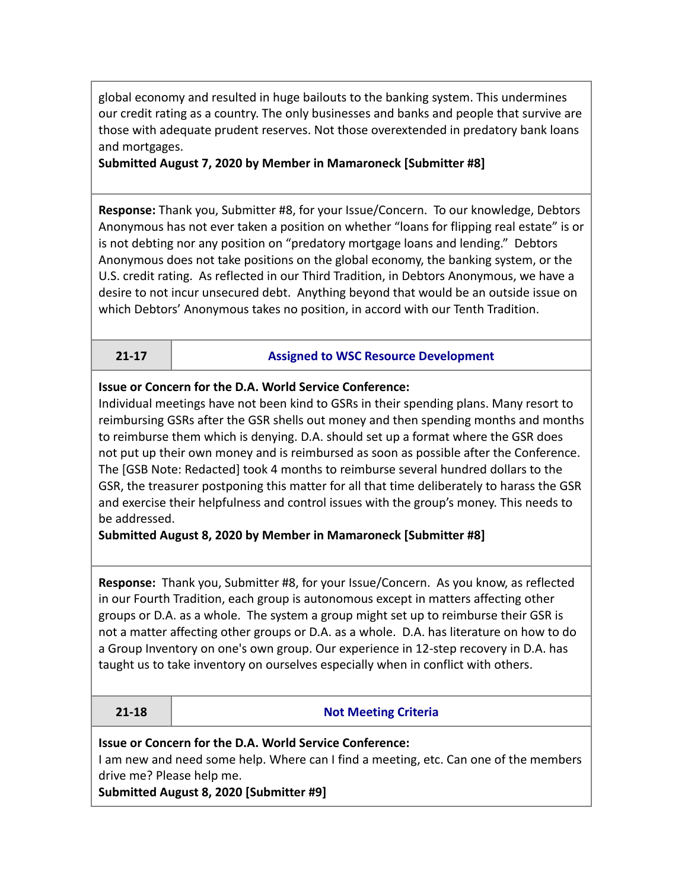global economy and resulted in huge bailouts to the banking system. This undermines our credit rating as a country. The only businesses and banks and people that survive are those with adequate prudent reserves. Not those overextended in predatory bank loans and mortgages.

### **Submitted August 7, 2020 by Member in Mamaroneck [Submitter #8]**

**Response:** Thank you, Submitter #8, for your Issue/Concern. To our knowledge, Debtors Anonymous has not ever taken a position on whether "loans for flipping real estate" is or is not debting nor any position on "predatory mortgage loans and lending." Debtors Anonymous does not take positions on the global economy, the banking system, or the U.S. credit rating. As reflected in our Third Tradition, in Debtors Anonymous, we have a desire to not incur unsecured debt. Anything beyond that would be an outside issue on which Debtors' Anonymous takes no position, in accord with our Tenth Tradition.

#### **21-17 Assigned to WSC Resource Development**

### **Issue or Concern for the D.A. World Service Conference:**

Individual meetings have not been kind to GSRs in their spending plans. Many resort to reimbursing GSRs after the GSR shells out money and then spending months and months to reimburse them which is denying. D.A. should set up a format where the GSR does not put up their own money and is reimbursed as soon as possible after the Conference. The [GSB Note: Redacted] took 4 months to reimburse several hundred dollars to the GSR, the treasurer postponing this matter for all that time deliberately to harass the GSR and exercise their helpfulness and control issues with the group's money. This needs to be addressed.

### **Submitted August 8, 2020 by Member in Mamaroneck [Submitter #8]**

**Response:** Thank you, Submitter #8, for your Issue/Concern. As you know, as reflected in our Fourth Tradition, each group is autonomous except in matters affecting other groups or D.A. as a whole. The system a group might set up to reimburse their GSR is not a matter affecting other groups or D.A. as a whole. D.A. has literature on how to do a Group Inventory on one's own group. Our experience in 12-step recovery in D.A. has taught us to take inventory on ourselves especially when in conflict with others.

| ъ | ÷ | ۰<br>o |
|---|---|--------|
|   |   |        |

### **21-18 Not Meeting Criteria**

**Issue or Concern for the D.A. World Service Conference:** I am new and need some help. Where can I find a meeting, etc. Can one of the members drive me? Please help me.

**Submitted August 8, 2020 [Submitter #9]**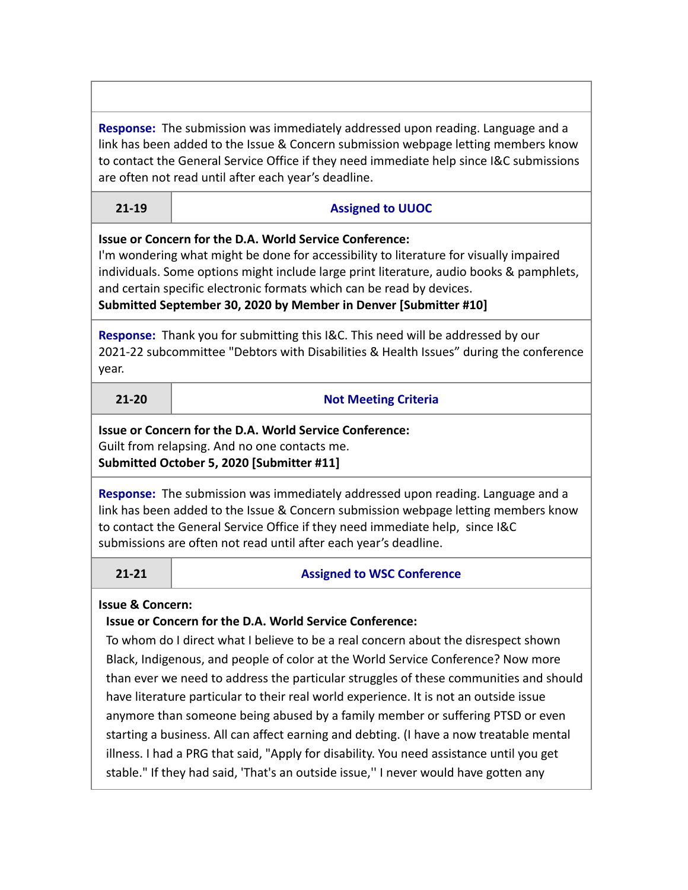**Response:** The submission was immediately addressed upon reading. Language and a link has been added to the Issue & Concern submission webpage letting members know to contact the General Service Office if they need immediate help since I&C submissions are often not read until after each year's deadline.

#### **21-19 Assigned to UUOC**

### **Issue or Concern for the D.A. World Service Conference:**

I'm wondering what might be done for accessibility to literature for visually impaired individuals. Some options might include large print literature, audio books & pamphlets, and certain specific electronic formats which can be read by devices.

# **Submitted September 30, 2020 by Member in Denver [Submitter #10]**

**Response:** Thank you for submitting this I&C. This need will be addressed by our 2021-22 subcommittee "Debtors with Disabilities & Health Issues" during the conference year.

**21-20 Not Meeting Criteria**

### **Issue or Concern for the D.A. World Service Conference:** Guilt from relapsing. And no one contacts me. **Submitted October 5, 2020 [Submitter #11]**

**Response:** The submission was immediately addressed upon reading. Language and a link has been added to the Issue & Concern submission webpage letting members know to contact the General Service Office if they need immediate help, since I&C submissions are often not read until after each year's deadline.

### **21-21 Assigned to WSC Conference**

# **Issue & Concern:**

# **Issue or Concern for the D.A. World Service Conference:**

To whom do I direct what I believe to be a real concern about the disrespect shown Black, Indigenous, and people of color at the World Service Conference? Now more than ever we need to address the particular struggles of these communities and should have literature particular to their real world experience. It is not an outside issue anymore than someone being abused by a family member or suffering PTSD or even starting a business. All can affect earning and debting. (I have a now treatable mental illness. I had a PRG that said, "Apply for disability. You need assistance until you get stable." If they had said, 'That's an outside issue,'' I never would have gotten any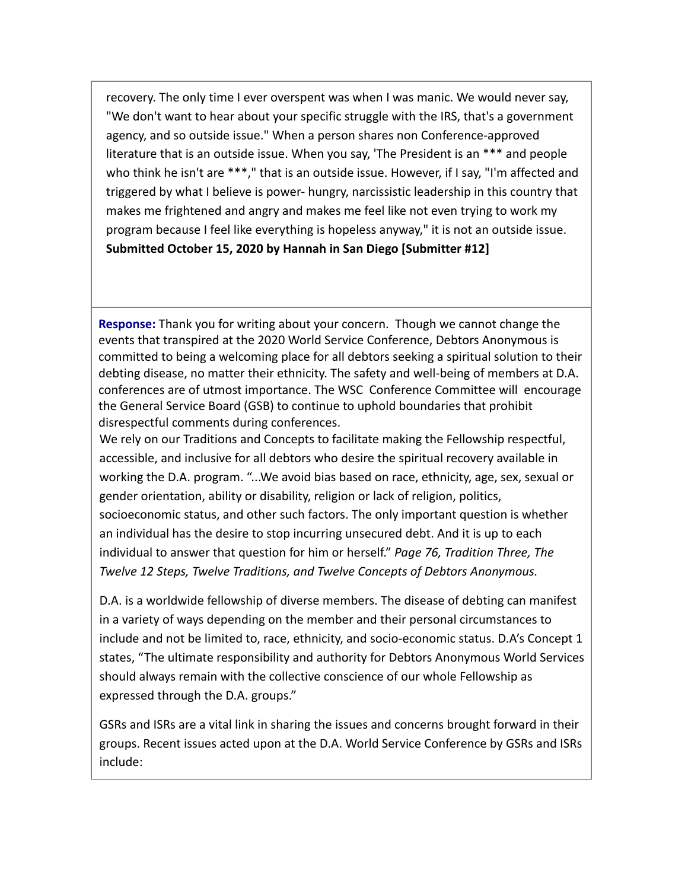recovery. The only time I ever overspent was when I was manic. We would never say, "We don't want to hear about your specific struggle with the IRS, that's a government agency, and so outside issue." When a person shares non Conference-approved literature that is an outside issue. When you say, 'The President is an \*\*\* and people who think he isn't are \*\*\*," that is an outside issue. However, if I say, "I'm affected and triggered by what I believe is power- hungry, narcissistic leadership in this country that makes me frightened and angry and makes me feel like not even trying to work my program because I feel like everything is hopeless anyway," it is not an outside issue. **Submitted October 15, 2020 by Hannah in San Diego [Submitter #12]**

**Response:** Thank you for writing about your concern. Though we cannot change the events that transpired at the 2020 World Service Conference, Debtors Anonymous is committed to being a welcoming place for all debtors seeking a spiritual solution to their debting disease, no matter their ethnicity. The safety and well-being of members at D.A. conferences are of utmost importance. The WSC Conference Committee will encourage the General Service Board (GSB) to continue to uphold boundaries that prohibit disrespectful comments during conferences.

We rely on our Traditions and Concepts to facilitate making the Fellowship respectful, accessible, and inclusive for all debtors who desire the spiritual recovery available in working the D.A. program. "...We avoid bias based on race, ethnicity, age, sex, sexual or gender orientation, ability or disability, religion or lack of religion, politics, socioeconomic status, and other such factors. The only important question is whether an individual has the desire to stop incurring unsecured debt. And it is up to each individual to answer that question for him or herself." *Page 76, Tradition Three, The Twelve 12 Steps, Twelve Traditions, and Twelve Concepts of Debtors Anonymous.*

D.A. is a worldwide fellowship of diverse members. The disease of debting can manifest in a variety of ways depending on the member and their personal circumstances to include and not be limited to, race, ethnicity, and socio-economic status. D.A's Concept 1 states, "The ultimate responsibility and authority for Debtors Anonymous World Services should always remain with the collective conscience of our whole Fellowship as expressed through the D.A. groups."

GSRs and ISRs are a vital link in sharing the issues and concerns brought forward in their groups. Recent issues acted upon at the D.A. World Service Conference by GSRs and ISRs include: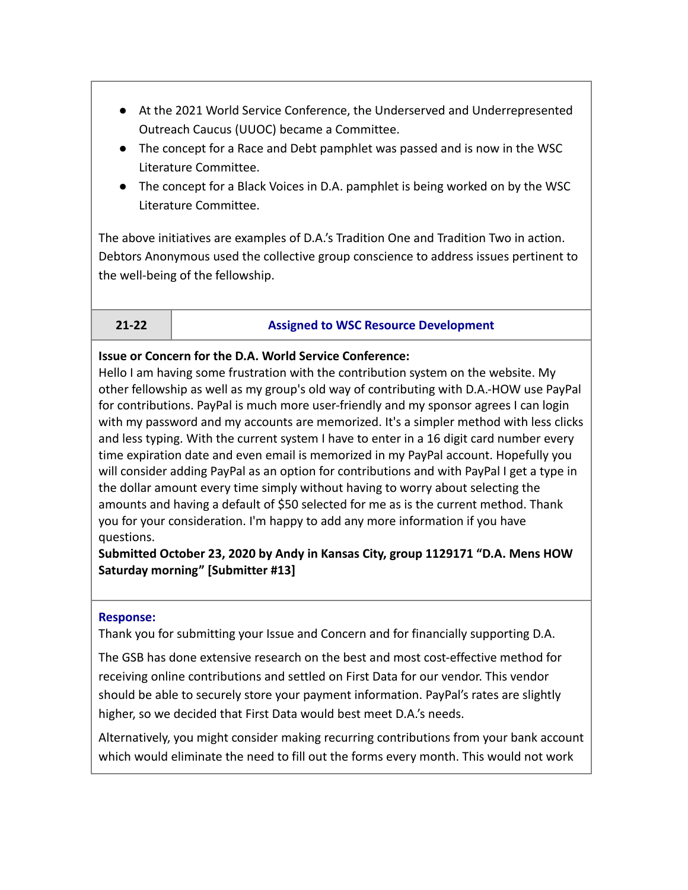- At the 2021 World Service Conference, the Underserved and Underrepresented Outreach Caucus (UUOC) became a Committee.
- The concept for a Race and Debt pamphlet was passed and is now in the WSC Literature Committee.
- The concept for a Black Voices in D.A. pamphlet is being worked on by the WSC Literature Committee.

The above initiatives are examples of D.A.'s Tradition One and Tradition Two in action. Debtors Anonymous used the collective group conscience to address issues pertinent to the well-being of the fellowship.

#### **21-22 Assigned to WSC Resource Development**

#### **Issue or Concern for the D.A. World Service Conference:**

Hello I am having some frustration with the contribution system on the website. My other fellowship as well as my group's old way of contributing with D.A.-HOW use PayPal for contributions. PayPal is much more user-friendly and my sponsor agrees I can login with my password and my accounts are memorized. It's a simpler method with less clicks and less typing. With the current system I have to enter in a 16 digit card number every time expiration date and even email is memorized in my PayPal account. Hopefully you will consider adding PayPal as an option for contributions and with PayPal I get a type in the dollar amount every time simply without having to worry about selecting the amounts and having a default of \$50 selected for me as is the current method. Thank you for your consideration. I'm happy to add any more information if you have questions.

# **Submitted October 23, 2020 by Andy in Kansas City, group 1129171 "D.A. Mens HOW Saturday morning" [Submitter #13]**

#### **Response:**

Thank you for submitting your Issue and Concern and for financially supporting D.A.

The GSB has done extensive research on the best and most cost-effective method for receiving online contributions and settled on First Data for our vendor. This vendor should be able to securely store your payment information. PayPal's rates are slightly higher, so we decided that First Data would best meet D.A.'s needs.

Alternatively, you might consider making recurring contributions from your bank account which would eliminate the need to fill out the forms every month. This would not work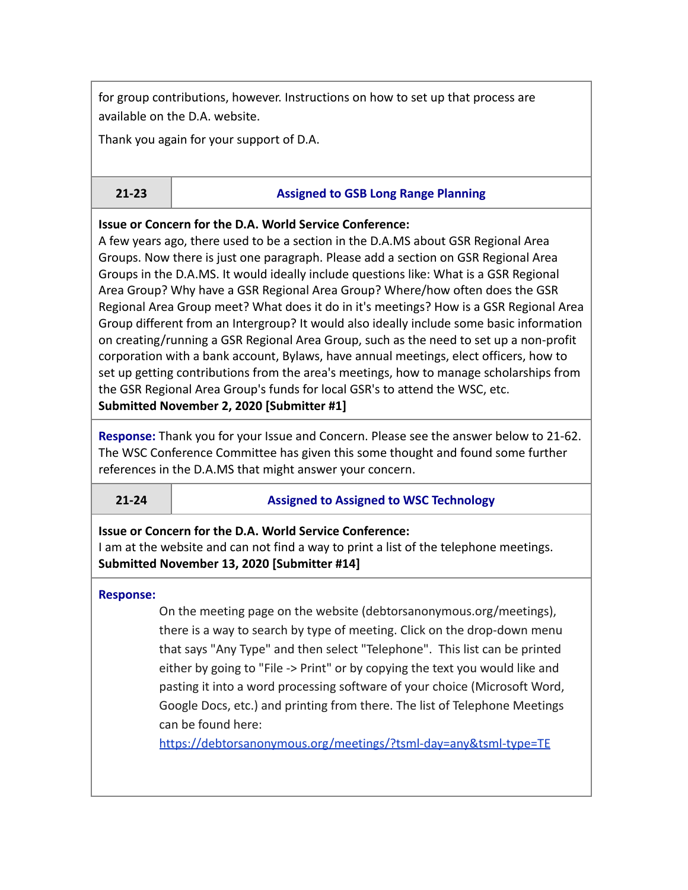for group contributions, however. Instructions on how to set up that process are available on the D.A. website.

Thank you again for your support of D.A.

#### **21-23 Assigned to GSB Long Range Planning**

**Issue or Concern for the D.A. World Service Conference:**

A few years ago, there used to be a section in the D.A.MS about GSR Regional Area Groups. Now there is just one paragraph. Please add a section on GSR Regional Area Groups in the D.A.MS. It would ideally include questions like: What is a GSR Regional Area Group? Why have a GSR Regional Area Group? Where/how often does the GSR Regional Area Group meet? What does it do in it's meetings? How is a GSR Regional Area Group different from an Intergroup? It would also ideally include some basic information on creating/running a GSR Regional Area Group, such as the need to set up a non-profit corporation with a bank account, Bylaws, have annual meetings, elect officers, how to set up getting contributions from the area's meetings, how to manage scholarships from the GSR Regional Area Group's funds for local GSR's to attend the WSC, etc. **Submitted November 2, 2020 [Submitter #1]**

**Response:** Thank you for your Issue and Concern. Please see the answer below to 21-62. The WSC Conference Committee has given this some thought and found some further references in the D.A.MS that might answer your concern.

### **21-24 Assigned to Assigned to WSC Technology**

### **Issue or Concern for the D.A. World Service Conference:**

I am at the website and can not find a way to print a list of the telephone meetings. **Submitted November 13, 2020 [Submitter #14]**

#### **Response:**

On the meeting page on the website (debtorsanonymous.org/meetings), there is a way to search by type of meeting. Click on the drop-down menu that says "Any Type" and then select "Telephone". This list can be printed either by going to "File -> Print" or by copying the text you would like and pasting it into a word processing software of your choice (Microsoft Word, Google Docs, etc.) and printing from there. The list of Telephone Meetings can be found here[:](https://debtorsanonymous.org/meetings/?tsml-day=any&tsml-type=TE)

<https://debtorsanonymous.org/meetings/?tsml-day=any&tsml-type=TE>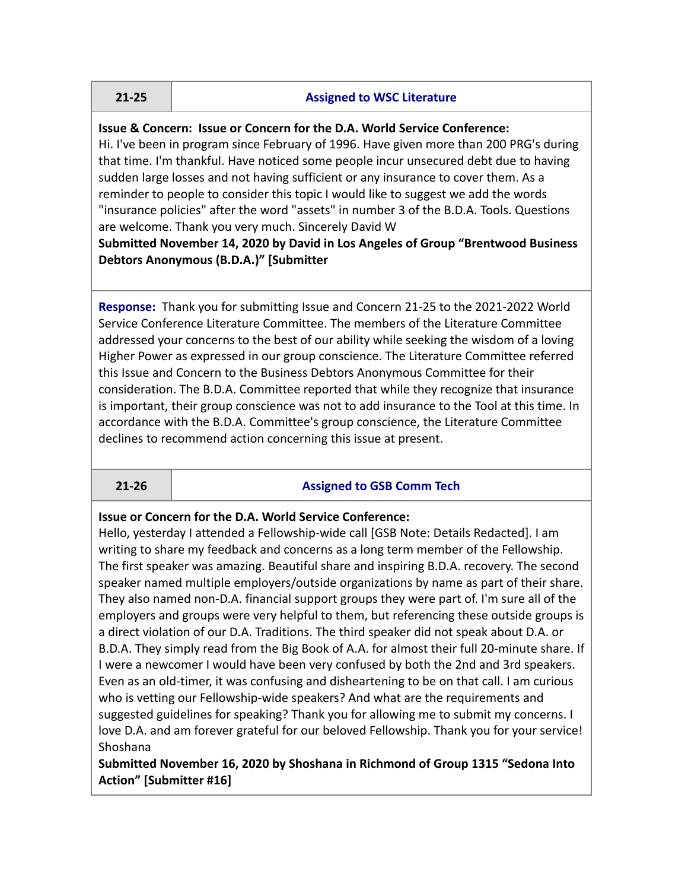#### **21-25 Assigned to WSC Literature**

**Issue & Concern: Issue or Concern for the D.A. World Service Conference:**

Hi. I've been in program since February of 1996. Have given more than 200 PRG's during that time. I'm thankful. Have noticed some people incur unsecured debt due to having sudden large losses and not having sufficient or any insurance to cover them. As a reminder to people to consider this topic I would like to suggest we add the words "insurance policies" after the word "assets" in number 3 of the B.D.A. Tools. Questions are welcome. Thank you very much. Sincerely David W

### **Submitted November 14, 2020 by David in Los Angeles of Group "Brentwood Business Debtors Anonymous (B.D.A.)" [Submitter**

**Response:** Thank you for submitting Issue and Concern 21-25 to the 2021-2022 World Service Conference Literature Committee. The members of the Literature Committee addressed your concerns to the best of our ability while seeking the wisdom of a loving Higher Power as expressed in our group conscience. The Literature Committee referred this Issue and Concern to the Business Debtors Anonymous Committee for their consideration. The B.D.A. Committee reported that while they recognize that insurance is important, their group conscience was not to add insurance to the Tool at this time. In accordance with the B.D.A. Committee's group conscience, the Literature Committee declines to recommend action concerning this issue at present.

#### **21-26 Assigned to GSB Comm Tech**

**Issue or Concern for the D.A. World Service Conference:**

Hello, yesterday I attended a Fellowship-wide call [GSB Note: Details Redacted]. I am writing to share my feedback and concerns as a long term member of the Fellowship. The first speaker was amazing. Beautiful share and inspiring B.D.A. recovery. The second speaker named multiple employers/outside organizations by name as part of their share. They also named non-D.A. financial support groups they were part of. I'm sure all of the employers and groups were very helpful to them, but referencing these outside groups is a direct violation of our D.A. Traditions. The third speaker did not speak about D.A. or B.D.A. They simply read from the Big Book of A.A. for almost their full 20-minute share. If I were a newcomer I would have been very confused by both the 2nd and 3rd speakers. Even as an old-timer, it was confusing and disheartening to be on that call. I am curious who is vetting our Fellowship-wide speakers? And what are the requirements and suggested guidelines for speaking? Thank you for allowing me to submit my concerns. I love D.A. and am forever grateful for our beloved Fellowship. Thank you for your service! Shoshana

**Submitted November 16, 2020 by Shoshana in Richmond of Group 1315 "Sedona Into Action" [Submitter #16]**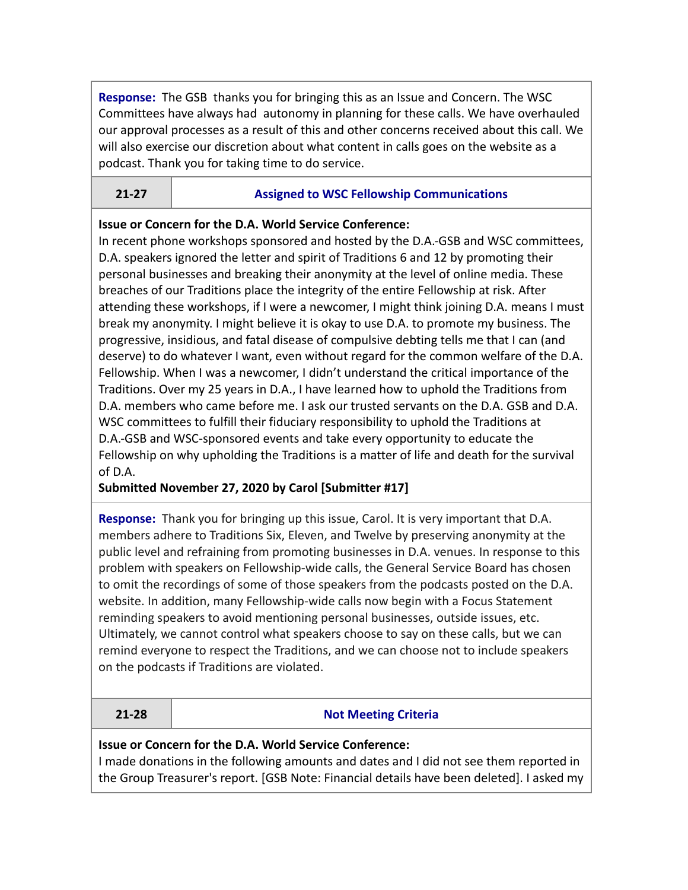**Response:** The GSB thanks you for bringing this as an Issue and Concern. The WSC Committees have always had autonomy in planning for these calls. We have overhauled our approval processes as a result of this and other concerns received about this call. We will also exercise our discretion about what content in calls goes on the website as a podcast. Thank you for taking time to do service.

# **21-27 Assigned to WSC Fellowship Communications**

# **Issue or Concern for the D.A. World Service Conference:**

In recent phone workshops sponsored and hosted by the D.A.-GSB and WSC committees, D.A. speakers ignored the letter and spirit of Traditions 6 and 12 by promoting their personal businesses and breaking their anonymity at the level of online media. These breaches of our Traditions place the integrity of the entire Fellowship at risk. After attending these workshops, if I were a newcomer, I might think joining D.A. means I must break my anonymity. I might believe it is okay to use D.A. to promote my business. The progressive, insidious, and fatal disease of compulsive debting tells me that I can (and deserve) to do whatever I want, even without regard for the common welfare of the D.A. Fellowship. When I was a newcomer, I didn't understand the critical importance of the Traditions. Over my 25 years in D.A., I have learned how to uphold the Traditions from D.A. members who came before me. I ask our trusted servants on the D.A. GSB and D.A. WSC committees to fulfill their fiduciary responsibility to uphold the Traditions at D.A.-GSB and WSC-sponsored events and take every opportunity to educate the Fellowship on why upholding the Traditions is a matter of life and death for the survival of D.A.

# **Submitted November 27, 2020 by Carol [Submitter #17]**

**Response:** Thank you for bringing up this issue, Carol. It is very important that D.A. members adhere to Traditions Six, Eleven, and Twelve by preserving anonymity at the public level and refraining from promoting businesses in D.A. venues. In response to this problem with speakers on Fellowship-wide calls, the General Service Board has chosen to omit the recordings of some of those speakers from the podcasts posted on the D.A. website. In addition, many Fellowship-wide calls now begin with a Focus Statement reminding speakers to avoid mentioning personal businesses, outside issues, etc. Ultimately, we cannot control what speakers choose to say on these calls, but we can remind everyone to respect the Traditions, and we can choose not to include speakers on the podcasts if Traditions are violated.

### **21-28 Not Meeting Criteria**

### **Issue or Concern for the D.A. World Service Conference:**

I made donations in the following amounts and dates and I did not see them reported in the Group Treasurer's report. [GSB Note: Financial details have been deleted]. I asked my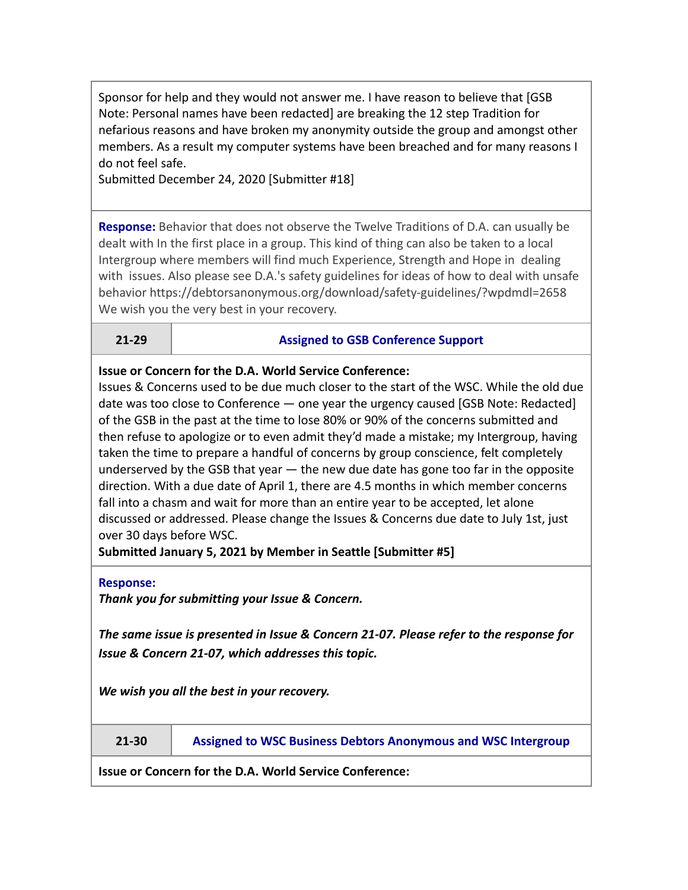Sponsor for help and they would not answer me. I have reason to believe that [GSB Note: Personal names have been redacted] are breaking the 12 step Tradition for nefarious reasons and have broken my anonymity outside the group and amongst other members. As a result my computer systems have been breached and for many reasons I do not feel safe.

Submitted December 24, 2020 [Submitter #18]

**Response:** Behavior that does not observe the Twelve Traditions of D.A. can usually be dealt with In the first place in a group. This kind of thing can also be taken to a local Intergroup where members will find much Experience, Strength and Hope in dealing with issues. Also please see D.A.'s safety guidelines for ideas of how to deal with unsafe behavior https://debtorsanonymous.org/download/safety-guidelines/?wpdmdl=2658 We wish you the very best in your recovery.

**21-29 Assigned to GSB Conference Support**

**Issue or Concern for the D.A. World Service Conference:**

Issues & Concerns used to be due much closer to the start of the WSC. While the old due date was too close to Conference — one year the urgency caused [GSB Note: Redacted] of the GSB in the past at the time to lose 80% or 90% of the concerns submitted and then refuse to apologize or to even admit they'd made a mistake; my Intergroup, having taken the time to prepare a handful of concerns by group conscience, felt completely underserved by the GSB that year — the new due date has gone too far in the opposite direction. With a due date of April 1, there are 4.5 months in which member concerns fall into a chasm and wait for more than an entire year to be accepted, let alone discussed or addressed. Please change the Issues & Concerns due date to July 1st, just over 30 days before WSC.

**Submitted January 5, 2021 by Member in Seattle [Submitter #5]**

#### **Response:**

*Thank you for submitting your Issue & Concern.*

*The same issue is presented in Issue & Concern 21-07. Please refer to the response for Issue & Concern 21-07, which addresses this topic.*

*We wish you all the best in your recovery.*

**21-30 Assigned to WSC Business Debtors Anonymous and WSC Intergroup**

**Issue or Concern for the D.A. World Service Conference:**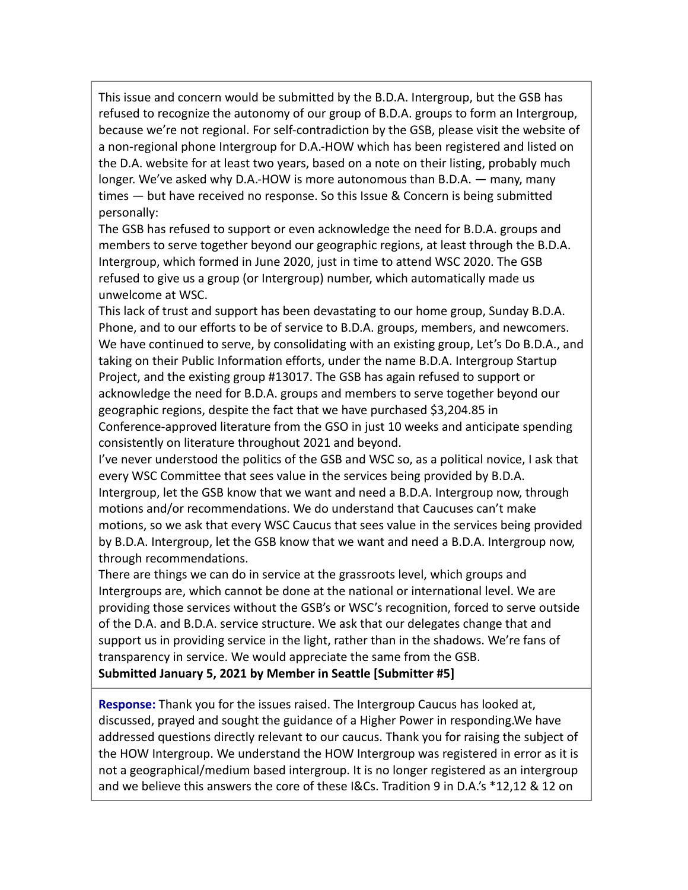This issue and concern would be submitted by the B.D.A. Intergroup, but the GSB has refused to recognize the autonomy of our group of B.D.A. groups to form an Intergroup, because we're not regional. For self-contradiction by the GSB, please visit the website of a non-regional phone Intergroup for D.A.-HOW which has been registered and listed on the D.A. website for at least two years, based on a note on their listing, probably much longer. We've asked why D.A.-HOW is more autonomous than B.D.A. — many, many times — but have received no response. So this Issue & Concern is being submitted personally:

The GSB has refused to support or even acknowledge the need for B.D.A. groups and members to serve together beyond our geographic regions, at least through the B.D.A. Intergroup, which formed in June 2020, just in time to attend WSC 2020. The GSB refused to give us a group (or Intergroup) number, which automatically made us unwelcome at WSC.

This lack of trust and support has been devastating to our home group, Sunday B.D.A. Phone, and to our efforts to be of service to B.D.A. groups, members, and newcomers. We have continued to serve, by consolidating with an existing group, Let's Do B.D.A., and taking on their Public Information efforts, under the name B.D.A. Intergroup Startup Project, and the existing group #13017. The GSB has again refused to support or acknowledge the need for B.D.A. groups and members to serve together beyond our geographic regions, despite the fact that we have purchased \$3,204.85 in Conference-approved literature from the GSO in just 10 weeks and anticipate spending consistently on literature throughout 2021 and beyond.

I've never understood the politics of the GSB and WSC so, as a political novice, I ask that every WSC Committee that sees value in the services being provided by B.D.A. Intergroup, let the GSB know that we want and need a B.D.A. Intergroup now, through motions and/or recommendations. We do understand that Caucuses can't make motions, so we ask that every WSC Caucus that sees value in the services being provided by B.D.A. Intergroup, let the GSB know that we want and need a B.D.A. Intergroup now, through recommendations.

There are things we can do in service at the grassroots level, which groups and Intergroups are, which cannot be done at the national or international level. We are providing those services without the GSB's or WSC's recognition, forced to serve outside of the D.A. and B.D.A. service structure. We ask that our delegates change that and support us in providing service in the light, rather than in the shadows. We're fans of transparency in service. We would appreciate the same from the GSB. **Submitted January 5, 2021 by Member in Seattle [Submitter #5]**

**Response:** Thank you for the issues raised. The Intergroup Caucus has looked at, discussed, prayed and sought the guidance of a Higher Power in responding.We have addressed questions directly relevant to our caucus. Thank you for raising the subject of the HOW Intergroup. We understand the HOW Intergroup was registered in error as it is not a geographical/medium based intergroup. It is no longer registered as an intergroup and we believe this answers the core of these I&Cs. Tradition 9 in D.A.'s \*12,12 & 12 on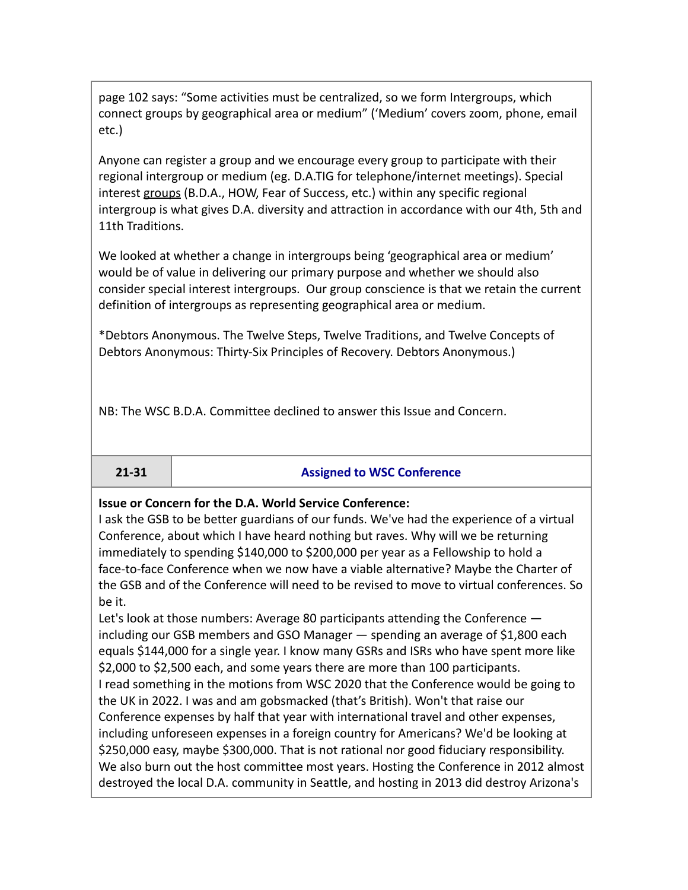page 102 says: "Some activities must be centralized, so we form Intergroups, which connect groups by geographical area or medium" ('Medium' covers zoom, phone, email etc.)

Anyone can register a group and we encourage every group to participate with their regional intergroup or medium (eg. D.A.TIG for telephone/internet meetings). Special interest groups (B.D.A., HOW, Fear of Success, etc.) within any specific regional intergroup is what gives D.A. diversity and attraction in accordance with our 4th, 5th and 11th Traditions.

We looked at whether a change in intergroups being 'geographical area or medium' would be of value in delivering our primary purpose and whether we should also consider special interest intergroups. Our group conscience is that we retain the current definition of intergroups as representing geographical area or medium.

\*Debtors Anonymous. The Twelve Steps, Twelve Traditions, and Twelve Concepts of Debtors Anonymous: Thirty-Six Principles of Recovery. Debtors Anonymous.)

NB: The WSC B.D.A. Committee declined to answer this Issue and Concern.

### **21-31 Assigned to WSC Conference**

### **Issue or Concern for the D.A. World Service Conference:**

I ask the GSB to be better guardians of our funds. We've had the experience of a virtual Conference, about which I have heard nothing but raves. Why will we be returning immediately to spending \$140,000 to \$200,000 per year as a Fellowship to hold a face-to-face Conference when we now have a viable alternative? Maybe the Charter of the GSB and of the Conference will need to be revised to move to virtual conferences. So be it.

Let's look at those numbers: Average 80 participants attending the Conference including our GSB members and GSO Manager — spending an average of \$1,800 each equals \$144,000 for a single year. I know many GSRs and ISRs who have spent more like \$2,000 to \$2,500 each, and some years there are more than 100 participants. I read something in the motions from WSC 2020 that the Conference would be going to the UK in 2022. I was and am gobsmacked (that's British). Won't that raise our Conference expenses by half that year with international travel and other expenses, including unforeseen expenses in a foreign country for Americans? We'd be looking at \$250,000 easy, maybe \$300,000. That is not rational nor good fiduciary responsibility. We also burn out the host committee most years. Hosting the Conference in 2012 almost destroyed the local D.A. community in Seattle, and hosting in 2013 did destroy Arizona's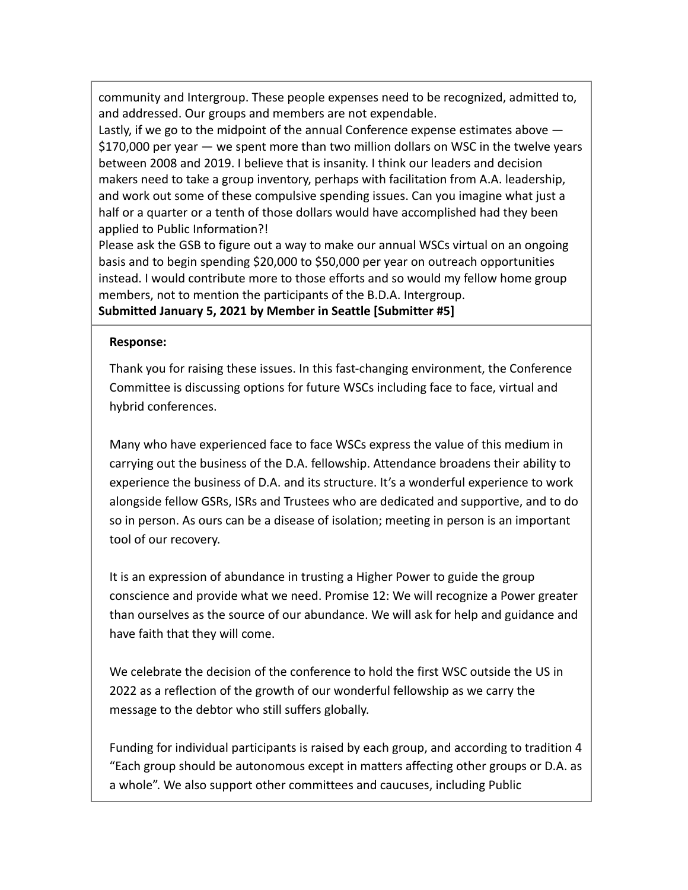community and Intergroup. These people expenses need to be recognized, admitted to, and addressed. Our groups and members are not expendable.

Lastly, if we go to the midpoint of the annual Conference expense estimates above  $-$ \$170,000 per year — we spent more than two million dollars on WSC in the twelve years between 2008 and 2019. I believe that is insanity. I think our leaders and decision makers need to take a group inventory, perhaps with facilitation from A.A. leadership, and work out some of these compulsive spending issues. Can you imagine what just a half or a quarter or a tenth of those dollars would have accomplished had they been applied to Public Information?!

Please ask the GSB to figure out a way to make our annual WSCs virtual on an ongoing basis and to begin spending \$20,000 to \$50,000 per year on outreach opportunities instead. I would contribute more to those efforts and so would my fellow home group members, not to mention the participants of the B.D.A. Intergroup. **Submitted January 5, 2021 by Member in Seattle [Submitter #5]**

#### **Response:**

Thank you for raising these issues. In this fast-changing environment, the Conference Committee is discussing options for future WSCs including face to face, virtual and hybrid conferences.

Many who have experienced face to face WSCs express the value of this medium in carrying out the business of the D.A. fellowship. Attendance broadens their ability to experience the business of D.A. and its structure. It's a wonderful experience to work alongside fellow GSRs, ISRs and Trustees who are dedicated and supportive, and to do so in person. As ours can be a disease of isolation; meeting in person is an important tool of our recovery.

It is an expression of abundance in trusting a Higher Power to guide the group conscience and provide what we need. Promise 12: We will recognize a Power greater than ourselves as the source of our abundance. We will ask for help and guidance and have faith that they will come.

We celebrate the decision of the conference to hold the first WSC outside the US in 2022 as a reflection of the growth of our wonderful fellowship as we carry the message to the debtor who still suffers globally.

Funding for individual participants is raised by each group, and according to tradition 4 "Each group should be autonomous except in matters affecting other groups or D.A. as a whole". We also support other committees and caucuses, including Public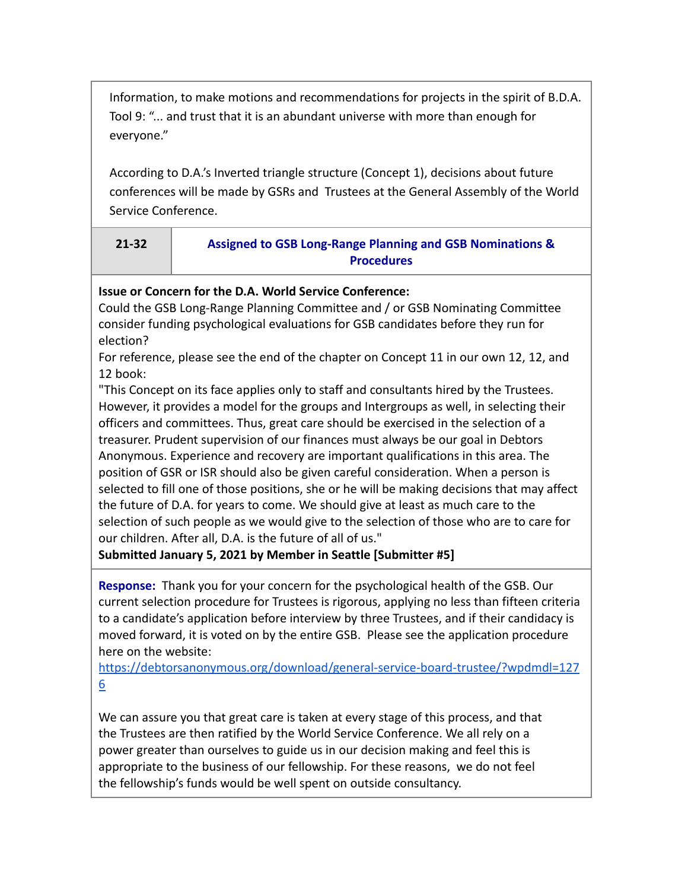Information, to make motions and recommendations for projects in the spirit of B.D.A. Tool 9: "... and trust that it is an abundant universe with more than enough for everyone."

According to D.A.'s Inverted triangle structure (Concept 1), decisions about future conferences will be made by GSRs and Trustees at the General Assembly of the World Service Conference.

| 21-32 | <b>Assigned to GSB Long-Range Planning and GSB Nominations &amp;</b> |
|-------|----------------------------------------------------------------------|
|       | <b>Procedures</b>                                                    |

# **Issue or Concern for the D.A. World Service Conference:**

Could the GSB Long-Range Planning Committee and / or GSB Nominating Committee consider funding psychological evaluations for GSB candidates before they run for election?

For reference, please see the end of the chapter on Concept 11 in our own 12, 12, and 12 book:

"This Concept on its face applies only to staff and consultants hired by the Trustees. However, it provides a model for the groups and Intergroups as well, in selecting their officers and committees. Thus, great care should be exercised in the selection of a treasurer. Prudent supervision of our finances must always be our goal in Debtors Anonymous. Experience and recovery are important qualifications in this area. The position of GSR or ISR should also be given careful consideration. When a person is selected to fill one of those positions, she or he will be making decisions that may affect the future of D.A. for years to come. We should give at least as much care to the selection of such people as we would give to the selection of those who are to care for our children. After all, D.A. is the future of all of us."

**Submitted January 5, 2021 by Member in Seattle [Submitter #5]**

**Response:** Thank you for your concern for the psychological health of the GSB. Our current selection procedure for Trustees is rigorous, applying no less than fifteen criteria to a candidate's application before interview by three Trustees, and if their candidacy is moved forward, it is voted on by the entire GSB. Please see the application procedure here on the website[:](https://debtorsanonymous.org/download/general-service-board-trustee/?wpdmdl=1276)

[https://debtorsanonymous.org/download/general-service-board-trustee/?wpdmdl=127](https://debtorsanonymous.org/download/general-service-board-trustee/?wpdmdl=1276) [6](https://debtorsanonymous.org/download/general-service-board-trustee/?wpdmdl=1276)

We can assure you that great care is taken at every stage of this process, and that the Trustees are then ratified by the World Service Conference. We all rely on a power greater than ourselves to guide us in our decision making and feel this is appropriate to the business of our fellowship. For these reasons, we do not feel the fellowship's funds would be well spent on outside consultancy.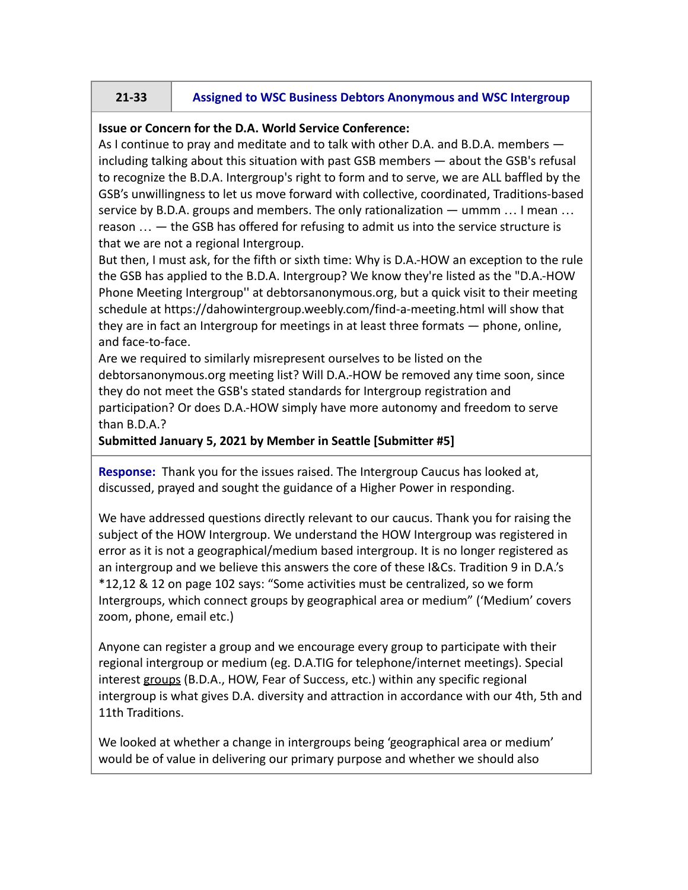# **21-33 Assigned to WSC Business Debtors Anonymous and WSC Intergroup**

### **Issue or Concern for the D.A. World Service Conference:**

As I continue to pray and meditate and to talk with other D.A. and B.D.A. members including talking about this situation with past GSB members — about the GSB's refusal to recognize the B.D.A. Intergroup's right to form and to serve, we are ALL baffled by the GSB's unwillingness to let us move forward with collective, coordinated, Traditions-based service by B.D.A. groups and members. The only rationalization — ummm … I mean … reason … — the GSB has offered for refusing to admit us into the service structure is that we are not a regional Intergroup.

But then, I must ask, for the fifth or sixth time: Why is D.A.-HOW an exception to the rule the GSB has applied to the B.D.A. Intergroup? We know they're listed as the "D.A.-HOW Phone Meeting Intergroup'' at debtorsanonymous.org, but a quick visit to their meeting schedule at https://dahowintergroup.weebly.com/find-a-meeting.html will show that they are in fact an Intergroup for meetings in at least three formats — phone, online, and face-to-face.

Are we required to similarly misrepresent ourselves to be listed on the debtorsanonymous.org meeting list? Will D.A.-HOW be removed any time soon, since they do not meet the GSB's stated standards for Intergroup registration and participation? Or does D.A.-HOW simply have more autonomy and freedom to serve than B.D.A.?

#### **Submitted January 5, 2021 by Member in Seattle [Submitter #5]**

**Response:** Thank you for the issues raised. The Intergroup Caucus has looked at, discussed, prayed and sought the guidance of a Higher Power in responding.

We have addressed questions directly relevant to our caucus. Thank you for raising the subject of the HOW Intergroup. We understand the HOW Intergroup was registered in error as it is not a geographical/medium based intergroup. It is no longer registered as an intergroup and we believe this answers the core of these I&Cs. Tradition 9 in D.A.'s \*12,12 & 12 on page 102 says: "Some activities must be centralized, so we form Intergroups, which connect groups by geographical area or medium" ('Medium' covers zoom, phone, email etc.)

Anyone can register a group and we encourage every group to participate with their regional intergroup or medium (eg. D.A.TIG for telephone/internet meetings). Special interest groups (B.D.A., HOW, Fear of Success, etc.) within any specific regional intergroup is what gives D.A. diversity and attraction in accordance with our 4th, 5th and 11th Traditions.

We looked at whether a change in intergroups being 'geographical area or medium' would be of value in delivering our primary purpose and whether we should also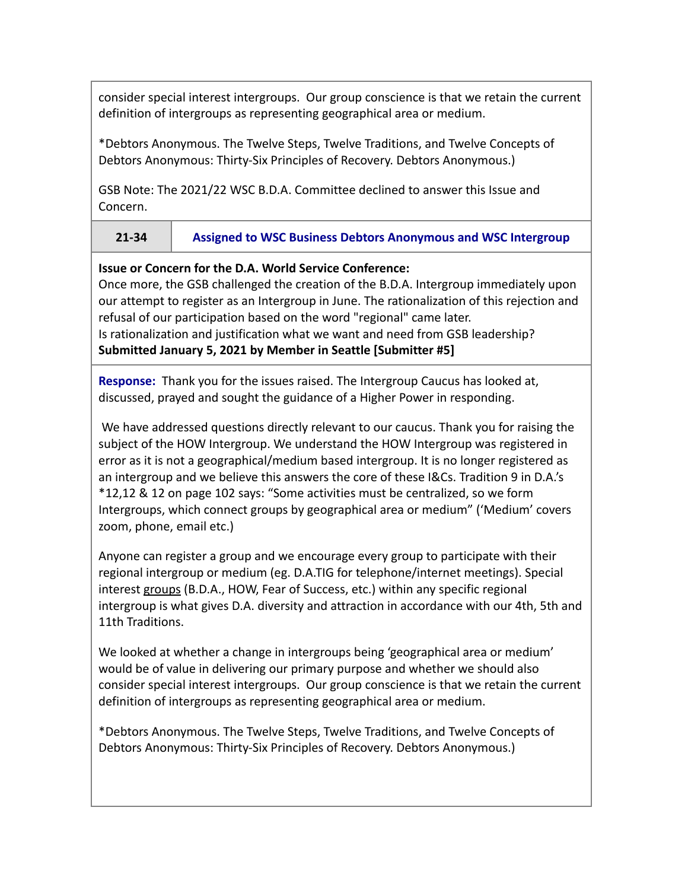consider special interest intergroups. Our group conscience is that we retain the current definition of intergroups as representing geographical area or medium.

\*Debtors Anonymous. The Twelve Steps, Twelve Traditions, and Twelve Concepts of Debtors Anonymous: Thirty-Six Principles of Recovery. Debtors Anonymous.)

GSB Note: The 2021/22 WSC B.D.A. Committee declined to answer this Issue and Concern.

# **21-34 Assigned to WSC Business Debtors Anonymous and WSC Intergroup**

### **Issue or Concern for the D.A. World Service Conference:**

Once more, the GSB challenged the creation of the B.D.A. Intergroup immediately upon our attempt to register as an Intergroup in June. The rationalization of this rejection and refusal of our participation based on the word "regional" came later.

Is rationalization and justification what we want and need from GSB leadership? **Submitted January 5, 2021 by Member in Seattle [Submitter #5]**

**Response:** Thank you for the issues raised. The Intergroup Caucus has looked at, discussed, prayed and sought the guidance of a Higher Power in responding.

We have addressed questions directly relevant to our caucus. Thank you for raising the subject of the HOW Intergroup. We understand the HOW Intergroup was registered in error as it is not a geographical/medium based intergroup. It is no longer registered as an intergroup and we believe this answers the core of these I&Cs. Tradition 9 in D.A.'s \*12,12 & 12 on page 102 says: "Some activities must be centralized, so we form Intergroups, which connect groups by geographical area or medium" ('Medium' covers zoom, phone, email etc.)

Anyone can register a group and we encourage every group to participate with their regional intergroup or medium (eg. D.A.TIG for telephone/internet meetings). Special interest groups (B.D.A., HOW, Fear of Success, etc.) within any specific regional intergroup is what gives D.A. diversity and attraction in accordance with our 4th, 5th and 11th Traditions.

We looked at whether a change in intergroups being 'geographical area or medium' would be of value in delivering our primary purpose and whether we should also consider special interest intergroups. Our group conscience is that we retain the current definition of intergroups as representing geographical area or medium.

\*Debtors Anonymous. The Twelve Steps, Twelve Traditions, and Twelve Concepts of Debtors Anonymous: Thirty-Six Principles of Recovery. Debtors Anonymous.)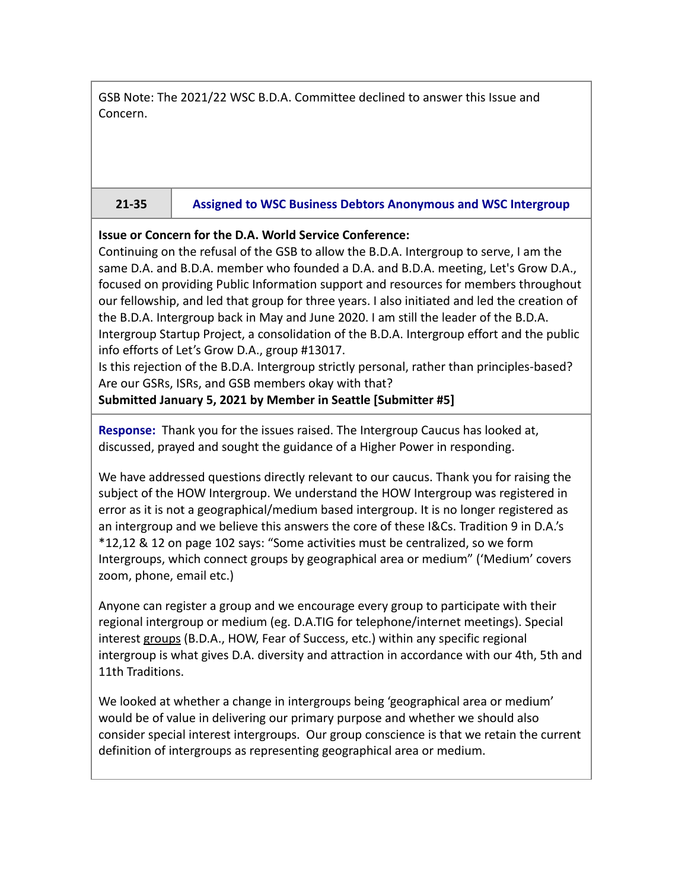GSB Note: The 2021/22 WSC B.D.A. Committee declined to answer this Issue and Concern.

## **21-35 Assigned to WSC Business Debtors Anonymous and WSC Intergroup**

## **Issue or Concern for the D.A. World Service Conference:**

Continuing on the refusal of the GSB to allow the B.D.A. Intergroup to serve, I am the same D.A. and B.D.A. member who founded a D.A. and B.D.A. meeting, Let's Grow D.A., focused on providing Public Information support and resources for members throughout our fellowship, and led that group for three years. I also initiated and led the creation of the B.D.A. Intergroup back in May and June 2020. I am still the leader of the B.D.A. Intergroup Startup Project, a consolidation of the B.D.A. Intergroup effort and the public info efforts of Let's Grow D.A., group #13017.

Is this rejection of the B.D.A. Intergroup strictly personal, rather than principles-based? Are our GSRs, ISRs, and GSB members okay with that?

**Submitted January 5, 2021 by Member in Seattle [Submitter #5]**

**Response:** Thank you for the issues raised. The Intergroup Caucus has looked at, discussed, prayed and sought the guidance of a Higher Power in responding.

We have addressed questions directly relevant to our caucus. Thank you for raising the subject of the HOW Intergroup. We understand the HOW Intergroup was registered in error as it is not a geographical/medium based intergroup. It is no longer registered as an intergroup and we believe this answers the core of these I&Cs. Tradition 9 in D.A.'s \*12,12 & 12 on page 102 says: "Some activities must be centralized, so we form Intergroups, which connect groups by geographical area or medium" ('Medium' covers zoom, phone, email etc.)

Anyone can register a group and we encourage every group to participate with their regional intergroup or medium (eg. D.A.TIG for telephone/internet meetings). Special interest groups (B.D.A., HOW, Fear of Success, etc.) within any specific regional intergroup is what gives D.A. diversity and attraction in accordance with our 4th, 5th and 11th Traditions.

We looked at whether a change in intergroups being 'geographical area or medium' would be of value in delivering our primary purpose and whether we should also consider special interest intergroups. Our group conscience is that we retain the current definition of intergroups as representing geographical area or medium.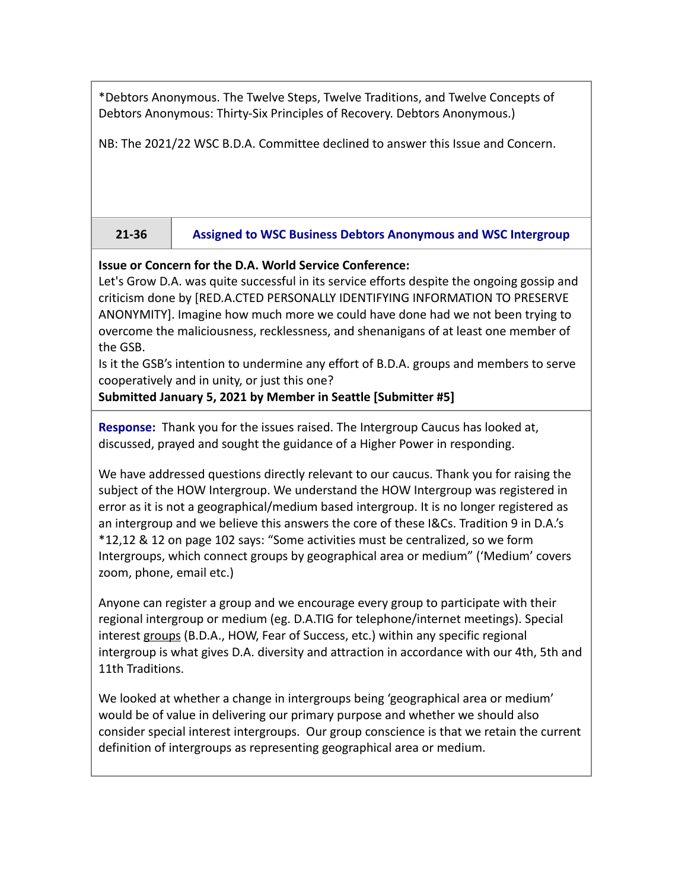\*Debtors Anonymous. The Twelve Steps, Twelve Traditions, and Twelve Concepts of Debtors Anonymous: Thirty-Six Principles of Recovery. Debtors Anonymous.)

NB: The 2021/22 WSC B.D.A. Committee declined to answer this Issue and Concern.

## **21-36 Assigned to WSC Business Debtors Anonymous and WSC Intergroup**

## **Issue or Concern for the D.A. World Service Conference:**

Let's Grow D.A. was quite successful in its service efforts despite the ongoing gossip and criticism done by [RED.A.CTED PERSONALLY IDENTIFYING INFORMATION TO PRESERVE ANONYMITY]. Imagine how much more we could have done had we not been trying to overcome the maliciousness, recklessness, and shenanigans of at least one member of the GSB.

Is it the GSB's intention to undermine any effort of B.D.A. groups and members to serve cooperatively and in unity, or just this one?

**Submitted January 5, 2021 by Member in Seattle [Submitter #5]**

**Response:** Thank you for the issues raised. The Intergroup Caucus has looked at, discussed, prayed and sought the guidance of a Higher Power in responding.

We have addressed questions directly relevant to our caucus. Thank you for raising the subject of the HOW Intergroup. We understand the HOW Intergroup was registered in error as it is not a geographical/medium based intergroup. It is no longer registered as an intergroup and we believe this answers the core of these I&Cs. Tradition 9 in D.A.'s \*12,12 & 12 on page 102 says: "Some activities must be centralized, so we form Intergroups, which connect groups by geographical area or medium" ('Medium' covers zoom, phone, email etc.)

Anyone can register a group and we encourage every group to participate with their regional intergroup or medium (eg. D.A.TIG for telephone/internet meetings). Special interest groups (B.D.A., HOW, Fear of Success, etc.) within any specific regional intergroup is what gives D.A. diversity and attraction in accordance with our 4th, 5th and 11th Traditions.

We looked at whether a change in intergroups being 'geographical area or medium' would be of value in delivering our primary purpose and whether we should also consider special interest intergroups. Our group conscience is that we retain the current definition of intergroups as representing geographical area or medium.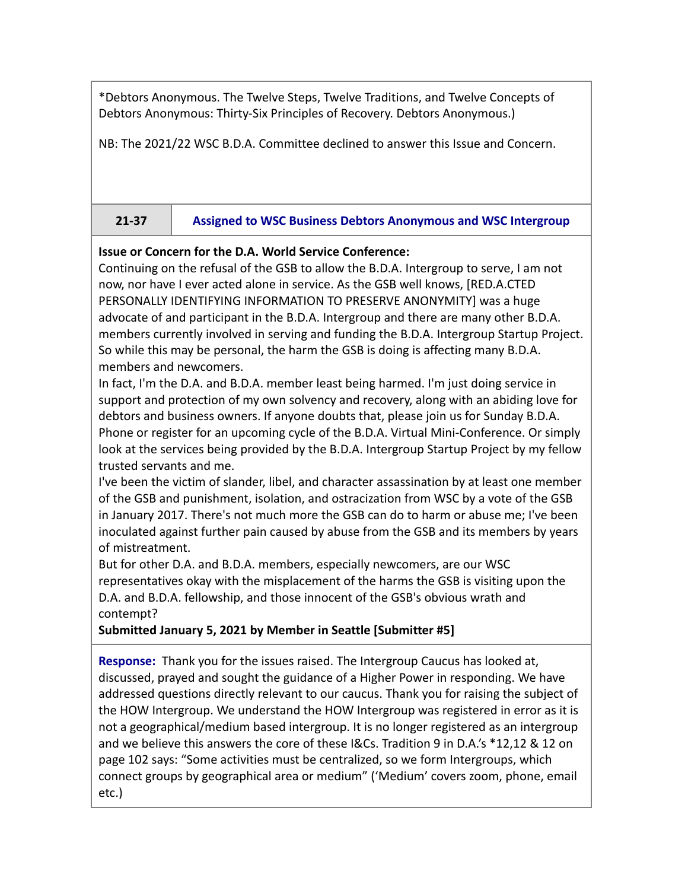\*Debtors Anonymous. The Twelve Steps, Twelve Traditions, and Twelve Concepts of Debtors Anonymous: Thirty-Six Principles of Recovery. Debtors Anonymous.)

NB: The 2021/22 WSC B.D.A. Committee declined to answer this Issue and Concern.

## **21-37 Assigned to WSC Business Debtors Anonymous and WSC Intergroup**

## **Issue or Concern for the D.A. World Service Conference:**

Continuing on the refusal of the GSB to allow the B.D.A. Intergroup to serve, I am not now, nor have I ever acted alone in service. As the GSB well knows, [RED.A.CTED PERSONALLY IDENTIFYING INFORMATION TO PRESERVE ANONYMITY] was a huge advocate of and participant in the B.D.A. Intergroup and there are many other B.D.A. members currently involved in serving and funding the B.D.A. Intergroup Startup Project. So while this may be personal, the harm the GSB is doing is affecting many B.D.A. members and newcomers.

In fact, I'm the D.A. and B.D.A. member least being harmed. I'm just doing service in support and protection of my own solvency and recovery, along with an abiding love for debtors and business owners. If anyone doubts that, please join us for Sunday B.D.A. Phone or register for an upcoming cycle of the B.D.A. Virtual Mini-Conference. Or simply look at the services being provided by the B.D.A. Intergroup Startup Project by my fellow trusted servants and me.

I've been the victim of slander, libel, and character assassination by at least one member of the GSB and punishment, isolation, and ostracization from WSC by a vote of the GSB in January 2017. There's not much more the GSB can do to harm or abuse me; I've been inoculated against further pain caused by abuse from the GSB and its members by years of mistreatment.

But for other D.A. and B.D.A. members, especially newcomers, are our WSC representatives okay with the misplacement of the harms the GSB is visiting upon the D.A. and B.D.A. fellowship, and those innocent of the GSB's obvious wrath and contempt?

**Submitted January 5, 2021 by Member in Seattle [Submitter #5]**

**Response:** Thank you for the issues raised. The Intergroup Caucus has looked at, discussed, prayed and sought the guidance of a Higher Power in responding. We have addressed questions directly relevant to our caucus. Thank you for raising the subject of the HOW Intergroup. We understand the HOW Intergroup was registered in error as it is not a geographical/medium based intergroup. It is no longer registered as an intergroup and we believe this answers the core of these I&Cs. Tradition 9 in D.A.'s \*12,12 & 12 on page 102 says: "Some activities must be centralized, so we form Intergroups, which connect groups by geographical area or medium" ('Medium' covers zoom, phone, email etc.)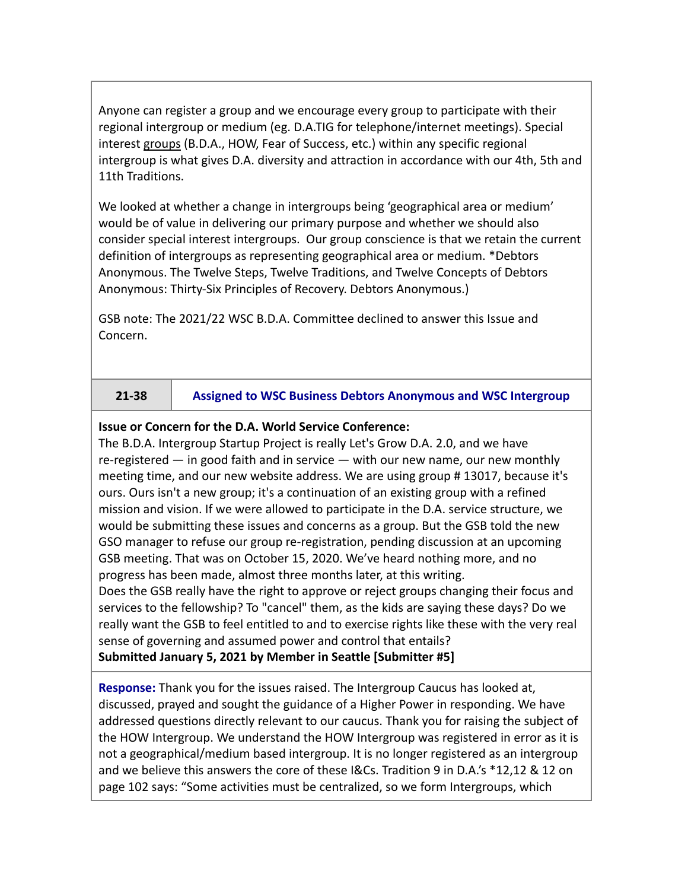Anyone can register a group and we encourage every group to participate with their regional intergroup or medium (eg. D.A.TIG for telephone/internet meetings). Special interest groups (B.D.A., HOW, Fear of Success, etc.) within any specific regional intergroup is what gives D.A. diversity and attraction in accordance with our 4th, 5th and 11th Traditions.

We looked at whether a change in intergroups being 'geographical area or medium' would be of value in delivering our primary purpose and whether we should also consider special interest intergroups. Our group conscience is that we retain the current definition of intergroups as representing geographical area or medium. \*Debtors Anonymous. The Twelve Steps, Twelve Traditions, and Twelve Concepts of Debtors Anonymous: Thirty-Six Principles of Recovery. Debtors Anonymous.)

GSB note: The 2021/22 WSC B.D.A. Committee declined to answer this Issue and Concern.

## **21-38 Assigned to WSC Business Debtors Anonymous and WSC Intergroup**

## **Issue or Concern for the D.A. World Service Conference:**

The B.D.A. Intergroup Startup Project is really Let's Grow D.A. 2.0, and we have re-registered — in good faith and in service — with our new name, our new monthly meeting time, and our new website address. We are using group # 13017, because it's ours. Ours isn't a new group; it's a continuation of an existing group with a refined mission and vision. If we were allowed to participate in the D.A. service structure, we would be submitting these issues and concerns as a group. But the GSB told the new GSO manager to refuse our group re-registration, pending discussion at an upcoming GSB meeting. That was on October 15, 2020. We've heard nothing more, and no progress has been made, almost three months later, at this writing. Does the GSB really have the right to approve or reject groups changing their focus and services to the fellowship? To "cancel" them, as the kids are saying these days? Do we really want the GSB to feel entitled to and to exercise rights like these with the very real sense of governing and assumed power and control that entails?

**Submitted January 5, 2021 by Member in Seattle [Submitter #5]**

**Response:** Thank you for the issues raised. The Intergroup Caucus has looked at, discussed, prayed and sought the guidance of a Higher Power in responding. We have addressed questions directly relevant to our caucus. Thank you for raising the subject of the HOW Intergroup. We understand the HOW Intergroup was registered in error as it is not a geographical/medium based intergroup. It is no longer registered as an intergroup and we believe this answers the core of these I&Cs. Tradition 9 in D.A.'s \*12,12 & 12 on page 102 says: "Some activities must be centralized, so we form Intergroups, which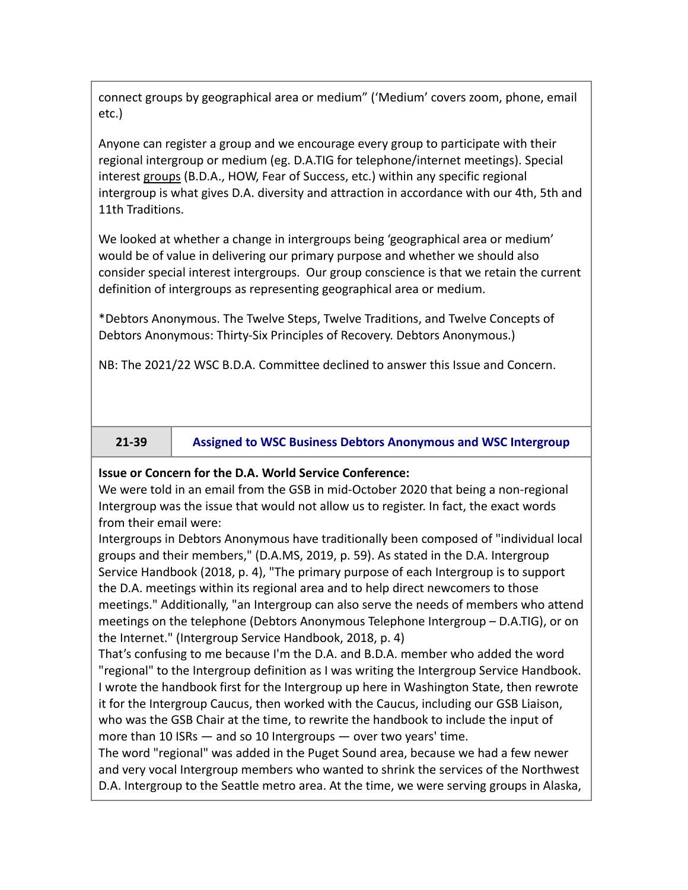connect groups by geographical area or medium" ('Medium' covers zoom, phone, email etc.)

Anyone can register a group and we encourage every group to participate with their regional intergroup or medium (eg. D.A.TIG for telephone/internet meetings). Special interest groups (B.D.A., HOW, Fear of Success, etc.) within any specific regional intergroup is what gives D.A. diversity and attraction in accordance with our 4th, 5th and 11th Traditions.

We looked at whether a change in intergroups being 'geographical area or medium' would be of value in delivering our primary purpose and whether we should also consider special interest intergroups. Our group conscience is that we retain the current definition of intergroups as representing geographical area or medium.

\*Debtors Anonymous. The Twelve Steps, Twelve Traditions, and Twelve Concepts of Debtors Anonymous: Thirty-Six Principles of Recovery. Debtors Anonymous.)

NB: The 2021/22 WSC B.D.A. Committee declined to answer this Issue and Concern.

**21-39 Assigned to WSC Business Debtors Anonymous and WSC Intergroup**

## **Issue or Concern for the D.A. World Service Conference:**

We were told in an email from the GSB in mid-October 2020 that being a non-regional Intergroup was the issue that would not allow us to register. In fact, the exact words from their email were:

Intergroups in Debtors Anonymous have traditionally been composed of "individual local groups and their members," (D.A.MS, 2019, p. 59). As stated in the D.A. Intergroup Service Handbook (2018, p. 4), "The primary purpose of each Intergroup is to support the D.A. meetings within its regional area and to help direct newcomers to those meetings." Additionally, "an Intergroup can also serve the needs of members who attend meetings on the telephone (Debtors Anonymous Telephone Intergroup – D.A.TIG), or on the Internet." (Intergroup Service Handbook, 2018, p. 4)

That's confusing to me because I'm the D.A. and B.D.A. member who added the word "regional" to the Intergroup definition as I was writing the Intergroup Service Handbook. I wrote the handbook first for the Intergroup up here in Washington State, then rewrote it for the Intergroup Caucus, then worked with the Caucus, including our GSB Liaison, who was the GSB Chair at the time, to rewrite the handbook to include the input of more than 10 ISRs — and so 10 Intergroups — over two years' time.

The word "regional" was added in the Puget Sound area, because we had a few newer and very vocal Intergroup members who wanted to shrink the services of the Northwest D.A. Intergroup to the Seattle metro area. At the time, we were serving groups in Alaska,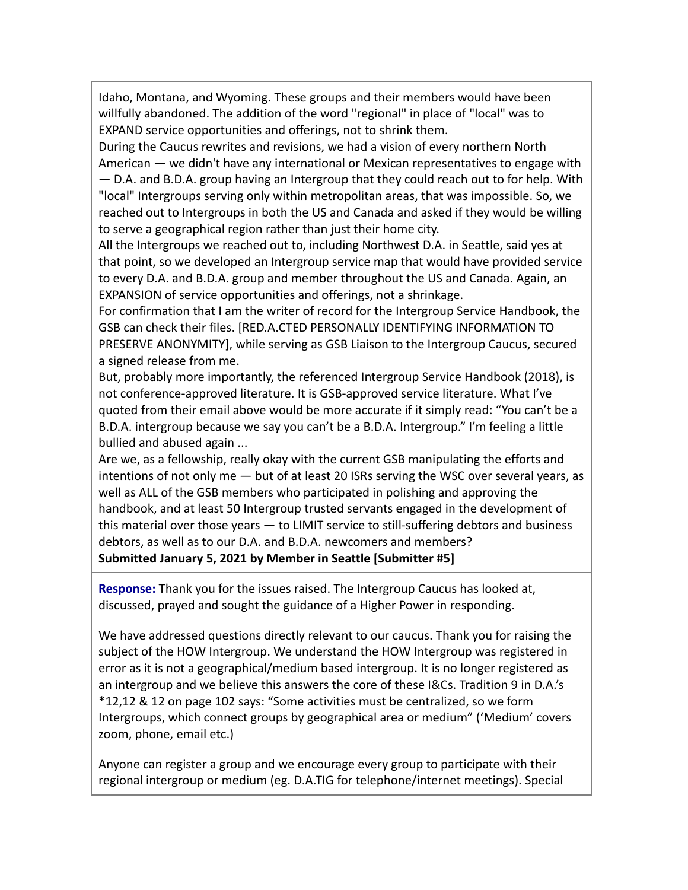Idaho, Montana, and Wyoming. These groups and their members would have been willfully abandoned. The addition of the word "regional" in place of "local" was to EXPAND service opportunities and offerings, not to shrink them.

During the Caucus rewrites and revisions, we had a vision of every northern North American — we didn't have any international or Mexican representatives to engage with

— D.A. and B.D.A. group having an Intergroup that they could reach out to for help. With "local" Intergroups serving only within metropolitan areas, that was impossible. So, we reached out to Intergroups in both the US and Canada and asked if they would be willing to serve a geographical region rather than just their home city.

All the Intergroups we reached out to, including Northwest D.A. in Seattle, said yes at that point, so we developed an Intergroup service map that would have provided service to every D.A. and B.D.A. group and member throughout the US and Canada. Again, an EXPANSION of service opportunities and offerings, not a shrinkage.

For confirmation that I am the writer of record for the Intergroup Service Handbook, the GSB can check their files. [RED.A.CTED PERSONALLY IDENTIFYING INFORMATION TO PRESERVE ANONYMITY], while serving as GSB Liaison to the Intergroup Caucus, secured a signed release from me.

But, probably more importantly, the referenced Intergroup Service Handbook (2018), is not conference-approved literature. It is GSB-approved service literature. What I've quoted from their email above would be more accurate if it simply read: "You can't be a B.D.A. intergroup because we say you can't be a B.D.A. Intergroup." I'm feeling a little bullied and abused again ...

Are we, as a fellowship, really okay with the current GSB manipulating the efforts and intentions of not only me — but of at least 20 ISRs serving the WSC over several years, as well as ALL of the GSB members who participated in polishing and approving the handbook, and at least 50 Intergroup trusted servants engaged in the development of this material over those years — to LIMIT service to still-suffering debtors and business debtors, as well as to our D.A. and B.D.A. newcomers and members? **Submitted January 5, 2021 by Member in Seattle [Submitter #5]**

**Response:** Thank you for the issues raised. The Intergroup Caucus has looked at, discussed, prayed and sought the guidance of a Higher Power in responding.

We have addressed questions directly relevant to our caucus. Thank you for raising the subject of the HOW Intergroup. We understand the HOW Intergroup was registered in error as it is not a geographical/medium based intergroup. It is no longer registered as an intergroup and we believe this answers the core of these I&Cs. Tradition 9 in D.A.'s \*12,12 & 12 on page 102 says: "Some activities must be centralized, so we form Intergroups, which connect groups by geographical area or medium" ('Medium' covers zoom, phone, email etc.)

Anyone can register a group and we encourage every group to participate with their regional intergroup or medium (eg. D.A.TIG for telephone/internet meetings). Special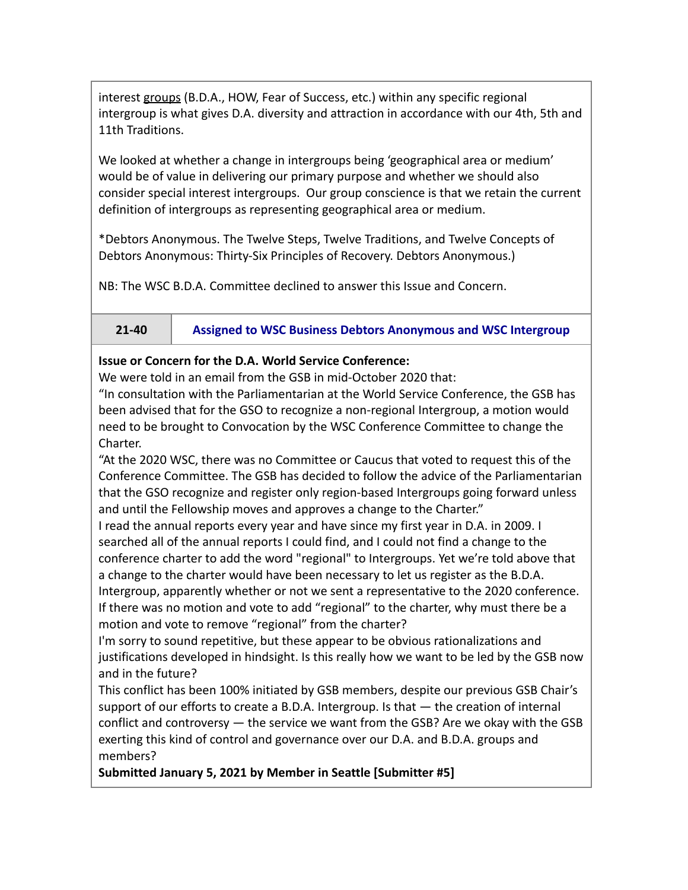interest groups (B.D.A., HOW, Fear of Success, etc.) within any specific regional intergroup is what gives D.A. diversity and attraction in accordance with our 4th, 5th and 11th Traditions.

We looked at whether a change in intergroups being 'geographical area or medium' would be of value in delivering our primary purpose and whether we should also consider special interest intergroups. Our group conscience is that we retain the current definition of intergroups as representing geographical area or medium.

\*Debtors Anonymous. The Twelve Steps, Twelve Traditions, and Twelve Concepts of Debtors Anonymous: Thirty-Six Principles of Recovery. Debtors Anonymous.)

NB: The WSC B.D.A. Committee declined to answer this Issue and Concern.

**21-40 Assigned to WSC Business Debtors Anonymous and WSC Intergroup**

## **Issue or Concern for the D.A. World Service Conference:**

We were told in an email from the GSB in mid-October 2020 that:

"In consultation with the Parliamentarian at the World Service Conference, the GSB has been advised that for the GSO to recognize a non-regional Intergroup, a motion would need to be brought to Convocation by the WSC Conference Committee to change the Charter.

"At the 2020 WSC, there was no Committee or Caucus that voted to request this of the Conference Committee. The GSB has decided to follow the advice of the Parliamentarian that the GSO recognize and register only region-based Intergroups going forward unless and until the Fellowship moves and approves a change to the Charter."

I read the annual reports every year and have since my first year in D.A. in 2009. I searched all of the annual reports I could find, and I could not find a change to the conference charter to add the word "regional" to Intergroups. Yet we're told above that a change to the charter would have been necessary to let us register as the B.D.A. Intergroup, apparently whether or not we sent a representative to the 2020 conference. If there was no motion and vote to add "regional" to the charter, why must there be a

motion and vote to remove "regional" from the charter?

I'm sorry to sound repetitive, but these appear to be obvious rationalizations and justifications developed in hindsight. Is this really how we want to be led by the GSB now and in the future?

This conflict has been 100% initiated by GSB members, despite our previous GSB Chair's support of our efforts to create a B.D.A. Intergroup. Is that — the creation of internal conflict and controversy — the service we want from the GSB? Are we okay with the GSB exerting this kind of control and governance over our D.A. and B.D.A. groups and members?

**Submitted January 5, 2021 by Member in Seattle [Submitter #5]**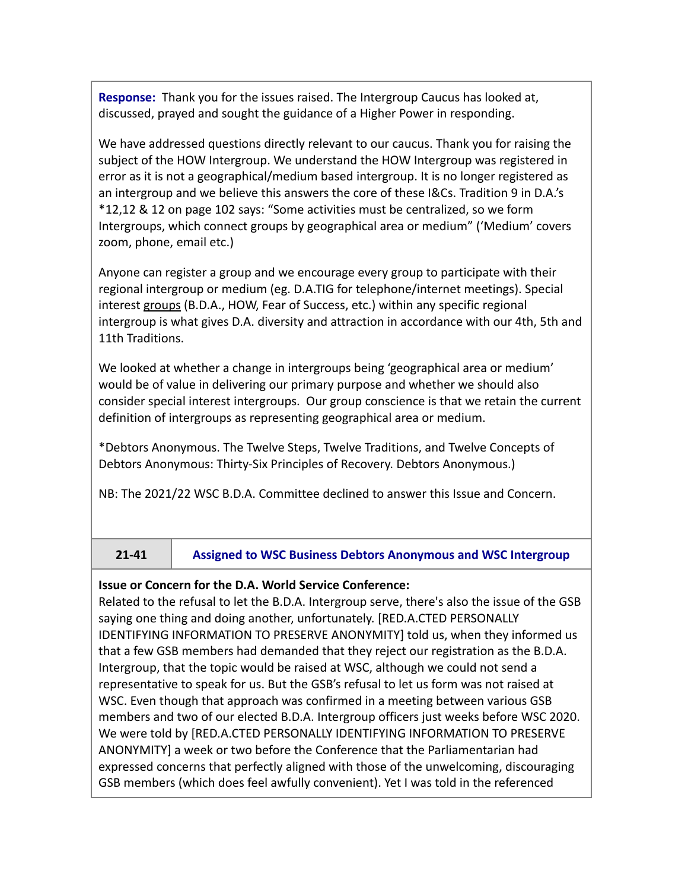**Response:** Thank you for the issues raised. The Intergroup Caucus has looked at, discussed, prayed and sought the guidance of a Higher Power in responding.

We have addressed questions directly relevant to our caucus. Thank you for raising the subject of the HOW Intergroup. We understand the HOW Intergroup was registered in error as it is not a geographical/medium based intergroup. It is no longer registered as an intergroup and we believe this answers the core of these I&Cs. Tradition 9 in D.A.'s \*12,12 & 12 on page 102 says: "Some activities must be centralized, so we form Intergroups, which connect groups by geographical area or medium" ('Medium' covers zoom, phone, email etc.)

Anyone can register a group and we encourage every group to participate with their regional intergroup or medium (eg. D.A.TIG for telephone/internet meetings). Special interest groups (B.D.A., HOW, Fear of Success, etc.) within any specific regional intergroup is what gives D.A. diversity and attraction in accordance with our 4th, 5th and 11th Traditions.

We looked at whether a change in intergroups being 'geographical area or medium' would be of value in delivering our primary purpose and whether we should also consider special interest intergroups. Our group conscience is that we retain the current definition of intergroups as representing geographical area or medium.

\*Debtors Anonymous. The Twelve Steps, Twelve Traditions, and Twelve Concepts of Debtors Anonymous: Thirty-Six Principles of Recovery. Debtors Anonymous.)

NB: The 2021/22 WSC B.D.A. Committee declined to answer this Issue and Concern.

**21-41 Assigned to WSC Business Debtors Anonymous and WSC Intergroup**

## **Issue or Concern for the D.A. World Service Conference:**

Related to the refusal to let the B.D.A. Intergroup serve, there's also the issue of the GSB saying one thing and doing another, unfortunately. [RED.A.CTED PERSONALLY IDENTIFYING INFORMATION TO PRESERVE ANONYMITY] told us, when they informed us that a few GSB members had demanded that they reject our registration as the B.D.A. Intergroup, that the topic would be raised at WSC, although we could not send a representative to speak for us. But the GSB's refusal to let us form was not raised at WSC. Even though that approach was confirmed in a meeting between various GSB members and two of our elected B.D.A. Intergroup officers just weeks before WSC 2020. We were told by [RED.A.CTED PERSONALLY IDENTIFYING INFORMATION TO PRESERVE ANONYMITY] a week or two before the Conference that the Parliamentarian had expressed concerns that perfectly aligned with those of the unwelcoming, discouraging GSB members (which does feel awfully convenient). Yet I was told in the referenced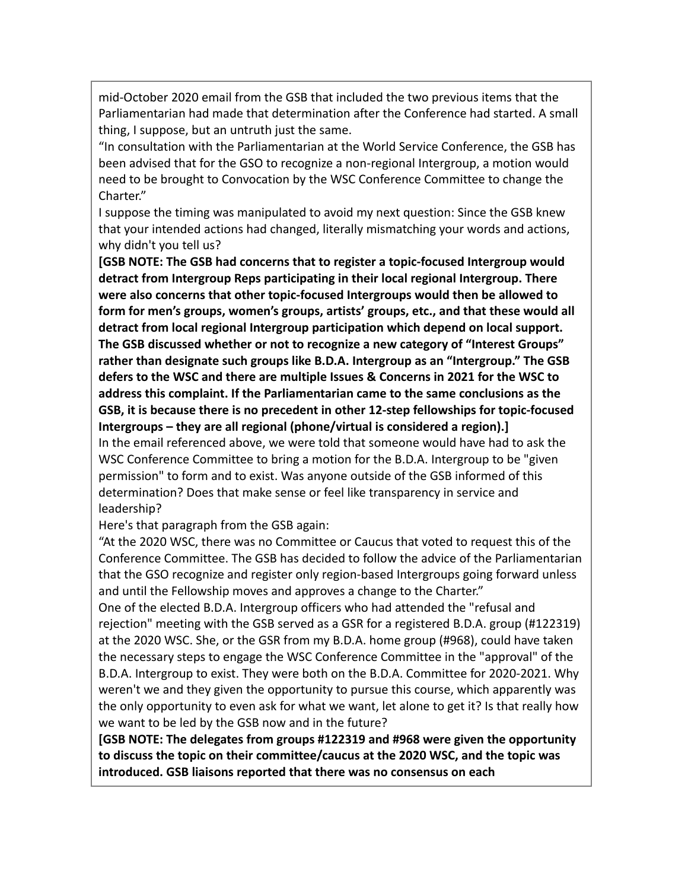mid-October 2020 email from the GSB that included the two previous items that the Parliamentarian had made that determination after the Conference had started. A small thing, I suppose, but an untruth just the same.

"In consultation with the Parliamentarian at the World Service Conference, the GSB has been advised that for the GSO to recognize a non-regional Intergroup, a motion would need to be brought to Convocation by the WSC Conference Committee to change the Charter."

I suppose the timing was manipulated to avoid my next question: Since the GSB knew that your intended actions had changed, literally mismatching your words and actions, why didn't you tell us?

**[GSB NOTE: The GSB had concerns that to register a topic-focused Intergroup would detract from Intergroup Reps participating in their local regional Intergroup. There were also concerns that other topic-focused Intergroups would then be allowed to form for men's groups, women's groups, artists' groups, etc., and that these would all detract from local regional Intergroup participation which depend on local support. The GSB discussed whether or not to recognize a new category of "Interest Groups" rather than designate such groups like B.D.A. Intergroup as an "Intergroup." The GSB defers to the WSC and there are multiple Issues & Concerns in 2021 for the WSC to address this complaint. If the Parliamentarian came to the same conclusions as the GSB, it is because there is no precedent in other 12-step fellowships for topic-focused Intergroups – they are all regional (phone/virtual is considered a region).]** In the email referenced above, we were told that someone would have had to ask the WSC Conference Committee to bring a motion for the B.D.A. Intergroup to be "given permission" to form and to exist. Was anyone outside of the GSB informed of this determination? Does that make sense or feel like transparency in service and leadership?

Here's that paragraph from the GSB again:

"At the 2020 WSC, there was no Committee or Caucus that voted to request this of the Conference Committee. The GSB has decided to follow the advice of the Parliamentarian that the GSO recognize and register only region-based Intergroups going forward unless and until the Fellowship moves and approves a change to the Charter."

One of the elected B.D.A. Intergroup officers who had attended the "refusal and rejection" meeting with the GSB served as a GSR for a registered B.D.A. group (#122319) at the 2020 WSC. She, or the GSR from my B.D.A. home group (#968), could have taken the necessary steps to engage the WSC Conference Committee in the "approval" of the B.D.A. Intergroup to exist. They were both on the B.D.A. Committee for 2020-2021. Why weren't we and they given the opportunity to pursue this course, which apparently was the only opportunity to even ask for what we want, let alone to get it? Is that really how we want to be led by the GSB now and in the future?

**[GSB NOTE: The delegates from groups #122319 and #968 were given the opportunity to discuss the topic on their committee/caucus at the 2020 WSC, and the topic was introduced. GSB liaisons reported that there was no consensus on each**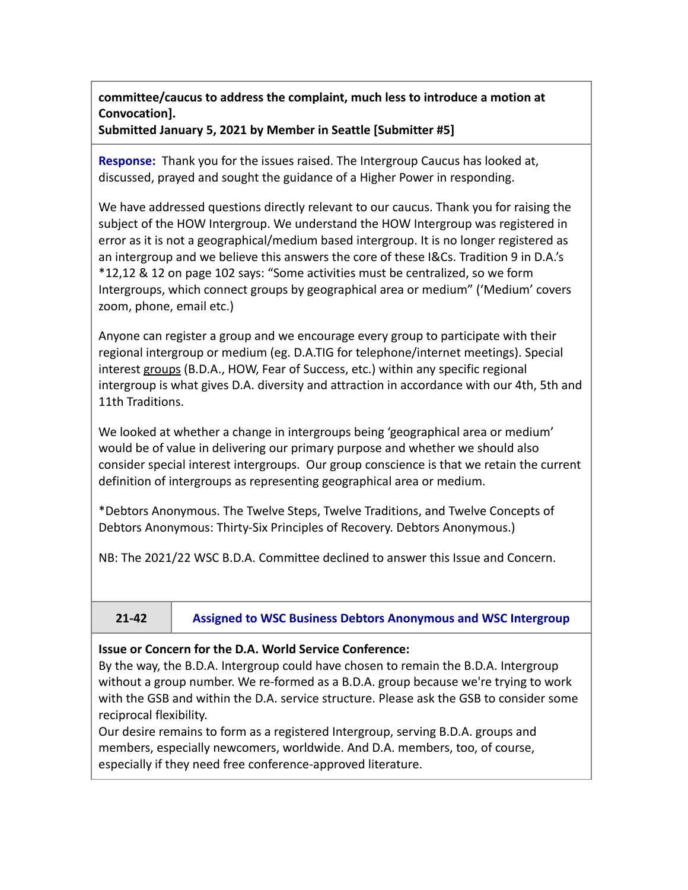**committee/caucus to address the complaint, much less to introduce a motion at Convocation].**

**Submitted January 5, 2021 by Member in Seattle [Submitter #5]**

**Response:** Thank you for the issues raised. The Intergroup Caucus has looked at, discussed, prayed and sought the guidance of a Higher Power in responding.

We have addressed questions directly relevant to our caucus. Thank you for raising the subject of the HOW Intergroup. We understand the HOW Intergroup was registered in error as it is not a geographical/medium based intergroup. It is no longer registered as an intergroup and we believe this answers the core of these I&Cs. Tradition 9 in D.A.'s \*12,12 & 12 on page 102 says: "Some activities must be centralized, so we form Intergroups, which connect groups by geographical area or medium" ('Medium' covers zoom, phone, email etc.)

Anyone can register a group and we encourage every group to participate with their regional intergroup or medium (eg. D.A.TIG for telephone/internet meetings). Special interest groups (B.D.A., HOW, Fear of Success, etc.) within any specific regional intergroup is what gives D.A. diversity and attraction in accordance with our 4th, 5th and 11th Traditions.

We looked at whether a change in intergroups being 'geographical area or medium' would be of value in delivering our primary purpose and whether we should also consider special interest intergroups. Our group conscience is that we retain the current definition of intergroups as representing geographical area or medium.

\*Debtors Anonymous. The Twelve Steps, Twelve Traditions, and Twelve Concepts of Debtors Anonymous: Thirty-Six Principles of Recovery. Debtors Anonymous.)

NB: The 2021/22 WSC B.D.A. Committee declined to answer this Issue and Concern.

**21-42 Assigned to WSC Business Debtors Anonymous and WSC Intergroup**

## **Issue or Concern for the D.A. World Service Conference:**

By the way, the B.D.A. Intergroup could have chosen to remain the B.D.A. Intergroup without a group number. We re-formed as a B.D.A. group because we're trying to work with the GSB and within the D.A. service structure. Please ask the GSB to consider some reciprocal flexibility.

Our desire remains to form as a registered Intergroup, serving B.D.A. groups and members, especially newcomers, worldwide. And D.A. members, too, of course, especially if they need free conference-approved literature.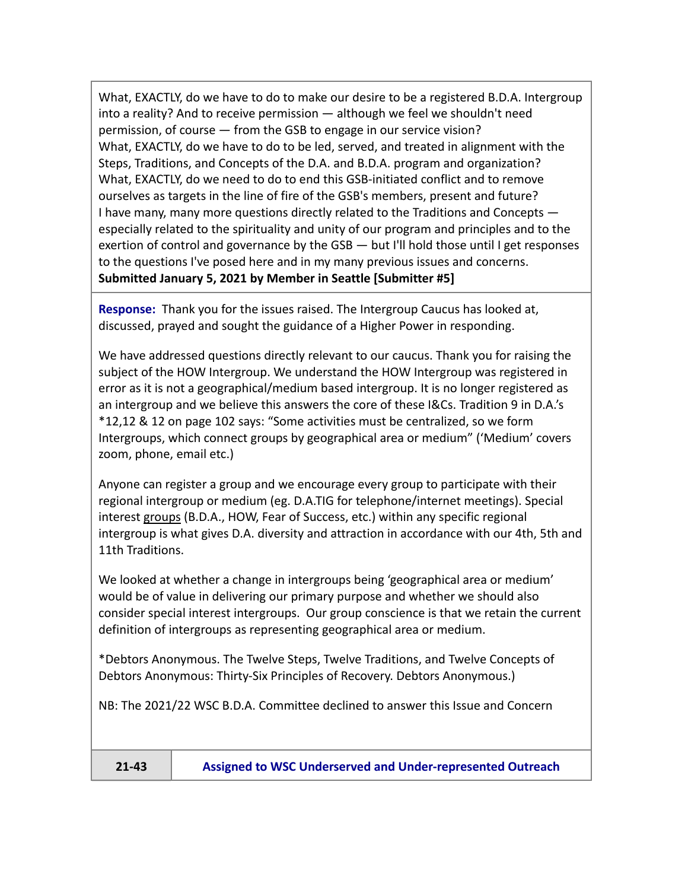What, EXACTLY, do we have to do to make our desire to be a registered B.D.A. Intergroup into a reality? And to receive permission — although we feel we shouldn't need permission, of course — from the GSB to engage in our service vision? What, EXACTLY, do we have to do to be led, served, and treated in alignment with the Steps, Traditions, and Concepts of the D.A. and B.D.A. program and organization? What, EXACTLY, do we need to do to end this GSB-initiated conflict and to remove ourselves as targets in the line of fire of the GSB's members, present and future? I have many, many more questions directly related to the Traditions and Concepts especially related to the spirituality and unity of our program and principles and to the exertion of control and governance by the GSB — but I'll hold those until I get responses to the questions I've posed here and in my many previous issues and concerns. **Submitted January 5, 2021 by Member in Seattle [Submitter #5]**

**Response:** Thank you for the issues raised. The Intergroup Caucus has looked at, discussed, prayed and sought the guidance of a Higher Power in responding.

We have addressed questions directly relevant to our caucus. Thank you for raising the subject of the HOW Intergroup. We understand the HOW Intergroup was registered in error as it is not a geographical/medium based intergroup. It is no longer registered as an intergroup and we believe this answers the core of these I&Cs. Tradition 9 in D.A.'s \*12,12 & 12 on page 102 says: "Some activities must be centralized, so we form Intergroups, which connect groups by geographical area or medium" ('Medium' covers zoom, phone, email etc.)

Anyone can register a group and we encourage every group to participate with their regional intergroup or medium (eg. D.A.TIG for telephone/internet meetings). Special interest groups (B.D.A., HOW, Fear of Success, etc.) within any specific regional intergroup is what gives D.A. diversity and attraction in accordance with our 4th, 5th and 11th Traditions.

We looked at whether a change in intergroups being 'geographical area or medium' would be of value in delivering our primary purpose and whether we should also consider special interest intergroups. Our group conscience is that we retain the current definition of intergroups as representing geographical area or medium.

\*Debtors Anonymous. The Twelve Steps, Twelve Traditions, and Twelve Concepts of Debtors Anonymous: Thirty-Six Principles of Recovery. Debtors Anonymous.)

NB: The 2021/22 WSC B.D.A. Committee declined to answer this Issue and Concern

**21-43 Assigned to WSC Underserved and Under-represented Outreach**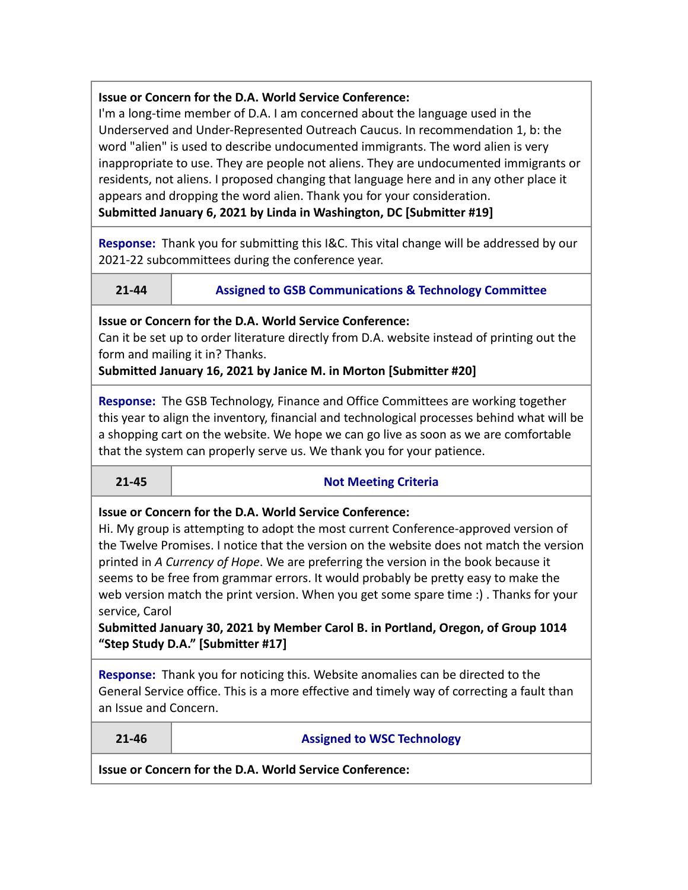## **Issue or Concern for the D.A. World Service Conference:**

I'm a long-time member of D.A. I am concerned about the language used in the Underserved and Under-Represented Outreach Caucus. In recommendation 1, b: the word "alien" is used to describe undocumented immigrants. The word alien is very inappropriate to use. They are people not aliens. They are undocumented immigrants or residents, not aliens. I proposed changing that language here and in any other place it appears and dropping the word alien. Thank you for your consideration.

**Submitted January 6, 2021 by Linda in Washington, DC [Submitter #19]**

**Response:** Thank you for submitting this I&C. This vital change will be addressed by our 2021-22 subcommittees during the conference year.

| 21-44 | <b>Assigned to GSB Communications &amp; Technology Committee</b> |
|-------|------------------------------------------------------------------|
|       |                                                                  |

**Issue or Concern for the D.A. World Service Conference:**

Can it be set up to order literature directly from D.A. website instead of printing out the form and mailing it in? Thanks.

**Submitted January 16, 2021 by Janice M. in Morton [Submitter #20]**

**Response:** The GSB Technology, Finance and Office Committees are working together this year to align the inventory, financial and technological processes behind what will be a shopping cart on the website. We hope we can go live as soon as we are comfortable that the system can properly serve us. We thank you for your patience.

## **21-45 Not Meeting Criteria**

## **Issue or Concern for the D.A. World Service Conference:**

Hi. My group is attempting to adopt the most current Conference-approved version of the Twelve Promises. I notice that the version on the website does not match the version printed in *A Currency of Hope*. We are preferring the version in the book because it seems to be free from grammar errors. It would probably be pretty easy to make the web version match the print version. When you get some spare time :) . Thanks for your service, Carol

**Submitted January 30, 2021 by Member Carol B. in Portland, Oregon, of Group 1014 "Step Study D.A." [Submitter #17]**

**Response:** Thank you for noticing this. Website anomalies can be directed to the General Service office. This is a more effective and timely way of correcting a fault than an Issue and Concern.

## **21-46 Assigned to WSC Technology**

**Issue or Concern for the D.A. World Service Conference:**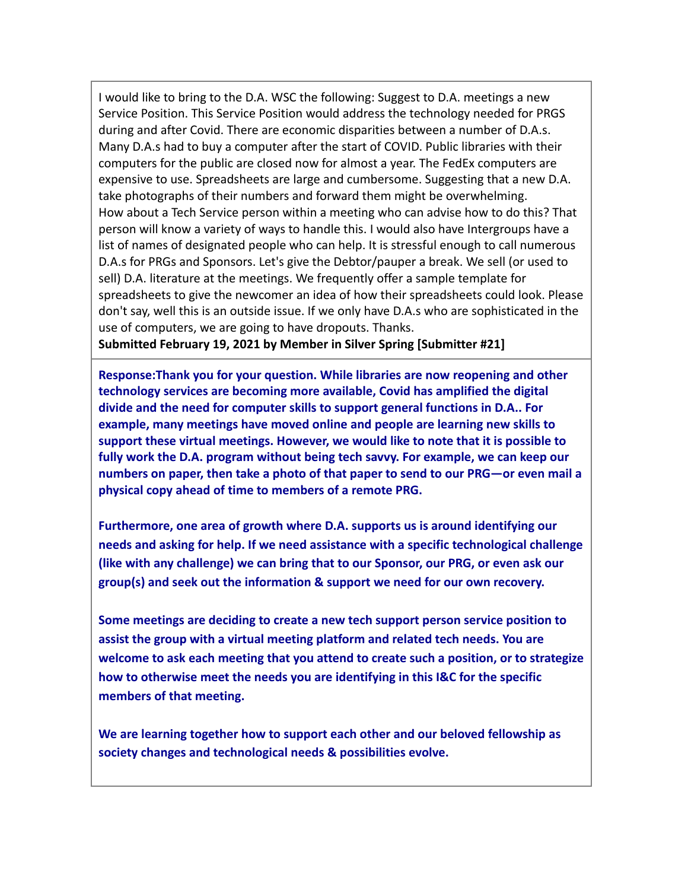I would like to bring to the D.A. WSC the following: Suggest to D.A. meetings a new Service Position. This Service Position would address the technology needed for PRGS during and after Covid. There are economic disparities between a number of D.A.s. Many D.A.s had to buy a computer after the start of COVID. Public libraries with their computers for the public are closed now for almost a year. The FedEx computers are expensive to use. Spreadsheets are large and cumbersome. Suggesting that a new D.A. take photographs of their numbers and forward them might be overwhelming. How about a Tech Service person within a meeting who can advise how to do this? That person will know a variety of ways to handle this. I would also have Intergroups have a list of names of designated people who can help. It is stressful enough to call numerous D.A.s for PRGs and Sponsors. Let's give the Debtor/pauper a break. We sell (or used to sell) D.A. literature at the meetings. We frequently offer a sample template for spreadsheets to give the newcomer an idea of how their spreadsheets could look. Please don't say, well this is an outside issue. If we only have D.A.s who are sophisticated in the use of computers, we are going to have dropouts. Thanks.

**Submitted February 19, 2021 by Member in Silver Spring [Submitter #21]**

**Response:Thank you for your question. While libraries are now reopening and other technology services are becoming more available, Covid has amplified the digital divide and the need for computer skills to support general functions in D.A.. For example, many meetings have moved online and people are learning new skills to support these virtual meetings. However, we would like to note that it is possible to fully work the D.A. program without being tech savvy. For example, we can keep our numbers on paper, then take a photo of that paper to send to our PRG—or even mail a physical copy ahead of time to members of a remote PRG.**

**Furthermore, one area of growth where D.A. supports us is around identifying our needs and asking for help. If we need assistance with a specific technological challenge (like with any challenge) we can bring that to our Sponsor, our PRG, or even ask our group(s) and seek out the information & support we need for our own recovery.**

**Some meetings are deciding to create a new tech support person service position to assist the group with a virtual meeting platform and related tech needs. You are welcome to ask each meeting that you attend to create such a position, or to strategize how to otherwise meet the needs you are identifying in this I&C for the specific members of that meeting.**

**We are learning together how to support each other and our beloved fellowship as society changes and technological needs & possibilities evolve.**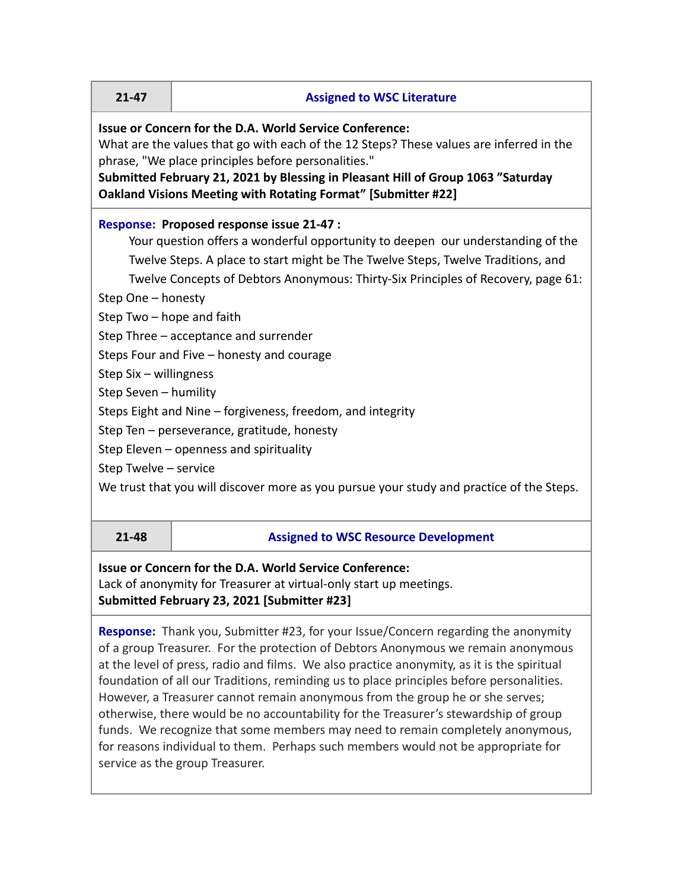## **21-47 Assigned to WSC Literature**

## **Issue or Concern for the D.A. World Service Conference:**

What are the values that go with each of the 12 Steps? These values are inferred in the phrase, "We place principles before personalities."

**Submitted February 21, 2021 by Blessing in Pleasant Hill of Group 1063 "Saturday Oakland Visions Meeting with Rotating Format" [Submitter #22]**

## **Response: Proposed response issue 21-47 :**

Your question offers a wonderful opportunity to deepen our understanding of the Twelve Steps. A place to start might be The Twelve Steps, Twelve Traditions, and Twelve Concepts of Debtors Anonymous: Thirty-Six Principles of Recovery, page 61:

Step One – honesty

Step Two – hope and faith

Step Three – acceptance and surrender

Steps Four and Five – honesty and courage

Step Six – willingness

Step Seven – humility

Steps Eight and Nine – forgiveness, freedom, and integrity

Step Ten – perseverance, gratitude, honesty

Step Eleven – openness and spirituality

Step Twelve – service

We trust that you will discover more as you pursue your study and practice of the Steps.

| $-4c$<br>۰. |
|-------------|
|             |
|             |

## **21-48 Assigned to WSC Resource Development**

## **Issue or Concern for the D.A. World Service Conference:**

Lack of anonymity for Treasurer at virtual-only start up meetings. **Submitted February 23, 2021 [Submitter #23]**

**Response:** Thank you, Submitter #23, for your Issue/Concern regarding the anonymity of a group Treasurer. For the protection of Debtors Anonymous we remain anonymous at the level of press, radio and films. We also practice anonymity, as it is the spiritual foundation of all our Traditions, reminding us to place principles before personalities. However, a Treasurer cannot remain anonymous from the group he or she serves; otherwise, there would be no accountability for the Treasurer's stewardship of group funds. We recognize that some members may need to remain completely anonymous, for reasons individual to them. Perhaps such members would not be appropriate for service as the group Treasurer.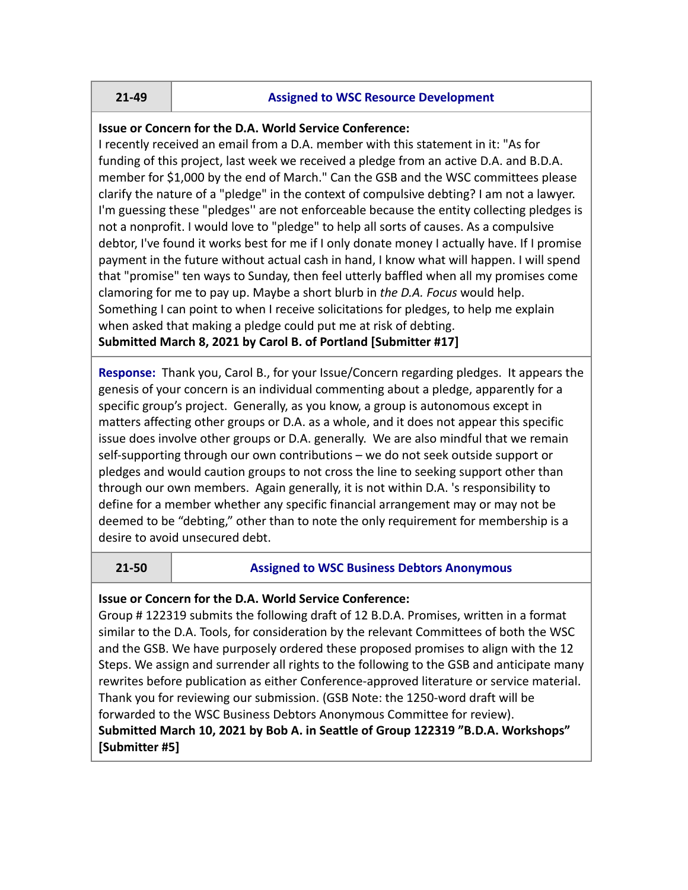### **21-49 Assigned to WSC Resource Development**

## **Issue or Concern for the D.A. World Service Conference:**

I recently received an email from a D.A. member with this statement in it: "As for funding of this project, last week we received a pledge from an active D.A. and B.D.A. member for \$1,000 by the end of March." Can the GSB and the WSC committees please clarify the nature of a "pledge" in the context of compulsive debting? I am not a lawyer. I'm guessing these "pledges'' are not enforceable because the entity collecting pledges is not a nonprofit. I would love to "pledge" to help all sorts of causes. As a compulsive debtor, I've found it works best for me if I only donate money I actually have. If I promise payment in the future without actual cash in hand, I know what will happen. I will spend that "promise" ten ways to Sunday, then feel utterly baffled when all my promises come clamoring for me to pay up. Maybe a short blurb in *the D.A. Focus* would help. Something I can point to when I receive solicitations for pledges, to help me explain when asked that making a pledge could put me at risk of debting.

**Submitted March 8, 2021 by Carol B. of Portland [Submitter #17]**

**Response:** Thank you, Carol B., for your Issue/Concern regarding pledges. It appears the genesis of your concern is an individual commenting about a pledge, apparently for a specific group's project. Generally, as you know, a group is autonomous except in matters affecting other groups or D.A. as a whole, and it does not appear this specific issue does involve other groups or D.A. generally. We are also mindful that we remain self-supporting through our own contributions – we do not seek outside support or pledges and would caution groups to not cross the line to seeking support other than through our own members. Again generally, it is not within D.A. 's responsibility to define for a member whether any specific financial arrangement may or may not be deemed to be "debting," other than to note the only requirement for membership is a desire to avoid unsecured debt.

## **21-50 Assigned to WSC Business Debtors Anonymous**

## **Issue or Concern for the D.A. World Service Conference:**

Group # 122319 submits the following draft of 12 B.D.A. Promises, written in a format similar to the D.A. Tools, for consideration by the relevant Committees of both the WSC and the GSB. We have purposely ordered these proposed promises to align with the 12 Steps. We assign and surrender all rights to the following to the GSB and anticipate many rewrites before publication as either Conference-approved literature or service material. Thank you for reviewing our submission. (GSB Note: the 1250-word draft will be forwarded to the WSC Business Debtors Anonymous Committee for review). **Submitted March 10, 2021 by Bob A. in Seattle of Group 122319 "B.D.A. Workshops" [Submitter #5]**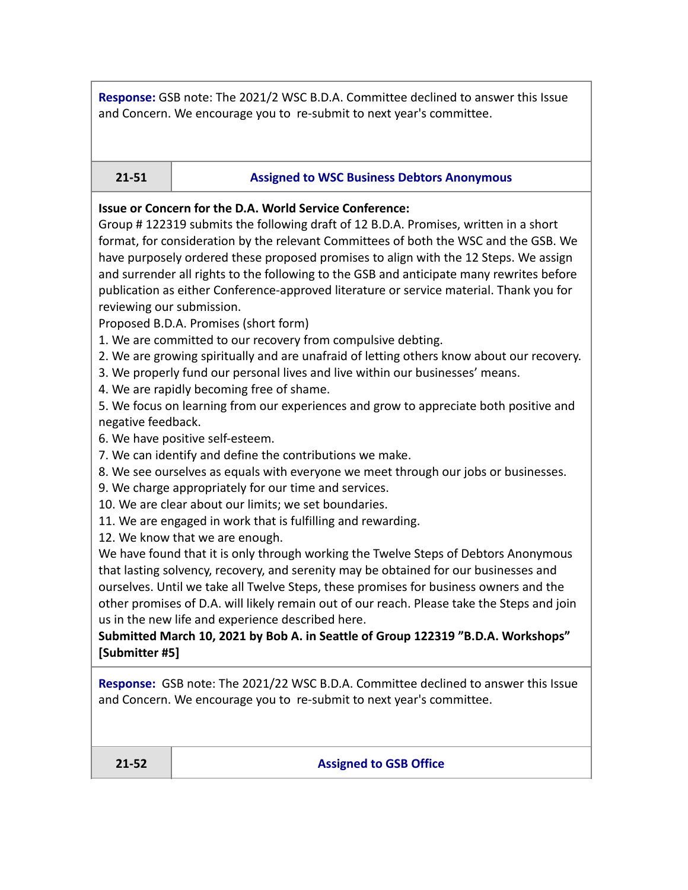**Response:** GSB note: The 2021/2 WSC B.D.A. Committee declined to answer this Issue and Concern. We encourage you to re-submit to next year's committee.

## **21-51 Assigned to WSC Business Debtors Anonymous**

#### **Issue or Concern for the D.A. World Service Conference:**

Group # 122319 submits the following draft of 12 B.D.A. Promises, written in a short format, for consideration by the relevant Committees of both the WSC and the GSB. We have purposely ordered these proposed promises to align with the 12 Steps. We assign and surrender all rights to the following to the GSB and anticipate many rewrites before publication as either Conference-approved literature or service material. Thank you for reviewing our submission.

Proposed B.D.A. Promises (short form)

1. We are committed to our recovery from compulsive debting.

2. We are growing spiritually and are unafraid of letting others know about our recovery.

3. We properly fund our personal lives and live within our businesses' means.

4. We are rapidly becoming free of shame.

5. We focus on learning from our experiences and grow to appreciate both positive and negative feedback.

6. We have positive self-esteem.

7. We can identify and define the contributions we make.

8. We see ourselves as equals with everyone we meet through our jobs or businesses.

9. We charge appropriately for our time and services.

10. We are clear about our limits; we set boundaries.

11. We are engaged in work that is fulfilling and rewarding.

12. We know that we are enough.

We have found that it is only through working the Twelve Steps of Debtors Anonymous that lasting solvency, recovery, and serenity may be obtained for our businesses and ourselves. Until we take all Twelve Steps, these promises for business owners and the other promises of D.A. will likely remain out of our reach. Please take the Steps and join us in the new life and experience described here.

**Submitted March 10, 2021 by Bob A. in Seattle of Group 122319 "B.D.A. Workshops" [Submitter #5]**

**Response:** GSB note: The 2021/22 WSC B.D.A. Committee declined to answer this Issue and Concern. We encourage you to re-submit to next year's committee.

**21-52 Assigned to GSB Office**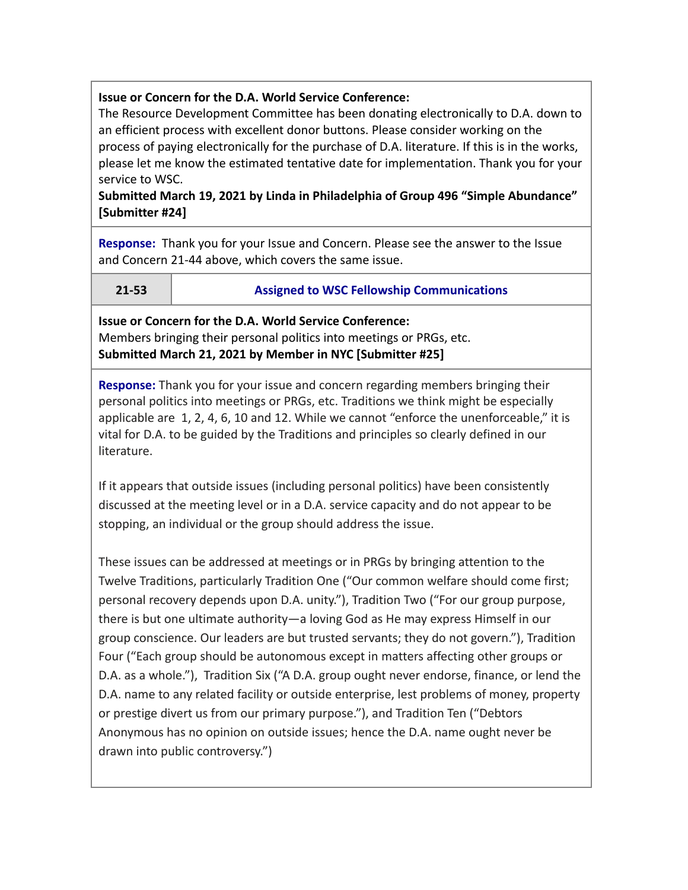## **Issue or Concern for the D.A. World Service Conference:**

The Resource Development Committee has been donating electronically to D.A. down to an efficient process with excellent donor buttons. Please consider working on the process of paying electronically for the purchase of D.A. literature. If this is in the works, please let me know the estimated tentative date for implementation. Thank you for your service to WSC.

## **Submitted March 19, 2021 by Linda in Philadelphia of Group 496 "Simple Abundance" [Submitter #24]**

**Response:** Thank you for your Issue and Concern. Please see the answer to the Issue and Concern 21-44 above, which covers the same issue.

## **21-53 Assigned to WSC Fellowship Communications**

**Issue or Concern for the D.A. World Service Conference:** Members bringing their personal politics into meetings or PRGs, etc. **Submitted March 21, 2021 by Member in NYC [Submitter #25]**

**Response:** Thank you for your issue and concern regarding members bringing their personal politics into meetings or PRGs, etc. Traditions we think might be especially applicable are 1, 2, 4, 6, 10 and 12. While we cannot "enforce the unenforceable," it is vital for D.A. to be guided by the Traditions and principles so clearly defined in our literature.

If it appears that outside issues (including personal politics) have been consistently discussed at the meeting level or in a D.A. service capacity and do not appear to be stopping, an individual or the group should address the issue.

These issues can be addressed at meetings or in PRGs by bringing attention to the Twelve Traditions, particularly Tradition One ("Our common welfare should come first; personal recovery depends upon D.A. unity."), Tradition Two ("For our group purpose, there is but one ultimate authority—a loving God as He may express Himself in our group conscience. Our leaders are but trusted servants; they do not govern."), Tradition Four ("Each group should be autonomous except in matters affecting other groups or D.A. as a whole."), Tradition Six ("A D.A. group ought never endorse, finance, or lend the D.A. name to any related facility or outside enterprise, lest problems of money, property or prestige divert us from our primary purpose."), and Tradition Ten ("Debtors Anonymous has no opinion on outside issues; hence the D.A. name ought never be drawn into public controversy.")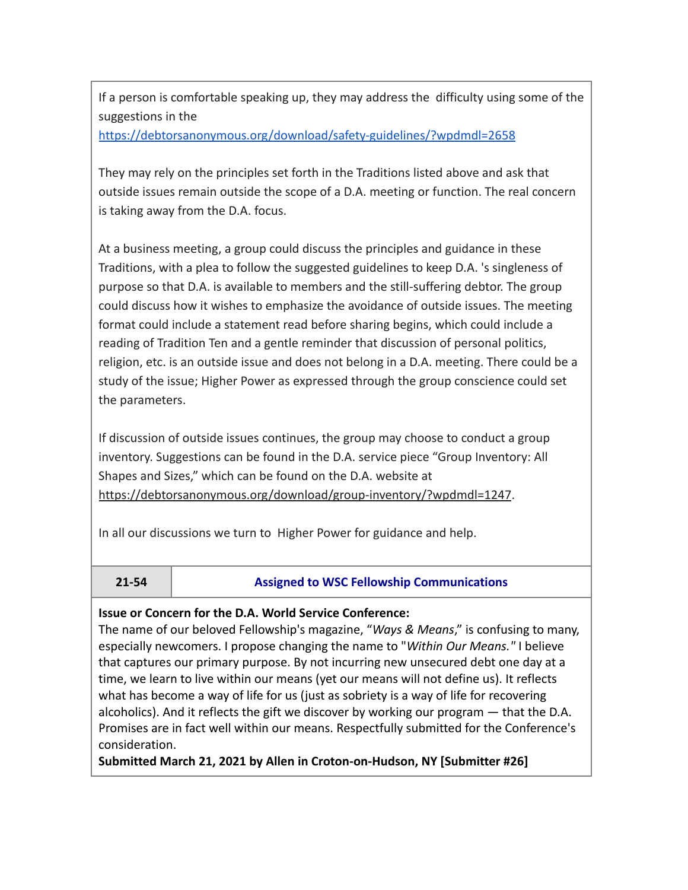If a person is comfortable speaking up, they may address the difficulty using some of the suggestions in the

<https://debtorsanonymous.org/download/safety-guidelines/?wpdmdl=2658>

They may rely on the principles set forth in the Traditions listed above and ask that outside issues remain outside the scope of a D.A. meeting or function. The real concern is taking away from the D.A. focus.

At a business meeting, a group could discuss the principles and guidance in these Traditions, with a plea to follow the suggested guidelines to keep D.A. 's singleness of purpose so that D.A. is available to members and the still-suffering debtor. The group could discuss how it wishes to emphasize the avoidance of outside issues. The meeting format could include a statement read before sharing begins, which could include a reading of Tradition Ten and a gentle reminder that discussion of personal politics, religion, etc. is an outside issue and does not belong in a D.A. meeting. There could be a study of the issue; Higher Power as expressed through the group conscience could set the parameters.

If discussion of outside issues continues, the group may choose to conduct a group inventory. Suggestions can be found in the D.A. service piece "Group Inventory: All Shapes and Sizes," which can be found on the D.A. website at <https://debtorsanonymous.org/download/group-inventory/?wpdmdl=1247>.

In all our discussions we turn to Higher Power for guidance and help.

## **21-54 Assigned to WSC Fellowship Communications**

## **Issue or Concern for the D.A. World Service Conference:**

The name of our beloved Fellowship's magazine, "*Ways & Means*," is confusing to many, especially newcomers. I propose changing the name to "*Within Our Means."* I believe that captures our primary purpose. By not incurring new unsecured debt one day at a time, we learn to live within our means (yet our means will not define us). It reflects what has become a way of life for us (just as sobriety is a way of life for recovering alcoholics). And it reflects the gift we discover by working our program — that the D.A. Promises are in fact well within our means. Respectfully submitted for the Conference's consideration.

**Submitted March 21, 2021 by Allen in Croton-on-Hudson, NY [Submitter #26]**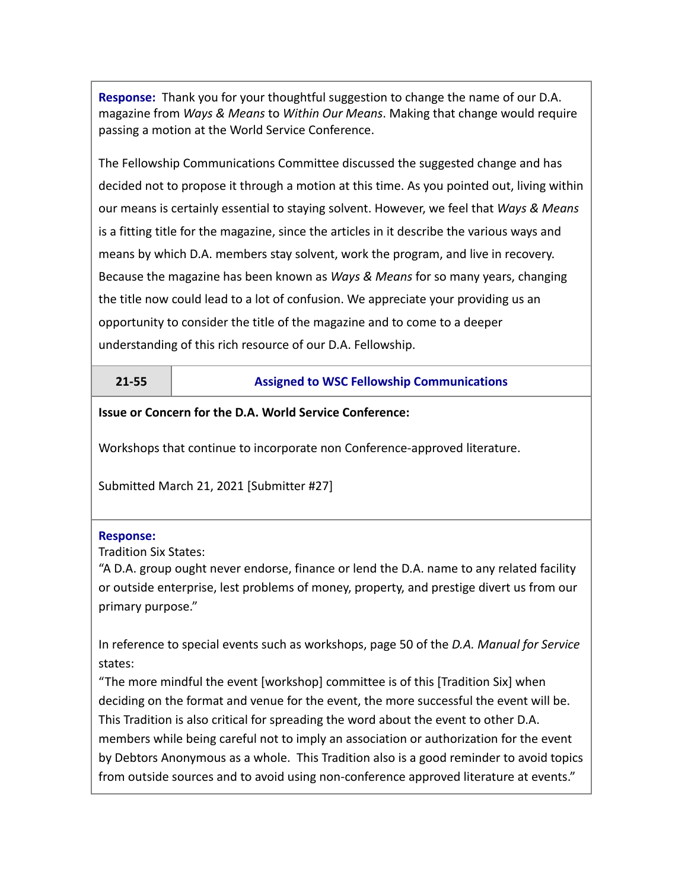**Response:** Thank you for your thoughtful suggestion to change the name of our D.A. magazine from *Ways & Means* to *Within Our Means*. Making that change would require passing a motion at the World Service Conference.

The Fellowship Communications Committee discussed the suggested change and has decided not to propose it through a motion at this time. As you pointed out, living within our means is certainly essential to staying solvent. However, we feel that *Ways & Means* is a fitting title for the magazine, since the articles in it describe the various ways and means by which D.A. members stay solvent, work the program, and live in recovery. Because the magazine has been known as *Ways & Means* for so many years, changing the title now could lead to a lot of confusion. We appreciate your providing us an opportunity to consider the title of the magazine and to come to a deeper understanding of this rich resource of our D.A. Fellowship.

## **21-55 Assigned to WSC Fellowship Communications**

## **Issue or Concern for the D.A. World Service Conference:**

Workshops that continue to incorporate non Conference-approved literature.

Submitted March 21, 2021 [Submitter #27]

## **Response:**

Tradition Six States:

"A D.A. group ought never endorse, finance or lend the D.A. name to any related facility or outside enterprise, lest problems of money, property, and prestige divert us from our primary purpose."

In reference to special events such as workshops, page 50 of the *D.A. Manual for Service* states:

"The more mindful the event [workshop] committee is of this [Tradition Six] when deciding on the format and venue for the event, the more successful the event will be. This Tradition is also critical for spreading the word about the event to other D.A. members while being careful not to imply an association or authorization for the event by Debtors Anonymous as a whole. This Tradition also is a good reminder to avoid topics from outside sources and to avoid using non-conference approved literature at events."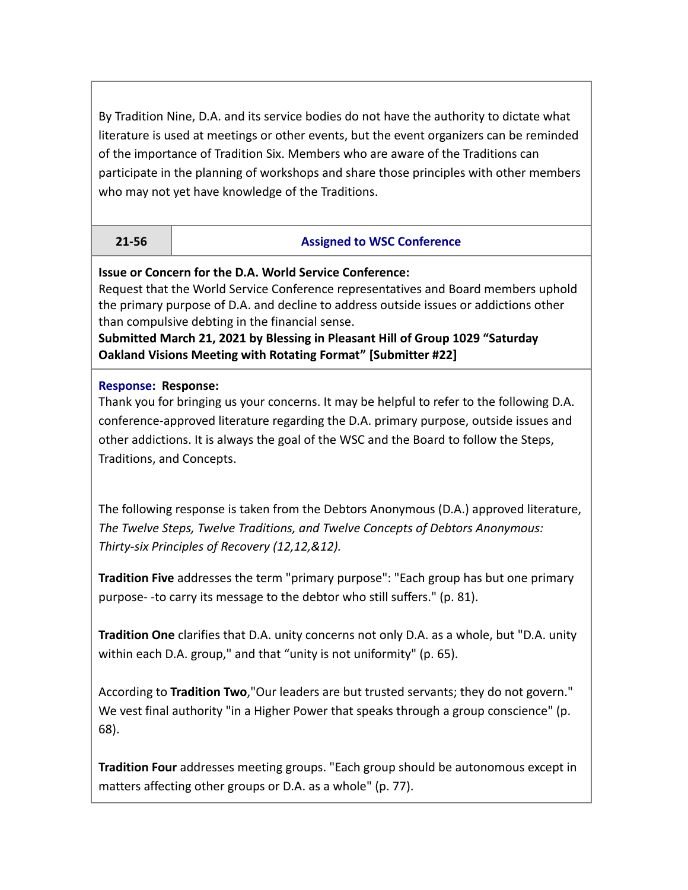By Tradition Nine, D.A. and its service bodies do not have the authority to dictate what literature is used at meetings or other events, but the event organizers can be reminded of the importance of Tradition Six. Members who are aware of the Traditions can participate in the planning of workshops and share those principles with other members who may not yet have knowledge of the Traditions.

## **21-56 Assigned to WSC Conference**

**Issue or Concern for the D.A. World Service Conference:**

Request that the World Service Conference representatives and Board members uphold the primary purpose of D.A. and decline to address outside issues or addictions other than compulsive debting in the financial sense.

**Submitted March 21, 2021 by Blessing in Pleasant Hill of Group 1029 "Saturday Oakland Visions Meeting with Rotating Format" [Submitter #22]**

## **Response: Response:**

Thank you for bringing us your concerns. It may be helpful to refer to the following D.A. conference-approved literature regarding the D.A. primary purpose, outside issues and other addictions. It is always the goal of the WSC and the Board to follow the Steps, Traditions, and Concepts.

The following response is taken from the Debtors Anonymous (D.A.) approved literature, *The Twelve Steps, Twelve Traditions, and Twelve Concepts of Debtors Anonymous: Thirty-six Principles of Recovery (12,12,&12).*

**Tradition Five** addresses the term "primary purpose": "Each group has but one primary purpose- -to carry its message to the debtor who still suffers." (p. 81).

**Tradition One** clarifies that D.A. unity concerns not only D.A. as a whole, but "D.A. unity within each D.A. group," and that "unity is not uniformity" (p. 65).

According to **Tradition Two**,"Our leaders are but trusted servants; they do not govern." We vest final authority "in a Higher Power that speaks through a group conscience" (p. 68).

**Tradition Four** addresses meeting groups. "Each group should be autonomous except in matters affecting other groups or D.A. as a whole" (p. 77).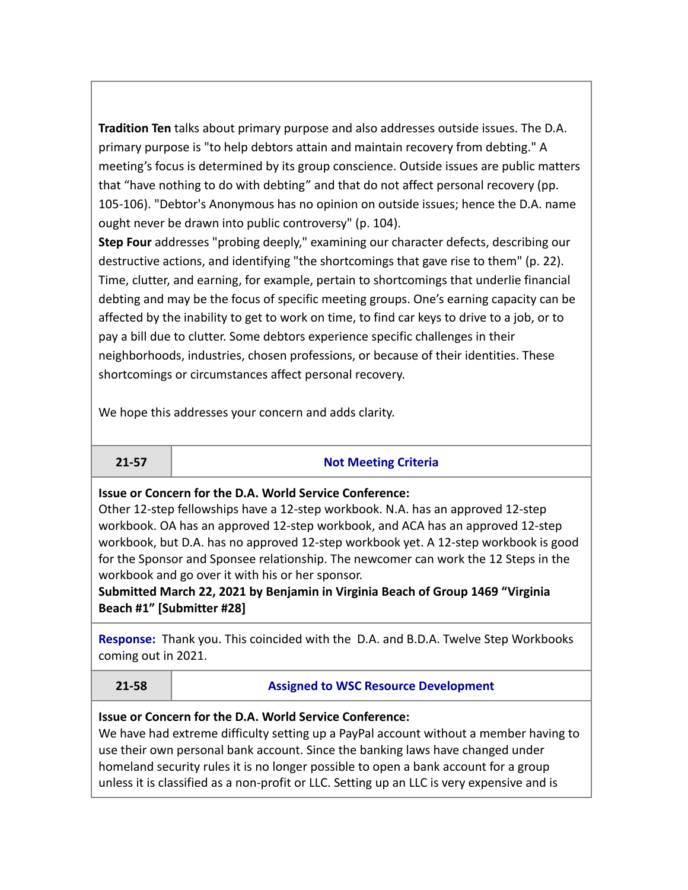**Tradition Ten** talks about primary purpose and also addresses outside issues. The D.A. primary purpose is "to help debtors attain and maintain recovery from debting." A meeting's focus is determined by its group conscience. Outside issues are public matters that "have nothing to do with debting" and that do not affect personal recovery (pp. 105-106). "Debtor's Anonymous has no opinion on outside issues; hence the D.A. name ought never be drawn into public controversy" (p. 104).

**Step Four** addresses "probing deeply," examining our character defects, describing our destructive actions, and identifying "the shortcomings that gave rise to them" (p. 22). Time, clutter, and earning, for example, pertain to shortcomings that underlie financial debting and may be the focus of specific meeting groups. One's earning capacity can be affected by the inability to get to work on time, to find car keys to drive to a job, or to pay a bill due to clutter. Some debtors experience specific challenges in their neighborhoods, industries, chosen professions, or because of their identities. These shortcomings or circumstances affect personal recovery.

We hope this addresses your concern and adds clarity.

## **21-57 Not Meeting Criteria**

**Issue or Concern for the D.A. World Service Conference:**

Other 12-step fellowships have a 12-step workbook. N.A. has an approved 12-step workbook. OA has an approved 12-step workbook, and ACA has an approved 12-step workbook, but D.A. has no approved 12-step workbook yet. A 12-step workbook is good for the Sponsor and Sponsee relationship. The newcomer can work the 12 Steps in the workbook and go over it with his or her sponsor.

**Submitted March 22, 2021 by Benjamin in Virginia Beach of Group 1469 "Virginia Beach #1" [Submitter #28]**

**Response:** Thank you. This coincided with the D.A. and B.D.A. Twelve Step Workbooks coming out in 2021.

**21-58 Assigned to WSC Resource Development**

## **Issue or Concern for the D.A. World Service Conference:**

We have had extreme difficulty setting up a PayPal account without a member having to use their own personal bank account. Since the banking laws have changed under homeland security rules it is no longer possible to open a bank account for a group unless it is classified as a non-profit or LLC. Setting up an LLC is very expensive and is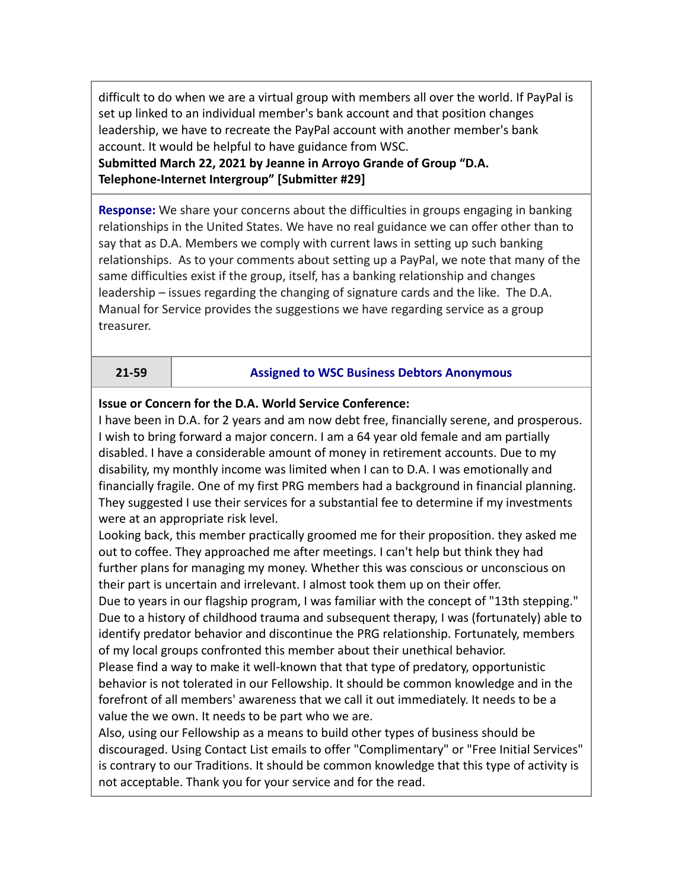difficult to do when we are a virtual group with members all over the world. If PayPal is set up linked to an individual member's bank account and that position changes leadership, we have to recreate the PayPal account with another member's bank account. It would be helpful to have guidance from WSC.

**Submitted March 22, 2021 by Jeanne in Arroyo Grande of Group "D.A. Telephone-Internet Intergroup" [Submitter #29]**

**Response:** We share your concerns about the difficulties in groups engaging in banking relationships in the United States. We have no real guidance we can offer other than to say that as D.A. Members we comply with current laws in setting up such banking relationships. As to your comments about setting up a PayPal, we note that many of the same difficulties exist if the group, itself, has a banking relationship and changes leadership – issues regarding the changing of signature cards and the like. The D.A. Manual for Service provides the suggestions we have regarding service as a group treasurer.

## **21-59 Assigned to WSC Business Debtors Anonymous**

**Issue or Concern for the D.A. World Service Conference:**

I have been in D.A. for 2 years and am now debt free, financially serene, and prosperous. I wish to bring forward a major concern. I am a 64 year old female and am partially disabled. I have a considerable amount of money in retirement accounts. Due to my disability, my monthly income was limited when I can to D.A. I was emotionally and financially fragile. One of my first PRG members had a background in financial planning. They suggested I use their services for a substantial fee to determine if my investments were at an appropriate risk level.

Looking back, this member practically groomed me for their proposition. they asked me out to coffee. They approached me after meetings. I can't help but think they had further plans for managing my money. Whether this was conscious or unconscious on their part is uncertain and irrelevant. I almost took them up on their offer.

Due to years in our flagship program, I was familiar with the concept of "13th stepping." Due to a history of childhood trauma and subsequent therapy, I was (fortunately) able to identify predator behavior and discontinue the PRG relationship. Fortunately, members of my local groups confronted this member about their unethical behavior.

Please find a way to make it well-known that that type of predatory, opportunistic behavior is not tolerated in our Fellowship. It should be common knowledge and in the forefront of all members' awareness that we call it out immediately. It needs to be a value the we own. It needs to be part who we are.

Also, using our Fellowship as a means to build other types of business should be discouraged. Using Contact List emails to offer "Complimentary" or "Free Initial Services" is contrary to our Traditions. It should be common knowledge that this type of activity is not acceptable. Thank you for your service and for the read.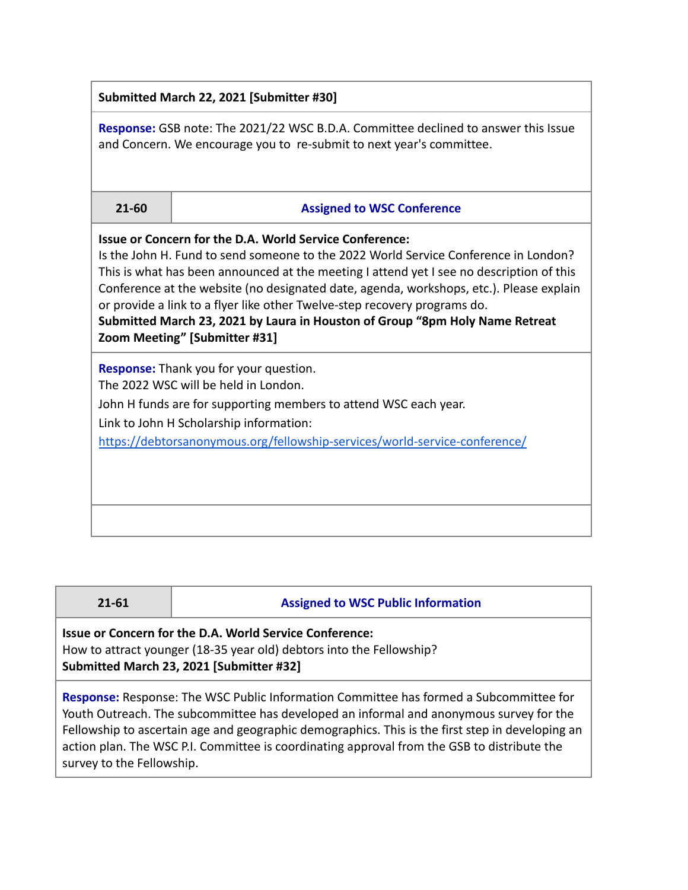| Submitted March 22, 2021 [Submitter #30]                                                                                                                                                                                                                                                                                                                                                                                                                                                                                                   |                                   |  |  |  |
|--------------------------------------------------------------------------------------------------------------------------------------------------------------------------------------------------------------------------------------------------------------------------------------------------------------------------------------------------------------------------------------------------------------------------------------------------------------------------------------------------------------------------------------------|-----------------------------------|--|--|--|
| <b>Response:</b> GSB note: The 2021/22 WSC B.D.A. Committee declined to answer this Issue<br>and Concern. We encourage you to re-submit to next year's committee.                                                                                                                                                                                                                                                                                                                                                                          |                                   |  |  |  |
| 21-60                                                                                                                                                                                                                                                                                                                                                                                                                                                                                                                                      | <b>Assigned to WSC Conference</b> |  |  |  |
| <b>Issue or Concern for the D.A. World Service Conference:</b><br>Is the John H. Fund to send someone to the 2022 World Service Conference in London?<br>This is what has been announced at the meeting I attend yet I see no description of this<br>Conference at the website (no designated date, agenda, workshops, etc.). Please explain<br>or provide a link to a flyer like other Twelve-step recovery programs do.<br>Submitted March 23, 2021 by Laura in Houston of Group "8pm Holy Name Retreat<br>Zoom Meeting" [Submitter #31] |                                   |  |  |  |
| <b>Response:</b> Thank you for your question.<br>The 2022 WSC will be held in London.<br>John H funds are for supporting members to attend WSC each year.<br>Link to John H Scholarship information:<br>https://debtorsanonymous.org/fellowship-services/world-service-conference/                                                                                                                                                                                                                                                         |                                   |  |  |  |

| $21 - 61$                                                                                                                                                                   | <b>Assigned to WSC Public Information</b>                                                                                                                                         |  |  |
|-----------------------------------------------------------------------------------------------------------------------------------------------------------------------------|-----------------------------------------------------------------------------------------------------------------------------------------------------------------------------------|--|--|
| Issue or Concern for the D.A. World Service Conference:<br>How to attract younger (18-35 year old) debtors into the Fellowship?<br>Submitted March 23, 2021 [Submitter #32] |                                                                                                                                                                                   |  |  |
|                                                                                                                                                                             | Response: Response: The WSC Public Information Committee has formed a Subcommittee for<br>Youth Outreach. The subcommittee has developed an informal and anonymous survey for the |  |  |

 $\Box$ 

Fellowship to ascertain age and geographic demographics. This is the first step in developing an action plan. The WSC P.I. Committee is coordinating approval from the GSB to distribute the survey to the Fellowship.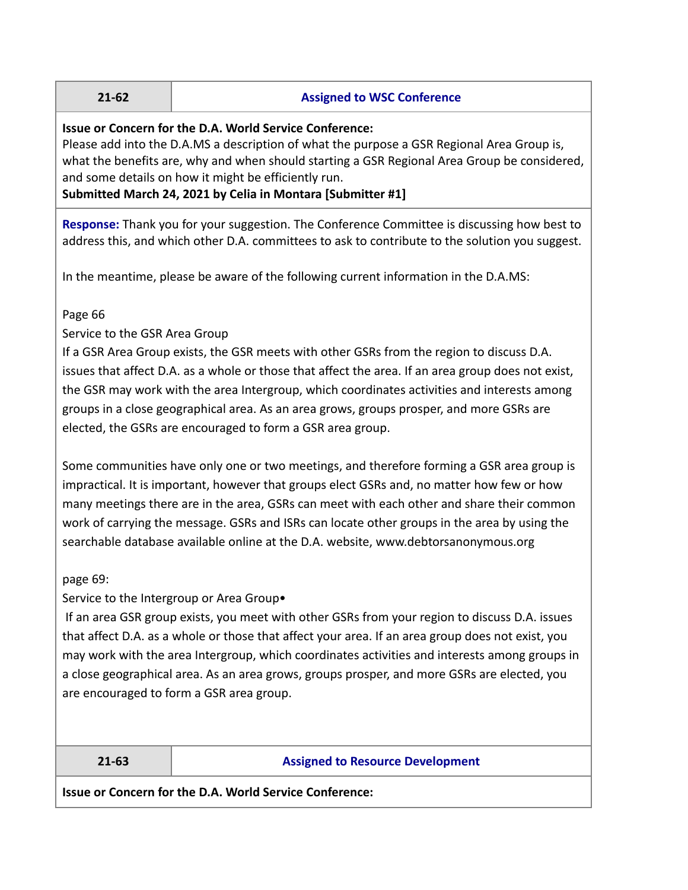### **21-62 Assigned to WSC Conference**

## **Issue or Concern for the D.A. World Service Conference:**

Please add into the D.A.MS a description of what the purpose a GSR Regional Area Group is, what the benefits are, why and when should starting a GSR Regional Area Group be considered, and some details on how it might be efficiently run.

## **Submitted March 24, 2021 by Celia in Montara [Submitter #1]**

**Response:** Thank you for your suggestion. The Conference Committee is discussing how best to address this, and which other D.A. committees to ask to contribute to the solution you suggest.

In the meantime, please be aware of the following current information in the D.A.MS:

## Page 66

## Service to the GSR Area Group

If a GSR Area Group exists, the GSR meets with other GSRs from the region to discuss D.A. issues that affect D.A. as a whole or those that affect the area. If an area group does not exist, the GSR may work with the area Intergroup, which coordinates activities and interests among groups in a close geographical area. As an area grows, groups prosper, and more GSRs are elected, the GSRs are encouraged to form a GSR area group.

Some communities have only one or two meetings, and therefore forming a GSR area group is impractical. It is important, however that groups elect GSRs and, no matter how few or how many meetings there are in the area, GSRs can meet with each other and share their common work of carrying the message. GSRs and ISRs can locate other groups in the area by using the searchable database available online at the D.A. website, www.debtorsanonymous.org

## page 69:

Service to the Intergroup or Area Group•

If an area GSR group exists, you meet with other GSRs from your region to discuss D.A. issues that affect D.A. as a whole or those that affect your area. If an area group does not exist, you may work with the area Intergroup, which coordinates activities and interests among groups in a close geographical area. As an area grows, groups prosper, and more GSRs are elected, you are encouraged to form a GSR area group.

## **21-63 Assigned to Resource Development**

**Issue or Concern for the D.A. World Service Conference:**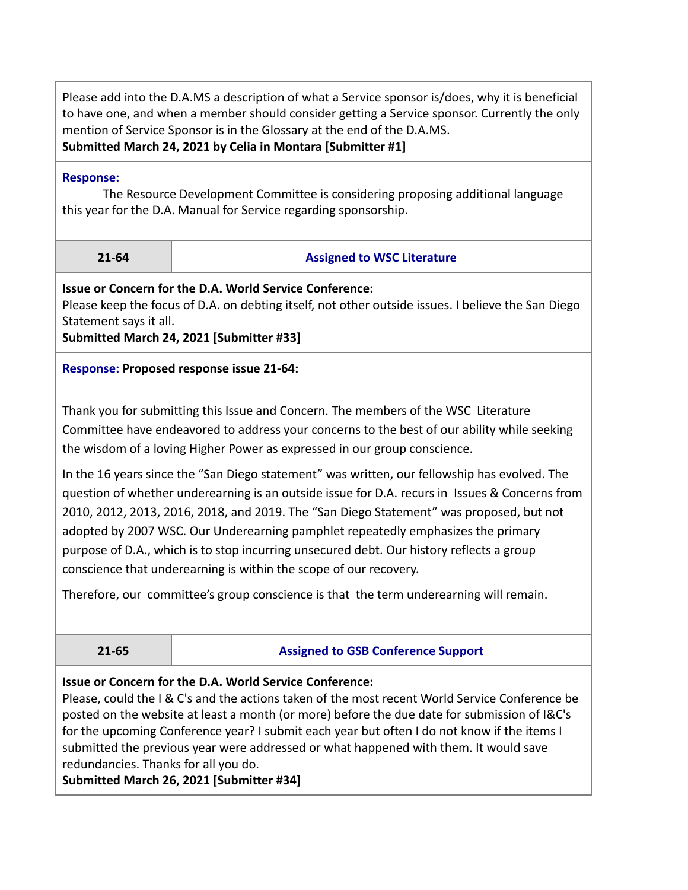Please add into the D.A.MS a description of what a Service sponsor is/does, why it is beneficial to have one, and when a member should consider getting a Service sponsor. Currently the only mention of Service Sponsor is in the Glossary at the end of the D.A.MS. **Submitted March 24, 2021 by Celia in Montara [Submitter #1]**

#### **Response:**

The Resource Development Committee is considering proposing additional language this year for the D.A. Manual for Service regarding sponsorship.

## **21-64 Assigned to WSC Literature**

**Issue or Concern for the D.A. World Service Conference:**

Please keep the focus of D.A. on debting itself, not other outside issues. I believe the San Diego Statement says it all.

**Submitted March 24, 2021 [Submitter #33]**

## **Response: Proposed response issue 21-64:**

Thank you for submitting this Issue and Concern. The members of the WSC Literature Committee have endeavored to address your concerns to the best of our ability while seeking the wisdom of a loving Higher Power as expressed in our group conscience.

In the 16 years since the "San Diego statement" was written, our fellowship has evolved. The question of whether underearning is an outside issue for D.A. recurs in Issues & Concerns from 2010, 2012, 2013, 2016, 2018, and 2019. The "San Diego Statement" was proposed, but not adopted by 2007 WSC. Our Underearning pamphlet repeatedly emphasizes the primary purpose of D.A., which is to stop incurring unsecured debt. Our history reflects a group conscience that underearning is within the scope of our recovery.

Therefore, our committee's group conscience is that the term underearning will remain.

## **21-65 Assigned to GSB Conference Support**

## **Issue or Concern for the D.A. World Service Conference:**

Please, could the I & C's and the actions taken of the most recent World Service Conference be posted on the website at least a month (or more) before the due date for submission of I&C's for the upcoming Conference year? I submit each year but often I do not know if the items I submitted the previous year were addressed or what happened with them. It would save redundancies. Thanks for all you do.

**Submitted March 26, 2021 [Submitter #34]**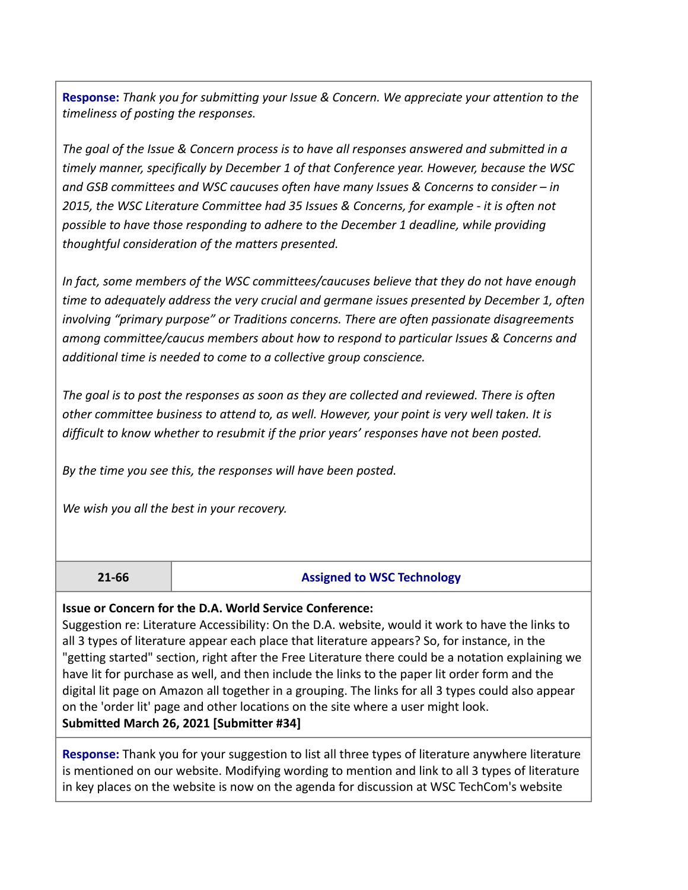**Response:** *Thank you for submitting your Issue & Concern. We appreciate your attention to the timeliness of posting the responses.*

*The goal of the Issue & Concern process is to have all responses answered and submitted in a timely manner, specifically by December 1 of that Conference year. However, because the WSC and GSB committees and WSC caucuses often have many Issues & Concerns to consider – in 2015, the WSC Literature Committee had 35 Issues & Concerns, for example - it is often not possible to have those responding to adhere to the December 1 deadline, while providing thoughtful consideration of the matters presented.*

*In fact, some members of the WSC committees/caucuses believe that they do not have enough time to adequately address the very crucial and germane issues presented by December 1, often involving "primary purpose" or Traditions concerns. There are often passionate disagreements among committee/caucus members about how to respond to particular Issues & Concerns and additional time is needed to come to a collective group conscience.*

*The goal is to post the responses as soon as they are collected and reviewed. There is often other committee business to attend to, as well. However, your point is very well taken. It is difficult to know whether to resubmit if the prior years' responses have not been posted.*

*By the time you see this, the responses will have been posted.*

*We wish you all the best in your recovery.*

## **21-66 Assigned to WSC Technology**

## **Issue or Concern for the D.A. World Service Conference:**

Suggestion re: Literature Accessibility: On the D.A. website, would it work to have the links to all 3 types of literature appear each place that literature appears? So, for instance, in the "getting started" section, right after the Free Literature there could be a notation explaining we have lit for purchase as well, and then include the links to the paper lit order form and the digital lit page on Amazon all together in a grouping. The links for all 3 types could also appear on the 'order lit' page and other locations on the site where a user might look. **Submitted March 26, 2021 [Submitter #34]**

**Response:** Thank you for your suggestion to list all three types of literature anywhere literature is mentioned on our website. Modifying wording to mention and link to all 3 types of literature in key places on the website is now on the agenda for discussion at WSC TechCom's website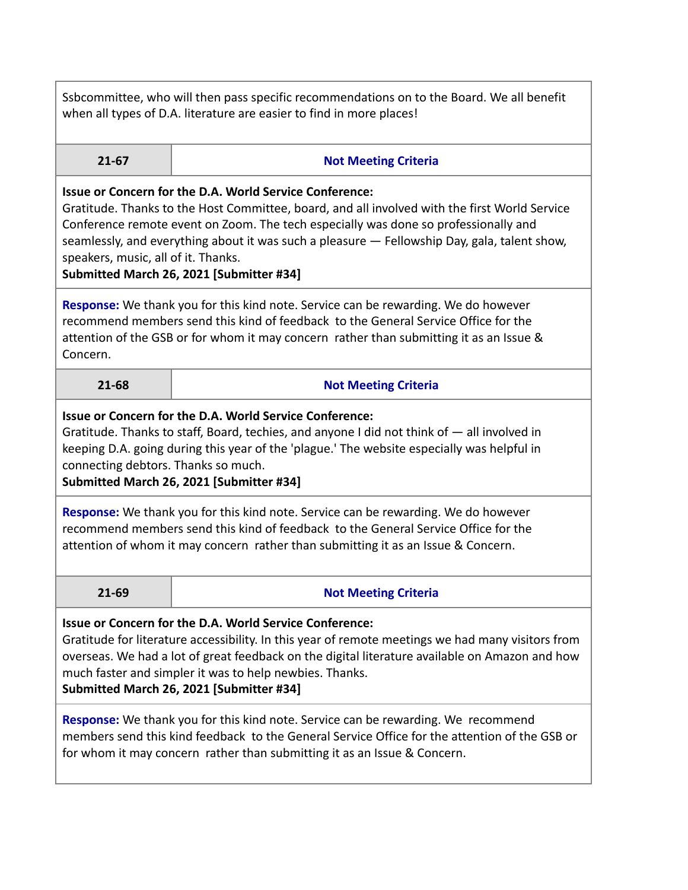Ssbcommittee, who will then pass specific recommendations on to the Board. We all benefit when all types of D.A. literature are easier to find in more places!

|  |  | , |
|--|--|---|
|  |  |   |

## **21-67 Not Meeting Criteria**

## **Issue or Concern for the D.A. World Service Conference:**

Gratitude. Thanks to the Host Committee, board, and all involved with the first World Service Conference remote event on Zoom. The tech especially was done so professionally and seamlessly, and everything about it was such a pleasure — Fellowship Day, gala, talent show, speakers, music, all of it. Thanks.

**Submitted March 26, 2021 [Submitter #34]**

**Response:** We thank you for this kind note. Service can be rewarding. We do however recommend members send this kind of feedback to the General Service Office for the attention of the GSB or for whom it may concern rather than submitting it as an Issue & Concern.

## **21-68 Not Meeting Criteria**

## **Issue or Concern for the D.A. World Service Conference:**

Gratitude. Thanks to staff, Board, techies, and anyone I did not think of — all involved in keeping D.A. going during this year of the 'plague.' The website especially was helpful in connecting debtors. Thanks so much.

**Submitted March 26, 2021 [Submitter #34]**

**Response:** We thank you for this kind note. Service can be rewarding. We do however recommend members send this kind of feedback to the General Service Office for the attention of whom it may concern rather than submitting it as an Issue & Concern.

## **21-69 Not Meeting Criteria**

**Issue or Concern for the D.A. World Service Conference:**

Gratitude for literature accessibility. In this year of remote meetings we had many visitors from overseas. We had a lot of great feedback on the digital literature available on Amazon and how much faster and simpler it was to help newbies. Thanks.

**Submitted March 26, 2021 [Submitter #34]**

**Response:** We thank you for this kind note. Service can be rewarding. We recommend members send this kind feedback to the General Service Office for the attention of the GSB or for whom it may concern rather than submitting it as an Issue & Concern.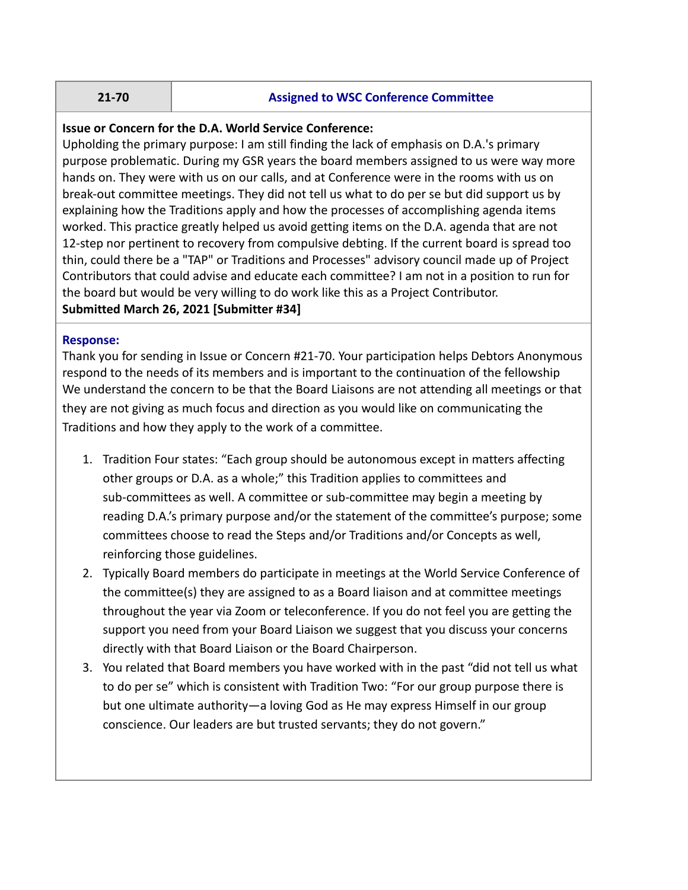#### **21-70 Assigned to WSC Conference Committee**

## **Issue or Concern for the D.A. World Service Conference:**

Upholding the primary purpose: I am still finding the lack of emphasis on D.A.'s primary purpose problematic. During my GSR years the board members assigned to us were way more hands on. They were with us on our calls, and at Conference were in the rooms with us on break-out committee meetings. They did not tell us what to do per se but did support us by explaining how the Traditions apply and how the processes of accomplishing agenda items worked. This practice greatly helped us avoid getting items on the D.A. agenda that are not 12-step nor pertinent to recovery from compulsive debting. If the current board is spread too thin, could there be a "TAP" or Traditions and Processes" advisory council made up of Project Contributors that could advise and educate each committee? I am not in a position to run for the board but would be very willing to do work like this as a Project Contributor. **Submitted March 26, 2021 [Submitter #34]**

#### **Response:**

Thank you for sending in Issue or Concern #21-70. Your participation helps Debtors Anonymous respond to the needs of its members and is important to the continuation of the fellowship We understand the concern to be that the Board Liaisons are not attending all meetings or that they are not giving as much focus and direction as you would like on communicating the Traditions and how they apply to the work of a committee.

- 1. Tradition Four states: "Each group should be autonomous except in matters affecting other groups or D.A. as a whole;" this Tradition applies to committees and sub-committees as well. A committee or sub-committee may begin a meeting by reading D.A.'s primary purpose and/or the statement of the committee's purpose; some committees choose to read the Steps and/or Traditions and/or Concepts as well, reinforcing those guidelines.
- 2. Typically Board members do participate in meetings at the World Service Conference of the committee(s) they are assigned to as a Board liaison and at committee meetings throughout the year via Zoom or teleconference. If you do not feel you are getting the support you need from your Board Liaison we suggest that you discuss your concerns directly with that Board Liaison or the Board Chairperson.
- 3. You related that Board members you have worked with in the past "did not tell us what to do per se" which is consistent with Tradition Two: "For our group purpose there is but one ultimate authority—a loving God as He may express Himself in our group conscience. Our leaders are but trusted servants; they do not govern."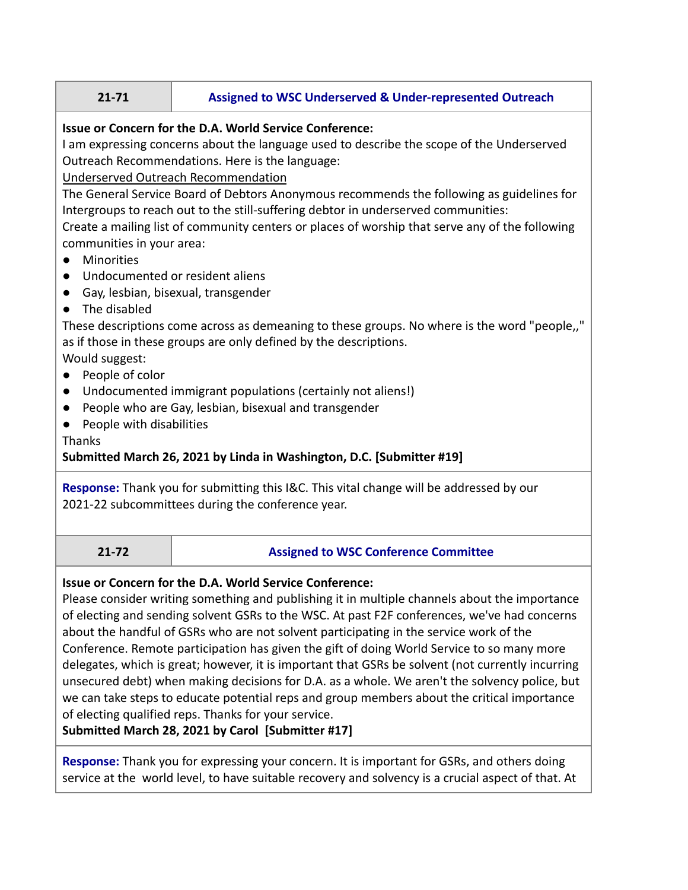# **21-71 Assigned to WSC Underserved & Under-represented Outreach**

## **Issue or Concern for the D.A. World Service Conference:**

I am expressing concerns about the language used to describe the scope of the Underserved Outreach Recommendations. Here is the language:

Underserved Outreach Recommendation

The General Service Board of Debtors Anonymous recommends the following as guidelines for Intergroups to reach out to the still-suffering debtor in underserved communities:

Create a mailing list of community centers or places of worship that serve any of the following communities in your area:

- Minorities
- Undocumented or resident aliens
- Gay, lesbian, bisexual, transgender
- The disabled

These descriptions come across as demeaning to these groups. No where is the word "people,," as if those in these groups are only defined by the descriptions.

Would suggest:

- People of color
- Undocumented immigrant populations (certainly not aliens!)
- People who are Gay, lesbian, bisexual and transgender
- People with disabilities

Thanks

## **Submitted March 26, 2021 by Linda in Washington, D.C. [Submitter #19]**

**Response:** Thank you for submitting this I&C. This vital change will be addressed by our 2021-22 subcommittees during the conference year.

## **21-72 Assigned to WSC Conference Committee**

## **Issue or Concern for the D.A. World Service Conference:**

Please consider writing something and publishing it in multiple channels about the importance of electing and sending solvent GSRs to the WSC. At past F2F conferences, we've had concerns about the handful of GSRs who are not solvent participating in the service work of the Conference. Remote participation has given the gift of doing World Service to so many more delegates, which is great; however, it is important that GSRs be solvent (not currently incurring unsecured debt) when making decisions for D.A. as a whole. We aren't the solvency police, but we can take steps to educate potential reps and group members about the critical importance of electing qualified reps. Thanks for your service.

**Submitted March 28, 2021 by Carol [Submitter #17]**

**Response:** Thank you for expressing your concern. It is important for GSRs, and others doing service at the world level, to have suitable recovery and solvency is a crucial aspect of that. At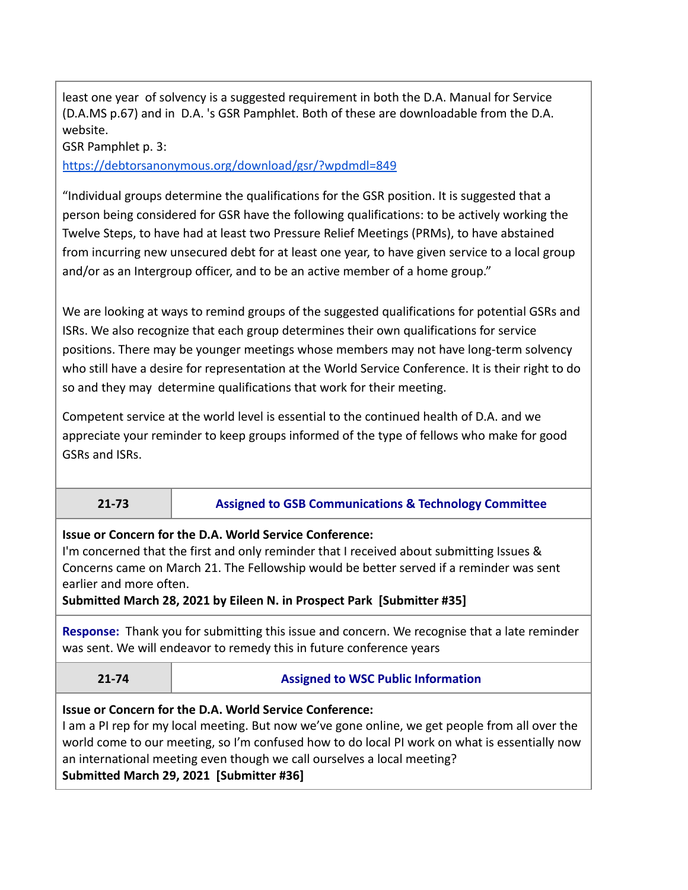least one year of solvency is a suggested requirement in both the D.A. Manual for Service (D.A.MS p.67) and in D.A. 's GSR Pamphlet. Both of these are downloadable from the D.A. website.

GSR Pamphlet p. 3:

https://debtorsanonymous.org/download/gsr/?wpdmdl=849

"Individual groups determine the qualifications for the GSR position. It is suggested that a person being considered for GSR have the following qualifications: to be actively working the Twelve Steps, to have had at least two Pressure Relief Meetings (PRMs), to have abstained from incurring new unsecured debt for at least one year, to have given service to a local group and/or as an Intergroup officer, and to be an active member of a home group."

We are looking at ways to remind groups of the suggested qualifications for potential GSRs and ISRs. We also recognize that each group determines their own qualifications for service positions. There may be younger meetings whose members may not have long-term solvency who still have a desire for representation at the World Service Conference. It is their right to do so and they may determine qualifications that work for their meeting.

Competent service at the world level is essential to the continued health of D.A. and we appreciate your reminder to keep groups informed of the type of fellows who make for good GSRs and ISRs.

## **21-73 Assigned to GSB Communications & Technology Committee**

**Issue or Concern for the D.A. World Service Conference:**

I'm concerned that the first and only reminder that I received about submitting Issues & Concerns came on March 21. The Fellowship would be better served if a reminder was sent earlier and more often.

**Submitted March 28, 2021 by Eileen N. in Prospect Park [Submitter #35]**

**Response:** Thank you for submitting this issue and concern. We recognise that a late reminder was sent. We will endeavor to remedy this in future conference years

**21-74 Assigned to WSC Public Information**

## **Issue or Concern for the D.A. World Service Conference:**

I am a PI rep for my local meeting. But now we've gone online, we get people from all over the world come to our meeting, so I'm confused how to do local PI work on what is essentially now an international meeting even though we call ourselves a local meeting? **Submitted March 29, 2021 [Submitter #36]**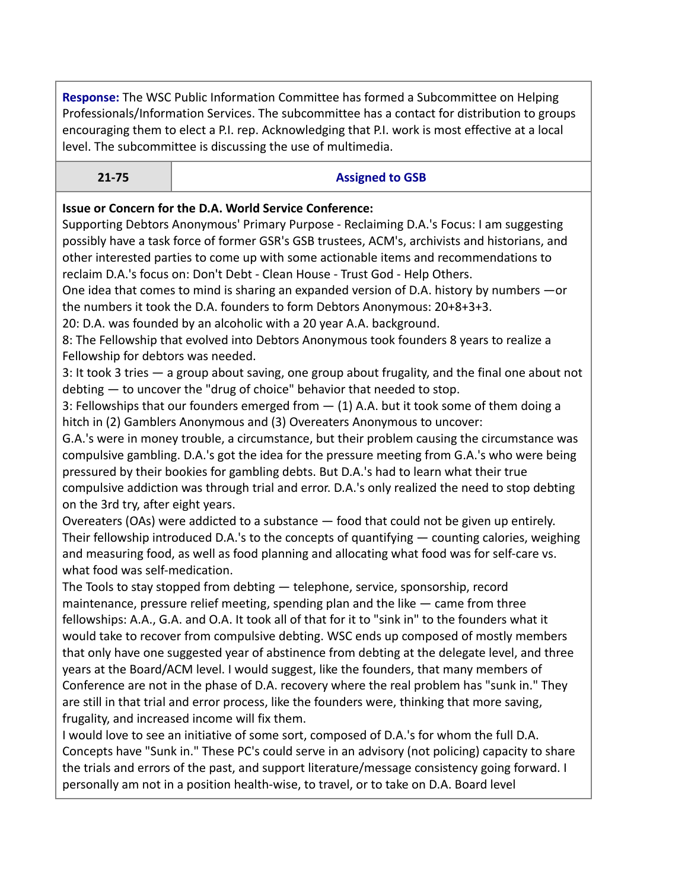**Response:** The WSC Public Information Committee has formed a Subcommittee on Helping Professionals/Information Services. The subcommittee has a contact for distribution to groups encouraging them to elect a P.I. rep. Acknowledging that P.I. work is most effective at a local level. The subcommittee is discussing the use of multimedia.

#### **21-75 Assigned to GSB**

## **Issue or Concern for the D.A. World Service Conference:**

Supporting Debtors Anonymous' Primary Purpose - Reclaiming D.A.'s Focus: I am suggesting possibly have a task force of former GSR's GSB trustees, ACM's, archivists and historians, and other interested parties to come up with some actionable items and recommendations to reclaim D.A.'s focus on: Don't Debt - Clean House - Trust God - Help Others.

One idea that comes to mind is sharing an expanded version of D.A. history by numbers —or the numbers it took the D.A. founders to form Debtors Anonymous: 20+8+3+3.

20: D.A. was founded by an alcoholic with a 20 year A.A. background.

8: The Fellowship that evolved into Debtors Anonymous took founders 8 years to realize a Fellowship for debtors was needed.

3: It took 3 tries — a group about saving, one group about frugality, and the final one about not debting — to uncover the "drug of choice" behavior that needed to stop.

3: Fellowships that our founders emerged from  $-$  (1) A.A. but it took some of them doing a hitch in (2) Gamblers Anonymous and (3) Overeaters Anonymous to uncover:

G.A.'s were in money trouble, a circumstance, but their problem causing the circumstance was compulsive gambling. D.A.'s got the idea for the pressure meeting from G.A.'s who were being pressured by their bookies for gambling debts. But D.A.'s had to learn what their true compulsive addiction was through trial and error. D.A.'s only realized the need to stop debting on the 3rd try, after eight years.

Overeaters (OAs) were addicted to a substance — food that could not be given up entirely. Their fellowship introduced D.A.'s to the concepts of quantifying — counting calories, weighing and measuring food, as well as food planning and allocating what food was for self-care vs. what food was self-medication.

The Tools to stay stopped from debting — telephone, service, sponsorship, record maintenance, pressure relief meeting, spending plan and the like — came from three fellowships: A.A., G.A. and O.A. It took all of that for it to "sink in" to the founders what it would take to recover from compulsive debting. WSC ends up composed of mostly members that only have one suggested year of abstinence from debting at the delegate level, and three years at the Board/ACM level. I would suggest, like the founders, that many members of Conference are not in the phase of D.A. recovery where the real problem has "sunk in." They are still in that trial and error process, like the founders were, thinking that more saving, frugality, and increased income will fix them.

I would love to see an initiative of some sort, composed of D.A.'s for whom the full D.A. Concepts have "Sunk in." These PC's could serve in an advisory (not policing) capacity to share the trials and errors of the past, and support literature/message consistency going forward. I personally am not in a position health-wise, to travel, or to take on D.A. Board level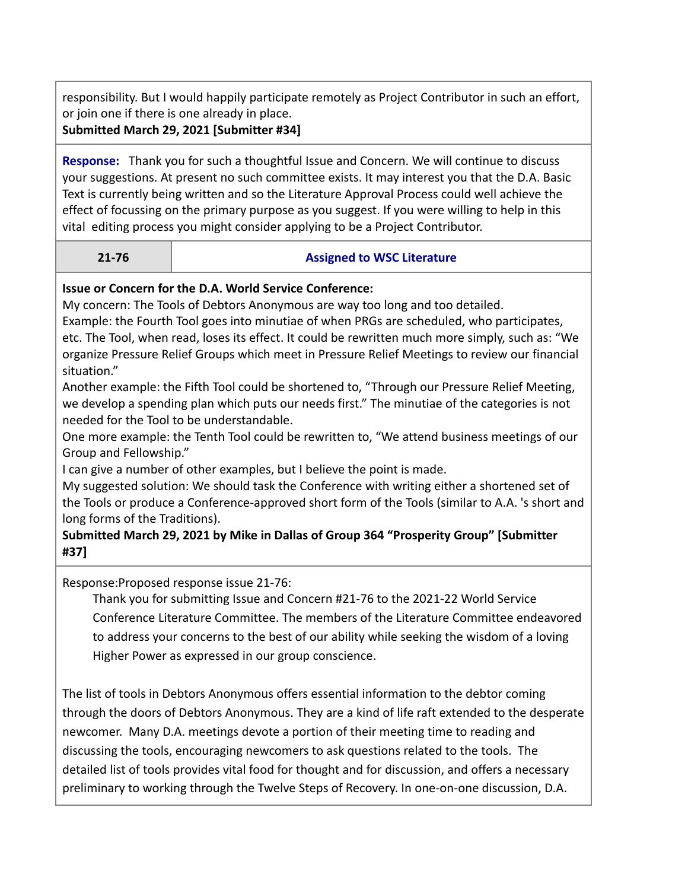responsibility. But I would happily participate remotely as Project Contributor in such an effort, or join one if there is one already in place.

**Submitted March 29, 2021 [Submitter #34]**

**Response:** Thank you for such a thoughtful Issue and Concern. We will continue to discuss your suggestions. At present no such committee exists. It may interest you that the D.A. Basic Text is currently being written and so the Literature Approval Process could well achieve the effect of focussing on the primary purpose as you suggest. If you were willing to help in this vital editing process you might consider applying to be a Project Contributor.

## **21-76 Assigned to WSC Literature**

## **Issue or Concern for the D.A. World Service Conference:**

My concern: The Tools of Debtors Anonymous are way too long and too detailed.

Example: the Fourth Tool goes into minutiae of when PRGs are scheduled, who participates, etc. The Tool, when read, loses its effect. It could be rewritten much more simply, such as: "We organize Pressure Relief Groups which meet in Pressure Relief Meetings to review our financial situation."

Another example: the Fifth Tool could be shortened to, "Through our Pressure Relief Meeting, we develop a spending plan which puts our needs first." The minutiae of the categories is not needed for the Tool to be understandable.

One more example: the Tenth Tool could be rewritten to, "We attend business meetings of our Group and Fellowship."

I can give a number of other examples, but I believe the point is made.

My suggested solution: We should task the Conference with writing either a shortened set of the Tools or produce a Conference-approved short form of the Tools (similar to A.A. 's short and long forms of the Traditions).

## **Submitted March 29, 2021 by Mike in Dallas of Group 364 "Prosperity Group" [Submitter #37]**

Response:Proposed response issue 21-76:

Thank you for submitting Issue and Concern #21-76 to the 2021-22 World Service Conference Literature Committee. The members of the Literature Committee endeavored to address your concerns to the best of our ability while seeking the wisdom of a loving Higher Power as expressed in our group conscience.

The list of tools in Debtors Anonymous offers essential information to the debtor coming through the doors of Debtors Anonymous. They are a kind of life raft extended to the desperate newcomer. Many D.A. meetings devote a portion of their meeting time to reading and discussing the tools, encouraging newcomers to ask questions related to the tools. The detailed list of tools provides vital food for thought and for discussion, and offers a necessary preliminary to working through the Twelve Steps of Recovery. In one-on-one discussion, D.A.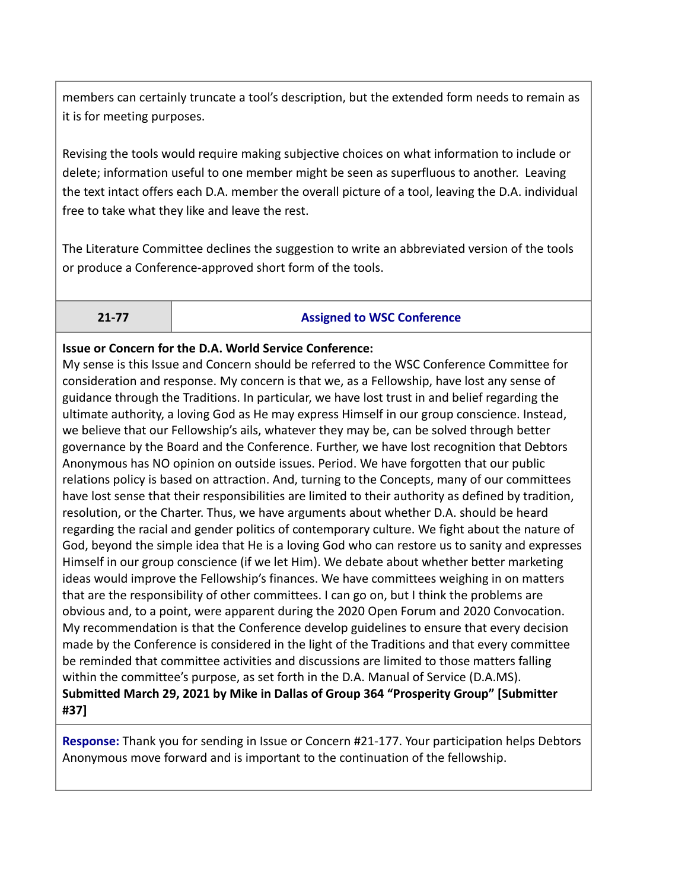members can certainly truncate a tool's description, but the extended form needs to remain as it is for meeting purposes.

Revising the tools would require making subjective choices on what information to include or delete; information useful to one member might be seen as superfluous to another. Leaving the text intact offers each D.A. member the overall picture of a tool, leaving the D.A. individual free to take what they like and leave the rest.

The Literature Committee declines the suggestion to write an abbreviated version of the tools or produce a Conference-approved short form of the tools.

## **21-77 Assigned to WSC Conference**

## **Issue or Concern for the D.A. World Service Conference:**

My sense is this Issue and Concern should be referred to the WSC Conference Committee for consideration and response. My concern is that we, as a Fellowship, have lost any sense of guidance through the Traditions. In particular, we have lost trust in and belief regarding the ultimate authority, a loving God as He may express Himself in our group conscience. Instead, we believe that our Fellowship's ails, whatever they may be, can be solved through better governance by the Board and the Conference. Further, we have lost recognition that Debtors Anonymous has NO opinion on outside issues. Period. We have forgotten that our public relations policy is based on attraction. And, turning to the Concepts, many of our committees have lost sense that their responsibilities are limited to their authority as defined by tradition, resolution, or the Charter. Thus, we have arguments about whether D.A. should be heard regarding the racial and gender politics of contemporary culture. We fight about the nature of God, beyond the simple idea that He is a loving God who can restore us to sanity and expresses Himself in our group conscience (if we let Him). We debate about whether better marketing ideas would improve the Fellowship's finances. We have committees weighing in on matters that are the responsibility of other committees. I can go on, but I think the problems are obvious and, to a point, were apparent during the 2020 Open Forum and 2020 Convocation. My recommendation is that the Conference develop guidelines to ensure that every decision made by the Conference is considered in the light of the Traditions and that every committee be reminded that committee activities and discussions are limited to those matters falling within the committee's purpose, as set forth in the D.A. Manual of Service (D.A.MS). **Submitted March 29, 2021 by Mike in Dallas of Group 364 "Prosperity Group" [Submitter #37]**

**Response:** Thank you for sending in Issue or Concern #21-177. Your participation helps Debtors Anonymous move forward and is important to the continuation of the fellowship.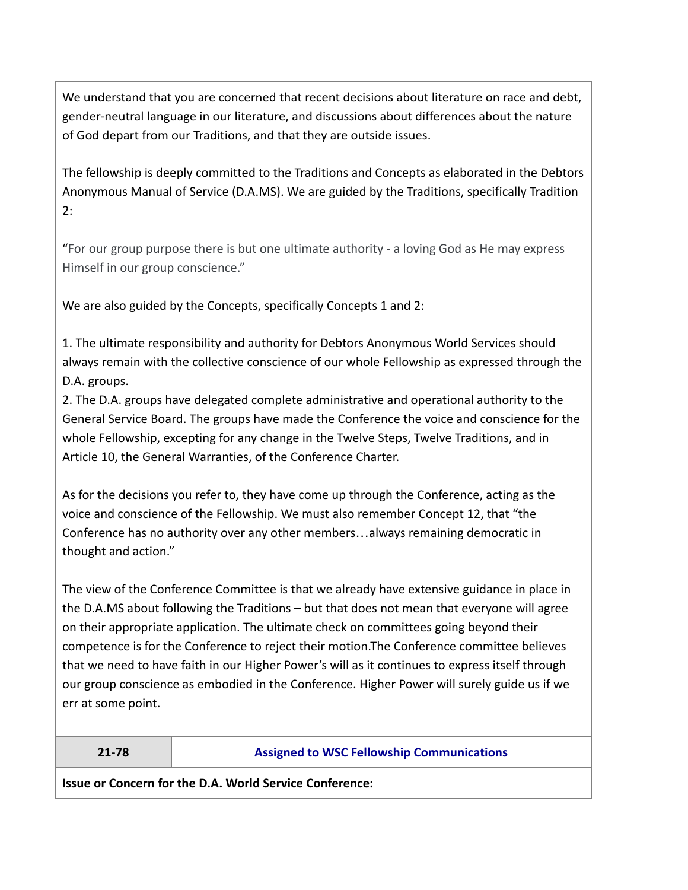We understand that you are concerned that recent decisions about literature on race and debt, gender-neutral language in our literature, and discussions about differences about the nature of God depart from our Traditions, and that they are outside issues.

The fellowship is deeply committed to the Traditions and Concepts as elaborated in the Debtors Anonymous Manual of Service (D.A.MS). We are guided by the Traditions, specifically Tradition 2:

"For our group purpose there is but one ultimate authority - a loving God as He may express Himself in our group conscience."

We are also guided by the Concepts, specifically Concepts 1 and 2:

1. The ultimate responsibility and authority for Debtors Anonymous World Services should always remain with the collective conscience of our whole Fellowship as expressed through the D.A. groups.

2. The D.A. groups have delegated complete administrative and operational authority to the General Service Board. The groups have made the Conference the voice and conscience for the whole Fellowship, excepting for any change in the Twelve Steps, Twelve Traditions, and in Article 10, the General Warranties, of the Conference Charter.

As for the decisions you refer to, they have come up through the Conference, acting as the voice and conscience of the Fellowship. We must also remember Concept 12, that "the Conference has no authority over any other members…always remaining democratic in thought and action."

The view of the Conference Committee is that we already have extensive guidance in place in the D.A.MS about following the Traditions – but that does not mean that everyone will agree on their appropriate application. The ultimate check on committees going beyond their competence is for the Conference to reject their motion.The Conference committee believes that we need to have faith in our Higher Power's will as it continues to express itself through our group conscience as embodied in the Conference. Higher Power will surely guide us if we err at some point.

## **21-78 Assigned to WSC Fellowship Communications**

**Issue or Concern for the D.A. World Service Conference:**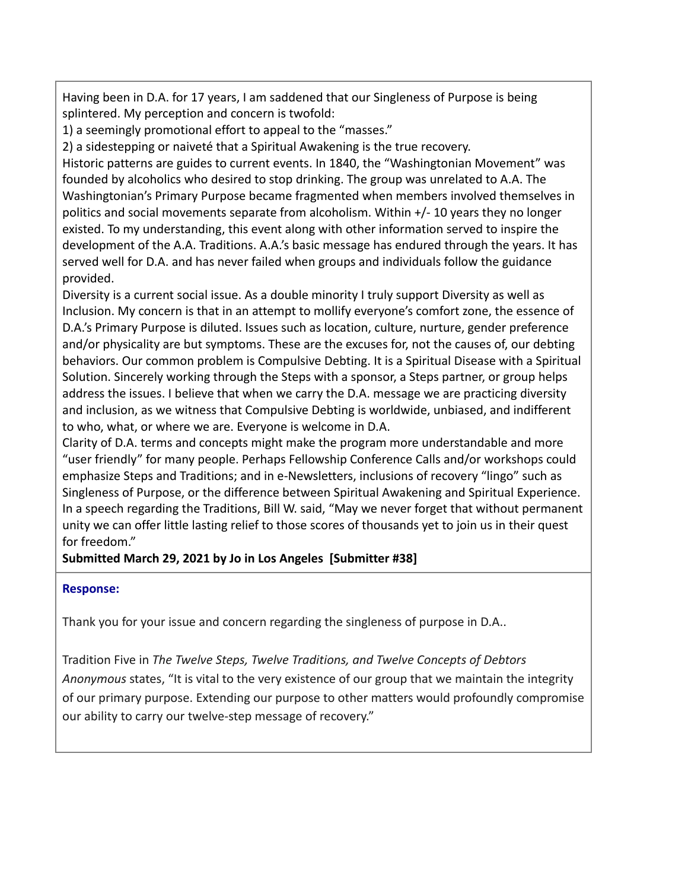Having been in D.A. for 17 years, I am saddened that our Singleness of Purpose is being splintered. My perception and concern is twofold:

1) a seemingly promotional effort to appeal to the "masses."

2) a sidestepping or naiveté that a Spiritual Awakening is the true recovery.

Historic patterns are guides to current events. In 1840, the "Washingtonian Movement" was founded by alcoholics who desired to stop drinking. The group was unrelated to A.A. The Washingtonian's Primary Purpose became fragmented when members involved themselves in politics and social movements separate from alcoholism. Within +/- 10 years they no longer existed. To my understanding, this event along with other information served to inspire the development of the A.A. Traditions. A.A.'s basic message has endured through the years. It has served well for D.A. and has never failed when groups and individuals follow the guidance provided.

Diversity is a current social issue. As a double minority I truly support Diversity as well as Inclusion. My concern is that in an attempt to mollify everyone's comfort zone, the essence of D.A.'s Primary Purpose is diluted. Issues such as location, culture, nurture, gender preference and/or physicality are but symptoms. These are the excuses for, not the causes of, our debting behaviors. Our common problem is Compulsive Debting. It is a Spiritual Disease with a Spiritual Solution. Sincerely working through the Steps with a sponsor, a Steps partner, or group helps address the issues. I believe that when we carry the D.A. message we are practicing diversity and inclusion, as we witness that Compulsive Debting is worldwide, unbiased, and indifferent to who, what, or where we are. Everyone is welcome in D.A.

Clarity of D.A. terms and concepts might make the program more understandable and more "user friendly" for many people. Perhaps Fellowship Conference Calls and/or workshops could emphasize Steps and Traditions; and in e-Newsletters, inclusions of recovery "lingo" such as Singleness of Purpose, or the difference between Spiritual Awakening and Spiritual Experience. In a speech regarding the Traditions, Bill W. said, "May we never forget that without permanent unity we can offer little lasting relief to those scores of thousands yet to join us in their quest for freedom."

## **Submitted March 29, 2021 by Jo in Los Angeles [Submitter #38]**

## **Response:**

Thank you for your issue and concern regarding the singleness of purpose in D.A..

Tradition Five in *The Twelve Steps, Twelve Traditions, and Twelve Concepts of Debtors Anonymous* states, "It is vital to the very existence of our group that we maintain the integrity of our primary purpose. Extending our purpose to other matters would profoundly compromise our ability to carry our twelve-step message of recovery."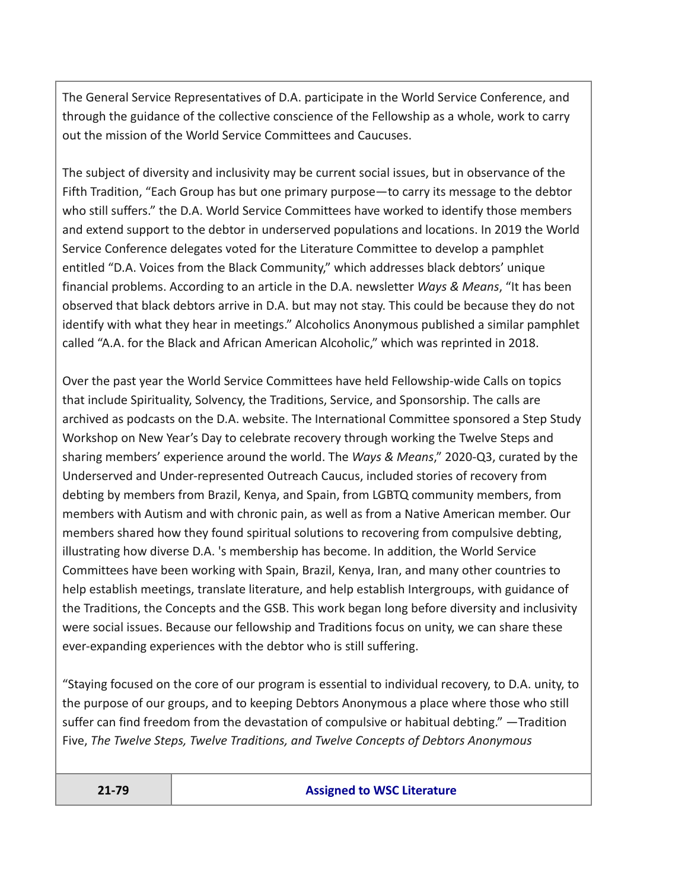The General Service Representatives of D.A. participate in the World Service Conference, and through the guidance of the collective conscience of the Fellowship as a whole, work to carry out the mission of the World Service Committees and Caucuses.

The subject of diversity and inclusivity may be current social issues, but in observance of the Fifth Tradition, "Each Group has but one primary purpose—to carry its message to the debtor who still suffers." the D.A. World Service Committees have worked to identify those members and extend support to the debtor in underserved populations and locations. In 2019 the World Service Conference delegates voted for the Literature Committee to develop a pamphlet entitled "D.A. Voices from the Black Community," which addresses black debtors' unique financial problems. According to an article in the D.A. newsletter *Ways & Means*, "It has been observed that black debtors arrive in D.A. but may not stay. This could be because they do not identify with what they hear in meetings." Alcoholics Anonymous published a similar pamphlet called "A.A. for the Black and African American Alcoholic," which was reprinted in 2018.

Over the past year the World Service Committees have held Fellowship-wide Calls on topics that include Spirituality, Solvency, the Traditions, Service, and Sponsorship. The calls are archived as podcasts on the D.A. website. The International Committee sponsored a Step Study Workshop on New Year's Day to celebrate recovery through working the Twelve Steps and sharing members' experience around the world. The *Ways & Means*," 2020-Q3, curated by the Underserved and Under-represented Outreach Caucus, included stories of recovery from debting by members from Brazil, Kenya, and Spain, from LGBTQ community members, from members with Autism and with chronic pain, as well as from a Native American member. Our members shared how they found spiritual solutions to recovering from compulsive debting, illustrating how diverse D.A. 's membership has become. In addition, the World Service Committees have been working with Spain, Brazil, Kenya, Iran, and many other countries to help establish meetings, translate literature, and help establish Intergroups, with guidance of the Traditions, the Concepts and the GSB. This work began long before diversity and inclusivity were social issues. Because our fellowship and Traditions focus on unity, we can share these ever-expanding experiences with the debtor who is still suffering.

"Staying focused on the core of our program is essential to individual recovery, to D.A. unity, to the purpose of our groups, and to keeping Debtors Anonymous a place where those who still suffer can find freedom from the devastation of compulsive or habitual debting." —Tradition Five, *The Twelve Steps, Twelve Traditions, and Twelve Concepts of Debtors Anonymous*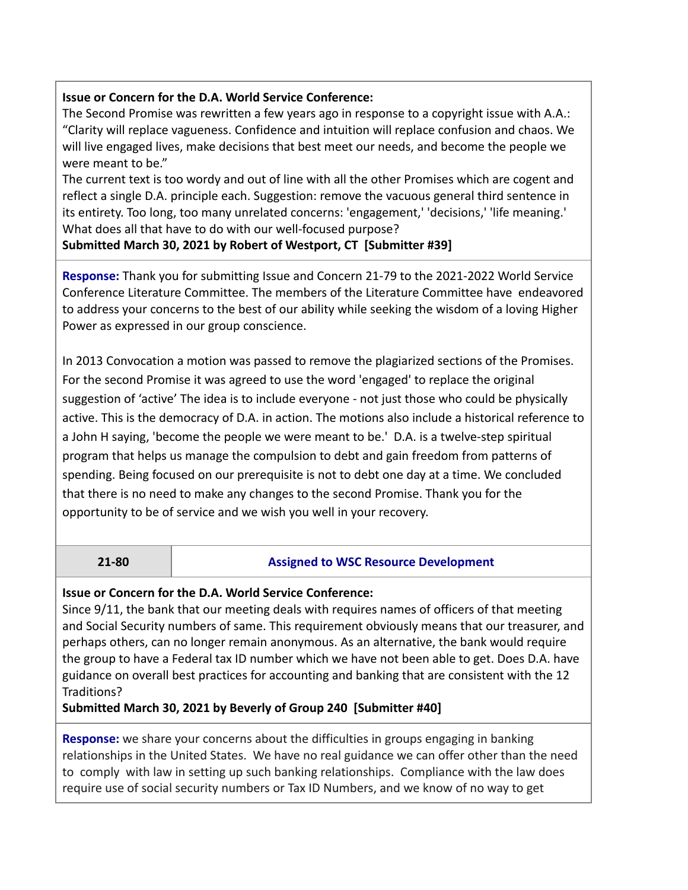### **Issue or Concern for the D.A. World Service Conference:**

The Second Promise was rewritten a few years ago in response to a copyright issue with A.A.: "Clarity will replace vagueness. Confidence and intuition will replace confusion and chaos. We will live engaged lives, make decisions that best meet our needs, and become the people we were meant to be."

The current text is too wordy and out of line with all the other Promises which are cogent and reflect a single D.A. principle each. Suggestion: remove the vacuous general third sentence in its entirety. Too long, too many unrelated concerns: 'engagement,' 'decisions,' 'life meaning.' What does all that have to do with our well-focused purpose?

**Submitted March 30, 2021 by Robert of Westport, CT [Submitter #39]**

**Response:** Thank you for submitting Issue and Concern 21-79 to the 2021-2022 World Service Conference Literature Committee. The members of the Literature Committee have endeavored to address your concerns to the best of our ability while seeking the wisdom of a loving Higher Power as expressed in our group conscience.

In 2013 Convocation a motion was passed to remove the plagiarized sections of the Promises. For the second Promise it was agreed to use the word 'engaged' to replace the original suggestion of 'active' The idea is to include everyone - not just those who could be physically active. This is the democracy of D.A. in action. The motions also include a historical reference to a John H saying, 'become the people we were meant to be.' D.A. is a twelve-step spiritual program that helps us manage the compulsion to debt and gain freedom from patterns of spending. Being focused on our prerequisite is not to debt one day at a time. We concluded that there is no need to make any changes to the second Promise. Thank you for the opportunity to be of service and we wish you well in your recovery.

#### **21-80 Assigned to WSC Resource Development**

#### **Issue or Concern for the D.A. World Service Conference:**

Since 9/11, the bank that our meeting deals with requires names of officers of that meeting and Social Security numbers of same. This requirement obviously means that our treasurer, and perhaps others, can no longer remain anonymous. As an alternative, the bank would require the group to have a Federal tax ID number which we have not been able to get. Does D.A. have guidance on overall best practices for accounting and banking that are consistent with the 12 Traditions?

**Submitted March 30, 2021 by Beverly of Group 240 [Submitter #40]**

**Response:** we share your concerns about the difficulties in groups engaging in banking relationships in the United States. We have no real guidance we can offer other than the need to comply with law in setting up such banking relationships. Compliance with the law does require use of social security numbers or Tax ID Numbers, and we know of no way to get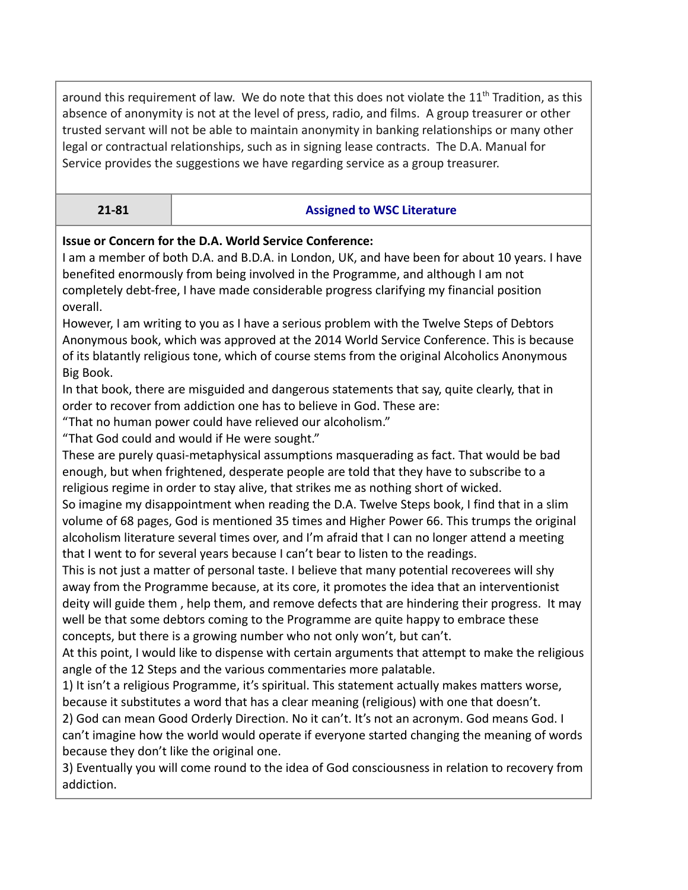around this requirement of law. We do note that this does not violate the  $11<sup>th</sup>$  Tradition, as this absence of anonymity is not at the level of press, radio, and films. A group treasurer or other trusted servant will not be able to maintain anonymity in banking relationships or many other legal or contractual relationships, such as in signing lease contracts. The D.A. Manual for Service provides the suggestions we have regarding service as a group treasurer.

### **21-81 Assigned to WSC Literature**

## **Issue or Concern for the D.A. World Service Conference:**

I am a member of both D.A. and B.D.A. in London, UK, and have been for about 10 years. I have benefited enormously from being involved in the Programme, and although I am not completely debt-free, I have made considerable progress clarifying my financial position overall.

However, I am writing to you as I have a serious problem with the Twelve Steps of Debtors Anonymous book, which was approved at the 2014 World Service Conference. This is because of its blatantly religious tone, which of course stems from the original Alcoholics Anonymous Big Book.

In that book, there are misguided and dangerous statements that say, quite clearly, that in order to recover from addiction one has to believe in God. These are:

"That no human power could have relieved our alcoholism."

"That God could and would if He were sought."

These are purely quasi-metaphysical assumptions masquerading as fact. That would be bad enough, but when frightened, desperate people are told that they have to subscribe to a religious regime in order to stay alive, that strikes me as nothing short of wicked.

So imagine my disappointment when reading the D.A. Twelve Steps book, I find that in a slim volume of 68 pages, God is mentioned 35 times and Higher Power 66. This trumps the original alcoholism literature several times over, and I'm afraid that I can no longer attend a meeting that I went to for several years because I can't bear to listen to the readings.

This is not just a matter of personal taste. I believe that many potential recoverees will shy away from the Programme because, at its core, it promotes the idea that an interventionist deity will guide them , help them, and remove defects that are hindering their progress. It may well be that some debtors coming to the Programme are quite happy to embrace these concepts, but there is a growing number who not only won't, but can't.

At this point, I would like to dispense with certain arguments that attempt to make the religious angle of the 12 Steps and the various commentaries more palatable.

1) It isn't a religious Programme, it's spiritual. This statement actually makes matters worse, because it substitutes a word that has a clear meaning (religious) with one that doesn't.

2) God can mean Good Orderly Direction. No it can't. It's not an acronym. God means God. I can't imagine how the world would operate if everyone started changing the meaning of words because they don't like the original one.

3) Eventually you will come round to the idea of God consciousness in relation to recovery from addiction.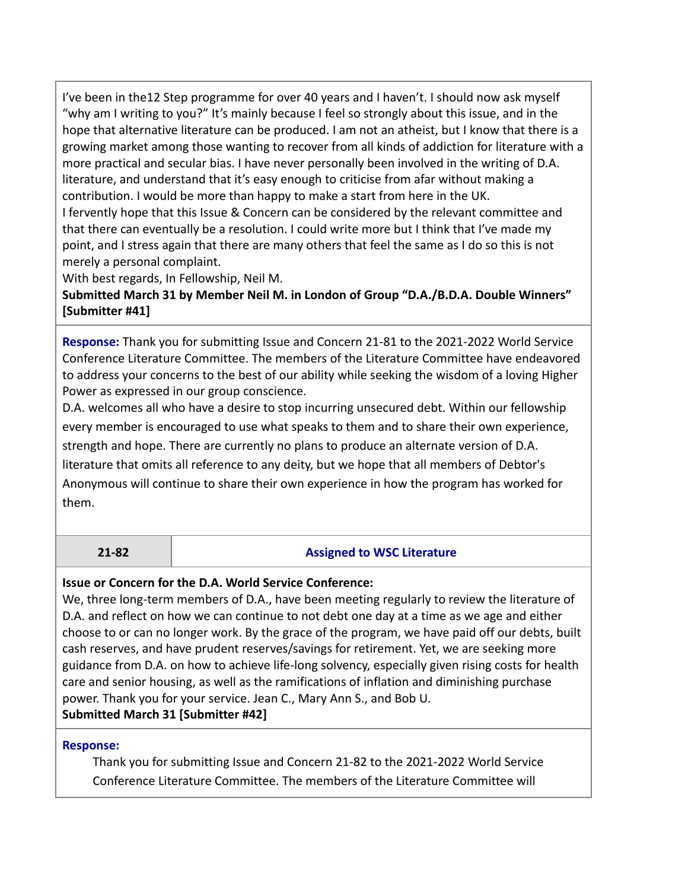I've been in the12 Step programme for over 40 years and I haven't. I should now ask myself "why am I writing to you?" It's mainly because I feel so strongly about this issue, and in the hope that alternative literature can be produced. I am not an atheist, but I know that there is a growing market among those wanting to recover from all kinds of addiction for literature with a more practical and secular bias. I have never personally been involved in the writing of D.A. literature, and understand that it's easy enough to criticise from afar without making a contribution. I would be more than happy to make a start from here in the UK.

I fervently hope that this Issue & Concern can be considered by the relevant committee and that there can eventually be a resolution. I could write more but I think that I've made my point, and I stress again that there are many others that feel the same as I do so this is not merely a personal complaint.

With best regards, In Fellowship, Neil M.

**Submitted March 31 by Member Neil M. in London of Group "D.A./B.D.A. Double Winners" [Submitter #41]**

**Response:** Thank you for submitting Issue and Concern 21-81 to the 2021-2022 World Service Conference Literature Committee. The members of the Literature Committee have endeavored to address your concerns to the best of our ability while seeking the wisdom of a loving Higher Power as expressed in our group conscience.

D.A. welcomes all who have a desire to stop incurring unsecured debt. Within our fellowship every member is encouraged to use what speaks to them and to share their own experience, strength and hope. There are currently no plans to produce an alternate version of D.A. literature that omits all reference to any deity, but we hope that all members of Debtor's Anonymous will continue to share their own experience in how the program has worked for them.

## **21-82 Assigned to WSC Literature**

#### **Issue or Concern for the D.A. World Service Conference:**

We, three long-term members of D.A., have been meeting regularly to review the literature of D.A. and reflect on how we can continue to not debt one day at a time as we age and either choose to or can no longer work. By the grace of the program, we have paid off our debts, built cash reserves, and have prudent reserves/savings for retirement. Yet, we are seeking more guidance from D.A. on how to achieve life-long solvency, especially given rising costs for health care and senior housing, as well as the ramifications of inflation and diminishing purchase power. Thank you for your service. Jean C., Mary Ann S., and Bob U. **Submitted March 31 [Submitter #42]**

## **Response:**

Thank you for submitting Issue and Concern 21-82 to the 2021-2022 World Service Conference Literature Committee. The members of the Literature Committee will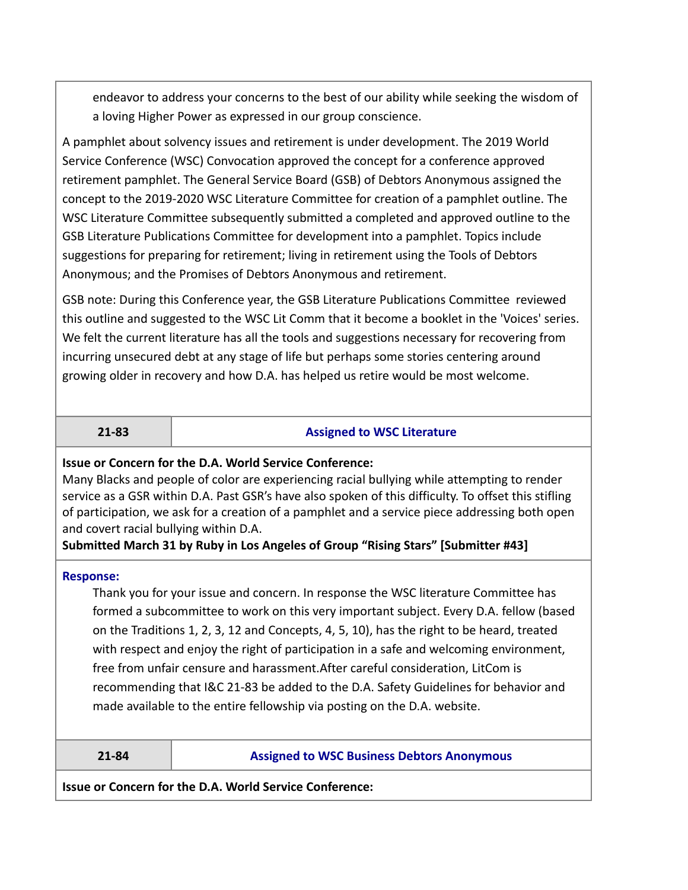endeavor to address your concerns to the best of our ability while seeking the wisdom of a loving Higher Power as expressed in our group conscience.

A pamphlet about solvency issues and retirement is under development. The 2019 World Service Conference (WSC) Convocation approved the concept for a conference approved retirement pamphlet. The General Service Board (GSB) of Debtors Anonymous assigned the concept to the 2019-2020 WSC Literature Committee for creation of a pamphlet outline. The WSC Literature Committee subsequently submitted a completed and approved outline to the GSB Literature Publications Committee for development into a pamphlet. Topics include suggestions for preparing for retirement; living in retirement using the Tools of Debtors Anonymous; and the Promises of Debtors Anonymous and retirement.

GSB note: During this Conference year, the GSB Literature Publications Committee reviewed this outline and suggested to the WSC Lit Comm that it become a booklet in the 'Voices' series. We felt the current literature has all the tools and suggestions necessary for recovering from incurring unsecured debt at any stage of life but perhaps some stories centering around growing older in recovery and how D.A. has helped us retire would be most welcome.

#### **21-83 Assigned to WSC Literature**

#### **Issue or Concern for the D.A. World Service Conference:**

Many Blacks and people of color are experiencing racial bullying while attempting to render service as a GSR within D.A. Past GSR's have also spoken of this difficulty. To offset this stifling of participation, we ask for a creation of a pamphlet and a service piece addressing both open and covert racial bullying within D.A.

#### **Submitted March 31 by Ruby in Los Angeles of Group "Rising Stars" [Submitter #43]**

#### **Response:**

Thank you for your issue and concern. In response the WSC literature Committee has formed a subcommittee to work on this very important subject. Every D.A. fellow (based on the Traditions 1, 2, 3, 12 and Concepts, 4, 5, 10), has the right to be heard, treated with respect and enjoy the right of participation in a safe and welcoming environment, free from unfair censure and harassment.After careful consideration, LitCom is recommending that I&C 21-83 be added to the D.A. Safety Guidelines for behavior and made available to the entire fellowship via posting on the D.A. website.

#### **21-84 Assigned to WSC Business Debtors Anonymous**

**Issue or Concern for the D.A. World Service Conference:**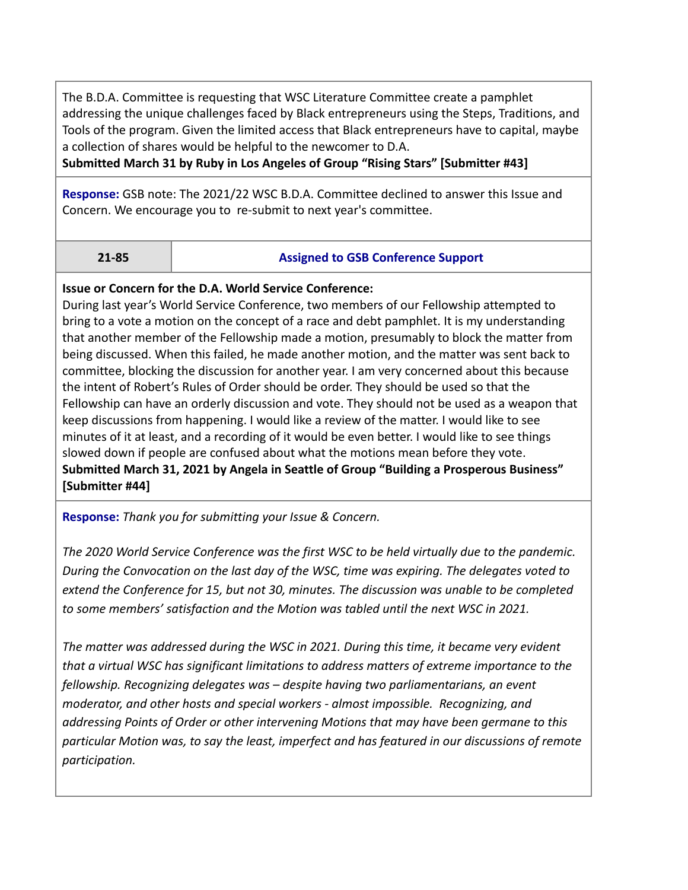The B.D.A. Committee is requesting that WSC Literature Committee create a pamphlet addressing the unique challenges faced by Black entrepreneurs using the Steps, Traditions, and Tools of the program. Given the limited access that Black entrepreneurs have to capital, maybe a collection of shares would be helpful to the newcomer to D.A.

**Submitted March 31 by Ruby in Los Angeles of Group "Rising Stars" [Submitter #43]**

**Response:** GSB note: The 2021/22 WSC B.D.A. Committee declined to answer this Issue and Concern. We encourage you to re-submit to next year's committee.

### **21-85 Assigned to GSB Conference Support**

### **Issue or Concern for the D.A. World Service Conference:**

During last year's World Service Conference, two members of our Fellowship attempted to bring to a vote a motion on the concept of a race and debt pamphlet. It is my understanding that another member of the Fellowship made a motion, presumably to block the matter from being discussed. When this failed, he made another motion, and the matter was sent back to committee, blocking the discussion for another year. I am very concerned about this because the intent of Robert's Rules of Order should be order. They should be used so that the Fellowship can have an orderly discussion and vote. They should not be used as a weapon that keep discussions from happening. I would like a review of the matter. I would like to see minutes of it at least, and a recording of it would be even better. I would like to see things slowed down if people are confused about what the motions mean before they vote. **Submitted March 31, 2021 by Angela in Seattle of Group "Building a Prosperous Business" [Submitter #44]**

**Response:** *Thank you for submitting your Issue & Concern.*

*The 2020 World Service Conference was the first WSC to be held virtually due to the pandemic. During the Convocation on the last day of the WSC, time was expiring. The delegates voted to extend the Conference for 15, but not 30, minutes. The discussion was unable to be completed to some members' satisfaction and the Motion was tabled until the next WSC in 2021.*

*The matter was addressed during the WSC in 2021. During this time, it became very evident that a virtual WSC has significant limitations to address matters of extreme importance to the fellowship. Recognizing delegates was – despite having two parliamentarians, an event moderator, and other hosts and special workers - almost impossible. Recognizing, and addressing Points of Order or other intervening Motions that may have been germane to this particular Motion was, to say the least, imperfect and has featured in our discussions of remote participation.*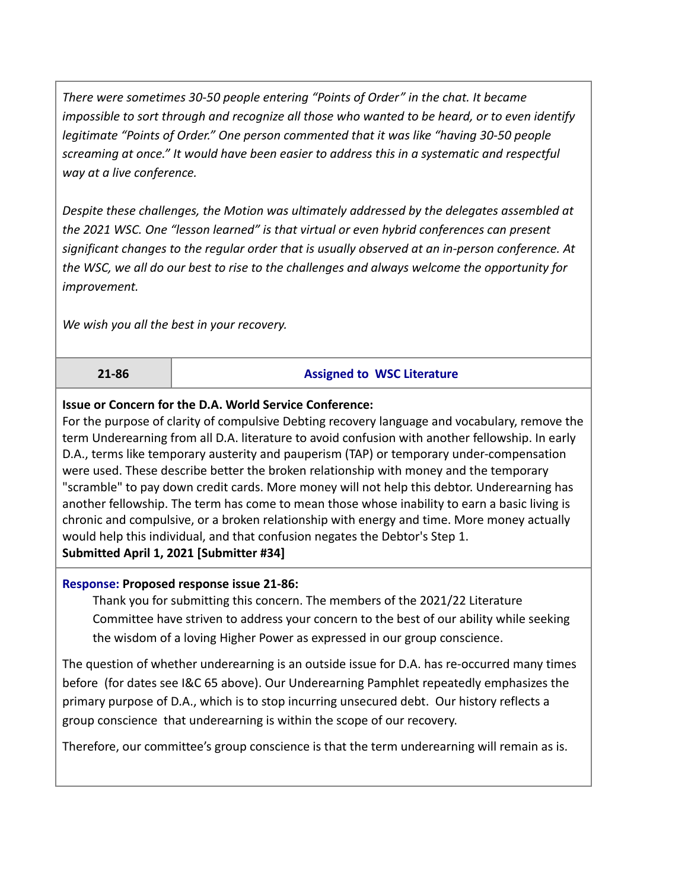*There were sometimes 30-50 people entering "Points of Order" in the chat. It became impossible to sort through and recognize all those who wanted to be heard, or to even identify legitimate "Points of Order." One person commented that it was like "having 30-50 people screaming at once." It would have been easier to address this in a systematic and respectful way at a live conference.*

*Despite these challenges, the Motion was ultimately addressed by the delegates assembled at the 2021 WSC. One "lesson learned" is that virtual or even hybrid conferences can present significant changes to the regular order that is usually observed at an in-person conference. At the WSC, we all do our best to rise to the challenges and always welcome the opportunity for improvement.*

*We wish you all the best in your recovery.*

#### **21-86 Assigned to WSC Literature**

### **Issue or Concern for the D.A. World Service Conference:**

For the purpose of clarity of compulsive Debting recovery language and vocabulary, remove the term Underearning from all D.A. literature to avoid confusion with another fellowship. In early D.A., terms like temporary austerity and pauperism (TAP) or temporary under-compensation were used. These describe better the broken relationship with money and the temporary "scramble" to pay down credit cards. More money will not help this debtor. Underearning has another fellowship. The term has come to mean those whose inability to earn a basic living is chronic and compulsive, or a broken relationship with energy and time. More money actually would help this individual, and that confusion negates the Debtor's Step 1. **Submitted April 1, 2021 [Submitter #34]**

#### **Response: Proposed response issue 21-86:**

Thank you for submitting this concern. The members of the 2021/22 Literature Committee have striven to address your concern to the best of our ability while seeking the wisdom of a loving Higher Power as expressed in our group conscience.

The question of whether underearning is an outside issue for D.A. has re-occurred many times before (for dates see I&C 65 above). Our Underearning Pamphlet repeatedly emphasizes the primary purpose of D.A., which is to stop incurring unsecured debt. Our history reflects a group conscience that underearning is within the scope of our recovery.

Therefore, our committee's group conscience is that the term underearning will remain as is.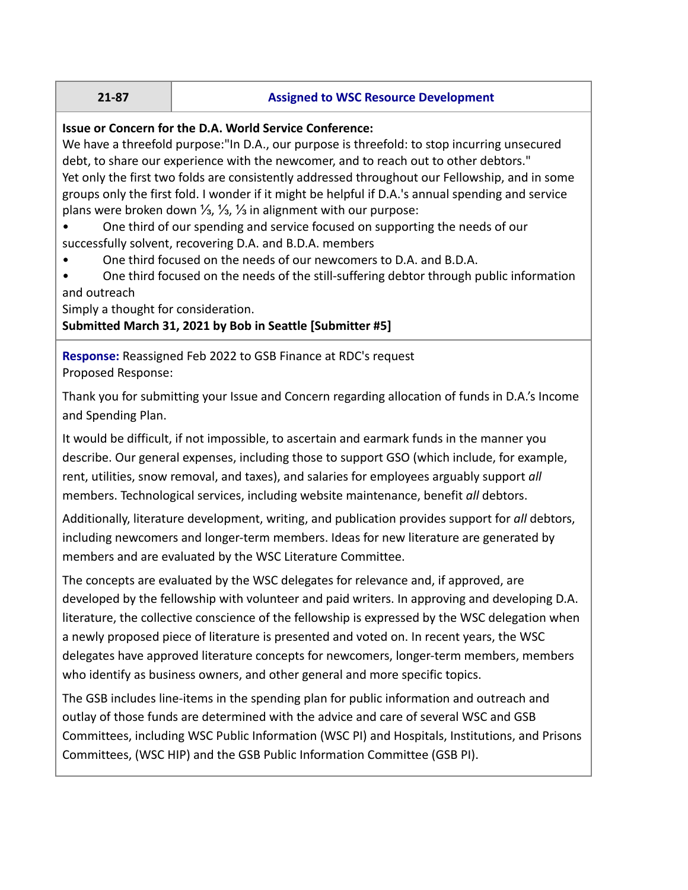#### **21-87 Assigned to WSC Resource Development**

#### **Issue or Concern for the D.A. World Service Conference:**

We have a threefold purpose:"In D.A., our purpose is threefold: to stop incurring unsecured debt, to share our experience with the newcomer, and to reach out to other debtors." Yet only the first two folds are consistently addressed throughout our Fellowship, and in some groups only the first fold. I wonder if it might be helpful if D.A.'s annual spending and service plans were broken down ⅓, ⅓, ⅓ in alignment with our purpose:

• One third of our spending and service focused on supporting the needs of our successfully solvent, recovering D.A. and B.D.A. members

• One third focused on the needs of our newcomers to D.A. and B.D.A.

• One third focused on the needs of the still-suffering debtor through public information and outreach

Simply a thought for consideration.

# **Submitted March 31, 2021 by Bob in Seattle [Submitter #5]**

**Response:** Reassigned Feb 2022 to GSB Finance at RDC's request Proposed Response:

Thank you for submitting your Issue and Concern regarding allocation of funds in D.A.'s Income and Spending Plan.

It would be difficult, if not impossible, to ascertain and earmark funds in the manner you describe. Our general expenses, including those to support GSO (which include, for example, rent, utilities, snow removal, and taxes), and salaries for employees arguably support *all* members. Technological services, including website maintenance, benefit *all* debtors.

Additionally, literature development, writing, and publication provides support for *all* debtors, including newcomers and longer-term members. Ideas for new literature are generated by members and are evaluated by the WSC Literature Committee.

The concepts are evaluated by the WSC delegates for relevance and, if approved, are developed by the fellowship with volunteer and paid writers. In approving and developing D.A. literature, the collective conscience of the fellowship is expressed by the WSC delegation when a newly proposed piece of literature is presented and voted on. In recent years, the WSC delegates have approved literature concepts for newcomers, longer-term members, members who identify as business owners, and other general and more specific topics.

The GSB includes line-items in the spending plan for public information and outreach and outlay of those funds are determined with the advice and care of several WSC and GSB Committees, including WSC Public Information (WSC PI) and Hospitals, Institutions, and Prisons Committees, (WSC HIP) and the GSB Public Information Committee (GSB PI).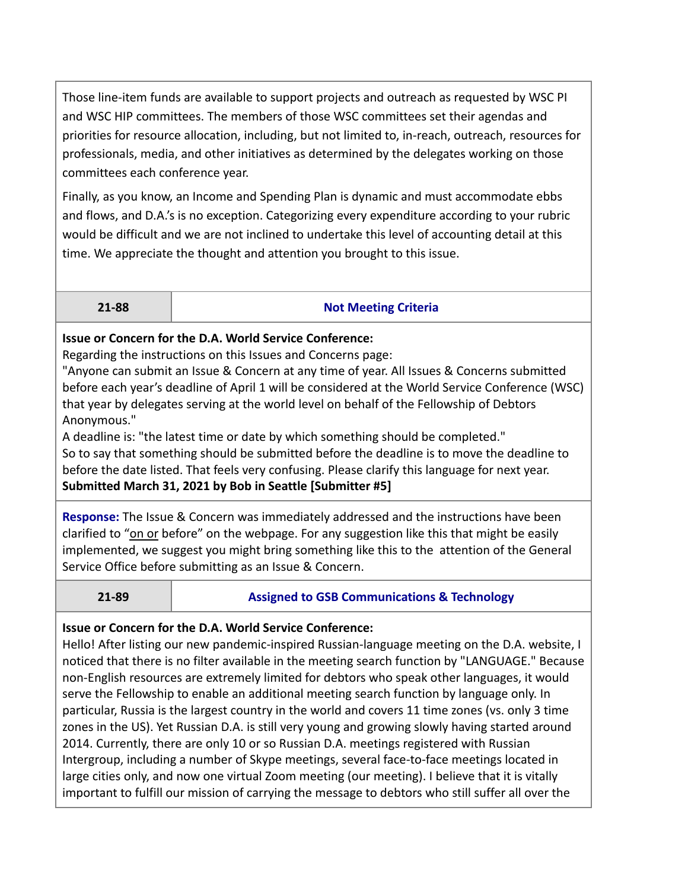Those line-item funds are available to support projects and outreach as requested by WSC PI and WSC HIP committees. The members of those WSC committees set their agendas and priorities for resource allocation, including, but not limited to, in-reach, outreach, resources for professionals, media, and other initiatives as determined by the delegates working on those committees each conference year.

Finally, as you know, an Income and Spending Plan is dynamic and must accommodate ebbs and flows, and D.A.'s is no exception. Categorizing every expenditure according to your rubric would be difficult and we are not inclined to undertake this level of accounting detail at this time. We appreciate the thought and attention you brought to this issue.

### **21-88 Not Meeting Criteria**

# **Issue or Concern for the D.A. World Service Conference:**

Regarding the instructions on this Issues and Concerns page:

"Anyone can submit an Issue & Concern at any time of year. All Issues & Concerns submitted before each year's deadline of April 1 will be considered at the World Service Conference (WSC) that year by delegates serving at the world level on behalf of the Fellowship of Debtors Anonymous."

A deadline is: "the latest time or date by which something should be completed." So to say that something should be submitted before the deadline is to move the deadline to before the date listed. That feels very confusing. Please clarify this language for next year. **Submitted March 31, 2021 by Bob in Seattle [Submitter #5]**

**Response:** The Issue & Concern was immediately addressed and the instructions have been clarified to "on or before" on the webpage. For any suggestion like this that might be easily implemented, we suggest you might bring something like this to the attention of the General Service Office before submitting as an Issue & Concern.

# **21-89 Assigned to GSB Communications & Technology**

# **Issue or Concern for the D.A. World Service Conference:**

Hello! After listing our new pandemic-inspired Russian-language meeting on the D.A. website, I noticed that there is no filter available in the meeting search function by "LANGUAGE." Because non-English resources are extremely limited for debtors who speak other languages, it would serve the Fellowship to enable an additional meeting search function by language only. In particular, Russia is the largest country in the world and covers 11 time zones (vs. only 3 time zones in the US). Yet Russian D.A. is still very young and growing slowly having started around 2014. Currently, there are only 10 or so Russian D.A. meetings registered with Russian Intergroup, including a number of Skype meetings, several face-to-face meetings located in large cities only, and now one virtual Zoom meeting (our meeting). I believe that it is vitally important to fulfill our mission of carrying the message to debtors who still suffer all over the